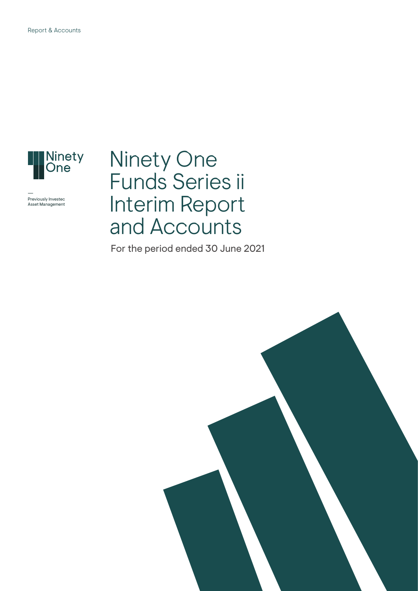

Previously Investec Asset Management

## Ninety One Funds Series ii Interim Report and Accounts

For the period ended 30 June 2021

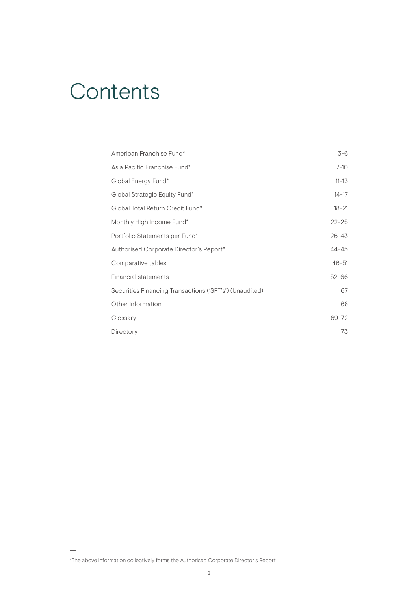# **Contents**

| American Franchise Fund*                                | $3 - 6$   |
|---------------------------------------------------------|-----------|
| Asia Pacific Franchise Fund*                            | $7 - 10$  |
| Global Energy Fund*                                     | $11 - 13$ |
| Global Strategic Equity Fund*                           | $14 - 17$ |
| Global Total Return Credit Fund*                        | $18 - 21$ |
| Monthly High Income Fund*                               | $22 - 25$ |
| Portfolio Statements per Fund*                          | $26 - 43$ |
| Authorised Corporate Director's Report*                 | $44 - 45$ |
| Comparative tables                                      | $46 - 51$ |
| Financial statements                                    | $52 - 66$ |
| Securities Financing Transactions ('SFT's') (Unaudited) | 67        |
| Other information                                       | 68        |
| Glossary                                                | 69-72     |
| Directory                                               | 73        |

<sup>\*</sup>The above information collectively forms the Authorised Corporate Director's Report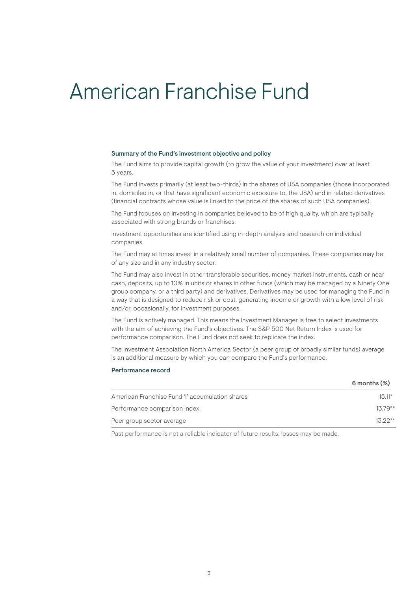### American Franchise Fund

#### Summary of the Fund's investment objective and policy

The Fund aims to provide capital growth (to grow the value of your investment) over at least 5 years.

The Fund invests primarily (at least two-thirds) in the shares of USA companies (those incorporated in, domiciled in, or that have significant economic exposure to, the USA) and in related derivatives (financial contracts whose value is linked to the price of the shares of such USA companies).

The Fund focuses on investing in companies believed to be of high quality, which are typically associated with strong brands or franchises.

Investment opportunities are identified using in-depth analysis and research on individual companies.

The Fund may at times invest in a relatively small number of companies. These companies may be of any size and in any industry sector.

The Fund may also invest in other transferable securities, money market instruments, cash or near cash, deposits, up to 10% in units or shares in other funds (which may be managed by a Ninety One group company, or a third party) and derivatives. Derivatives may be used for managing the Fund in a way that is designed to reduce risk or cost, generating income or growth with a low level of risk and/or, occasionally, for investment purposes.

The Fund is actively managed. This means the Investment Manager is free to select investments with the aim of achieving the Fund's objectives. The S&P 500 Net Return Index is used for performance comparison. The Fund does not seek to replicate the index.

The Investment Association North America Sector (a peer group of broadly similar funds) average is an additional measure by which you can compare the Fund's performance.

#### Performance record

|                                                 | $6$ months $(\%)$ |
|-------------------------------------------------|-------------------|
| American Franchise Fund 'I' accumulation shares | $15.11*$          |
| Performance comparison index                    | $13.79**$         |
| Peer group sector average                       | $13.22**$         |
|                                                 |                   |

Past performance is not a reliable indicator of future results, losses may be made.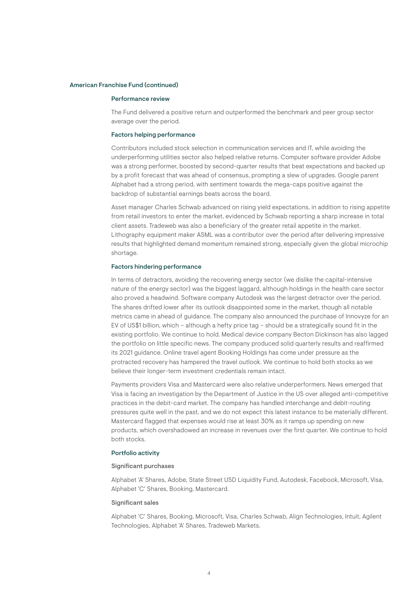#### American Franchise Fund (continued)

#### Performance review

The Fund delivered a positive return and outperformed the benchmark and peer group sector average over the period.

#### Factors helping performance

Contributors included stock selection in communication services and IT, while avoiding the underperforming utilities sector also helped relative returns. Computer software provider Adobe was a strong performer, boosted by second-quarter results that beat expectations and backed up by a profit forecast that was ahead of consensus, prompting a slew of upgrades. Google parent Alphabet had a strong period, with sentiment towards the mega-caps positive against the backdrop of substantial earnings beats across the board.

Asset manager Charles Schwab advanced on rising yield expectations, in addition to rising appetite from retail investors to enter the market, evidenced by Schwab reporting a sharp increase in total client assets. Tradeweb was also a beneficiary of the greater retail appetite in the market. Lithography equipment maker ASML was a contributor over the period after delivering impressive results that highlighted demand momentum remained strong, especially given the global microchip shortage.

#### Factors hindering performance

In terms of detractors, avoiding the recovering energy sector (we dislike the capital-intensive nature of the energy sector) was the biggest laggard, although holdings in the health care sector also proved a headwind. Software company Autodesk was the largest detractor over the period. The shares drifted lower after its outlook disappointed some in the market, though all notable metrics came in ahead of guidance. The company also announced the purchase of Innovyze for an EV of US\$1 billion, which – although a hefty price tag – should be a strategically sound fit in the existing portfolio. We continue to hold. Medical device company Becton Dickinson has also lagged the portfolio on little specific news. The company produced solid quarterly results and reaffirmed its 2021 guidance. Online travel agent Booking Holdings has come under pressure as the protracted recovery has hampered the travel outlook. We continue to hold both stocks as we believe their longer-term investment credentials remain intact.

Payments providers Visa and Mastercard were also relative underperformers. News emerged that Visa is facing an investigation by the Department of Justice in the US over alleged anti-competitive practices in the debit-card market. The company has handled interchange and debit-routing pressures quite well in the past, and we do not expect this latest instance to be materially different. Mastercard flagged that expenses would rise at least 30% as it ramps up spending on new products, which overshadowed an increase in revenues over the first quarter. We continue to hold both stocks.

#### Portfolio activity

#### Significant purchases

Alphabet 'A' Shares, Adobe, State Street USD Liquidity Fund, Autodesk, Facebook, Microsoft, Visa, Alphabet 'C' Shares, Booking, Mastercard.

#### Significant sales

Alphabet 'C' Shares, Booking, Microsoft, Visa, Charles Schwab, Align Technologies, Intuit, Agilent Technologies, Alphabet 'A' Shares, Tradeweb Markets.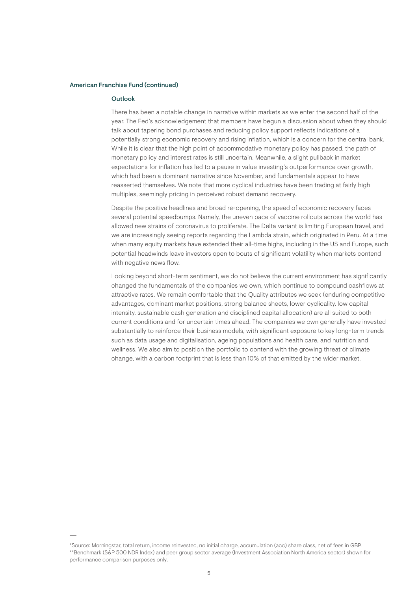#### American Franchise Fund (continued)

#### Outlook

There has been a notable change in narrative within markets as we enter the second half of the year. The Fed's acknowledgement that members have begun a discussion about when they should talk about tapering bond purchases and reducing policy support reflects indications of a potentially strong economic recovery and rising inflation, which is a concern for the central bank. While it is clear that the high point of accommodative monetary policy has passed, the path of monetary policy and interest rates is still uncertain. Meanwhile, a slight pullback in market expectations for inflation has led to a pause in value investing's outperformance over growth, which had been a dominant narrative since November, and fundamentals appear to have reasserted themselves. We note that more cyclical industries have been trading at fairly high multiples, seemingly pricing in perceived robust demand recovery.

Despite the positive headlines and broad re-opening, the speed of economic recovery faces several potential speedbumps. Namely, the uneven pace of vaccine rollouts across the world has allowed new strains of coronavirus to proliferate. The Delta variant is limiting European travel, and we are increasingly seeing reports regarding the Lambda strain, which originated in Peru. At a time when many equity markets have extended their all-time highs, including in the US and Europe, such potential headwinds leave investors open to bouts of significant volatility when markets contend with negative news flow.

Looking beyond short-term sentiment, we do not believe the current environment has significantly changed the fundamentals of the companies we own, which continue to compound cashflows at attractive rates. We remain comfortable that the Quality attributes we seek (enduring competitive advantages, dominant market positions, strong balance sheets, lower cyclicality, low capital intensity, sustainable cash generation and disciplined capital allocation) are all suited to both current conditions and for uncertain times ahead. The companies we own generally have invested substantially to reinforce their business models, with significant exposure to key long-term trends such as data usage and digitalisation, ageing populations and health care, and nutrition and wellness. We also aim to position the portfolio to contend with the growing threat of climate change, with a carbon footprint that is less than 10% of that emitted by the wider market.

<sup>\*</sup>Source: Morningstar, total return, income reinvested, no initial charge, accumulation (acc) share class, net of fees in GBP. \*\*Benchmark (S&P 500 NDR Index) and peer group sector average (Investment Association North America sector) shown for performance comparison purposes only.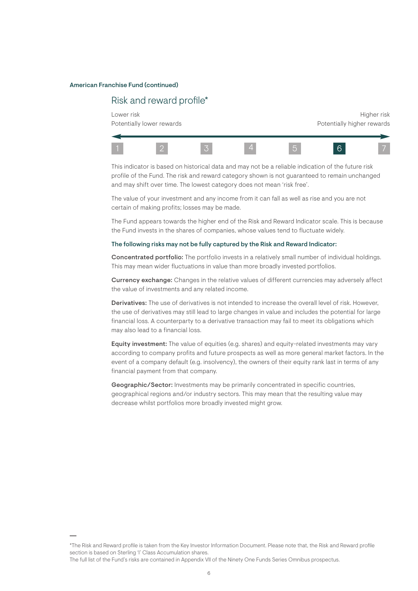#### American Franchise Fund (continued)

### Risk and reward profile\*

Lower risk the controller of the controller of the controller of the controller of the controller of the controller of the controller of the controller of the controller of the controller of the controller of the controlle Potentially lower rewards extending the potentially higher rewards



This indicator is based on historical data and may not be a reliable indication of the future risk profile of the Fund. The risk and reward category shown is not guaranteed to remain unchanged and may shift over time. The lowest category does not mean 'risk free'.

The value of your investment and any income from it can fall as well as rise and you are not certain of making profits; losses may be made.

The Fund appears towards the higher end of the Risk and Reward Indicator scale. This is because the Fund invests in the shares of companies, whose values tend to fluctuate widely.

#### The following risks may not be fully captured by the Risk and Reward Indicator:

Concentrated portfolio: The portfolio invests in a relatively small number of individual holdings. This may mean wider fluctuations in value than more broadly invested portfolios.

Currency exchange: Changes in the relative values of different currencies may adversely affect the value of investments and any related income.

Derivatives: The use of derivatives is not intended to increase the overall level of risk. However, the use of derivatives may still lead to large changes in value and includes the potential for large financial loss. A counterparty to a derivative transaction may fail to meet its obligations which may also lead to a financial loss.

Equity investment: The value of equities (e.g. shares) and equity-related investments may vary according to company profits and future prospects as well as more general market factors. In the event of a company default (e.g. insolvency), the owners of their equity rank last in terms of any financial payment from that company.

Geographic/Sector: Investments may be primarily concentrated in specific countries, geographical regions and/or industry sectors. This may mean that the resulting value may decrease whilst portfolios more broadly invested might grow.

The full list of the Fund's risks are contained in Appendix VII of the Ninety One Funds Series Omnibus prospectus.

<sup>\*</sup>The Risk and Reward profile is taken from the Key Investor Information Document. Please note that, the Risk and Reward profile section is based on Sterling 'I' Class Accumulation shares.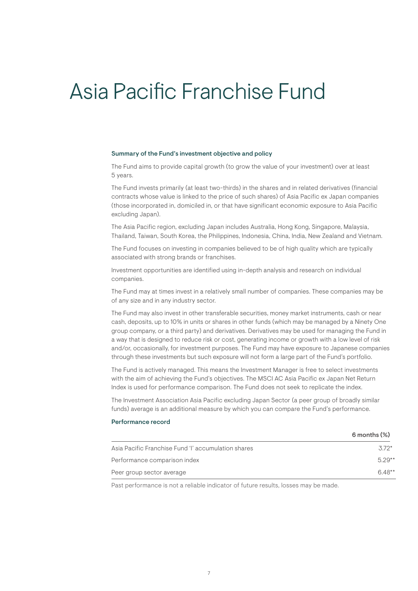## Asia Pacific Franchise Fund

#### Summary of the Fund's investment objective and policy

The Fund aims to provide capital growth (to grow the value of your investment) over at least 5 years.

The Fund invests primarily (at least two-thirds) in the shares and in related derivatives (financial contracts whose value is linked to the price of such shares) of Asia Pacific ex Japan companies (those incorporated in, domiciled in, or that have significant economic exposure to Asia Pacific excluding Japan).

The Asia Pacific region, excluding Japan includes Australia, Hong Kong, Singapore, Malaysia, Thailand, Taiwan, South Korea, the Philippines, Indonesia, China, India, New Zealand and Vietnam.

The Fund focuses on investing in companies believed to be of high quality which are typically associated with strong brands or franchises.

Investment opportunities are identified using in-depth analysis and research on individual companies.

The Fund may at times invest in a relatively small number of companies. These companies may be of any size and in any industry sector.

The Fund may also invest in other transferable securities, money market instruments, cash or near cash, deposits, up to 10% in units or shares in other funds (which may be managed by a Ninety One group company, or a third party) and derivatives. Derivatives may be used for managing the Fund in a way that is designed to reduce risk or cost, generating income or growth with a low level of risk and/or, occasionally, for investment purposes. The Fund may have exposure to Japanese companies through these investments but such exposure will not form a large part of the Fund's portfolio.

The Fund is actively managed. This means the Investment Manager is free to select investments with the aim of achieving the Fund's objectives. The MSCI AC Asia Pacific ex Japan Net Return Index is used for performance comparison. The Fund does not seek to replicate the index.

The Investment Association Asia Pacific excluding Japan Sector (a peer group of broadly similar funds) average is an additional measure by which you can compare the Fund's performance.

#### Performance record

|                                                     | $6$ months $(\%)$ |
|-----------------------------------------------------|-------------------|
| Asia Pacific Franchise Fund 'l' accumulation shares | $.372*$           |
| Performance comparison index                        | $5.29**$          |
| Peer group sector average                           | $6.48**$          |

Past performance is not a reliable indicator of future results, losses may be made.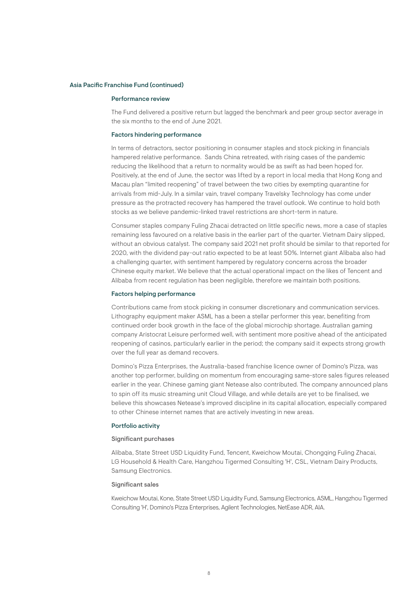#### Asia Pacific Franchise Fund (continued)

#### Performance review

The Fund delivered a positive return but lagged the benchmark and peer group sector average in the six months to the end of June 2021.

#### Factors hindering performance

In terms of detractors, sector positioning in consumer staples and stock picking in financials hampered relative performance. Sands China retreated, with rising cases of the pandemic reducing the likelihood that a return to normality would be as swift as had been hoped for. Positively, at the end of June, the sector was lifted by a report in local media that Hong Kong and Macau plan "limited reopening" of travel between the two cities by exempting quarantine for arrivals from mid-July. In a similar vain, travel company Travelsky Technology has come under pressure as the protracted recovery has hampered the travel outlook. We continue to hold both stocks as we believe pandemic-linked travel restrictions are short-term in nature.

Consumer staples company Fuling Zhacai detracted on little specific news, more a case of staples remaining less favoured on a relative basis in the earlier part of the quarter. Vietnam Dairy slipped, without an obvious catalyst. The company said 2021 net profit should be similar to that reported for 2020, with the dividend pay-out ratio expected to be at least 50%. Internet giant Alibaba also had a challenging quarter, with sentiment hampered by regulatory concerns across the broader Chinese equity market. We believe that the actual operational impact on the likes of Tencent and Alibaba from recent regulation has been negligible, therefore we maintain both positions.

#### Factors helping performance

Contributions came from stock picking in consumer discretionary and communication services. Lithography equipment maker ASML has a been a stellar performer this year, benefiting from continued order book growth in the face of the global microchip shortage. Australian gaming company Aristocrat Leisure performed well, with sentiment more positive ahead of the anticipated reopening of casinos, particularly earlier in the period; the company said it expects strong growth over the full year as demand recovers.

Domino's Pizza Enterprises, the Australia-based franchise licence owner of Domino's Pizza, was another top performer, building on momentum from encouraging same-store sales figures released earlier in the year. Chinese gaming giant Netease also contributed. The company announced plans to spin off its music streaming unit Cloud Village, and while details are yet to be finalised, we believe this showcases Netease's improved discipline in its capital allocation, especially compared to other Chinese internet names that are actively investing in new areas.

#### Portfolio activity

#### Significant purchases

Alibaba, State Street USD Liquidity Fund, Tencent, Kweichow Moutai, Chongqing Fuling Zhacai, LG Household & Health Care, Hangzhou Tigermed Consulting 'H', CSL, Vietnam Dairy Products, Samsung Electronics.

#### Significant sales

Kweichow Moutai, Kone, State Street USD Liquidity Fund, Samsung Electronics, ASML, Hangzhou Tigermed Consulting 'H', Domino's Pizza Enterprises, Agilent Technologies, NetEase ADR, AIA.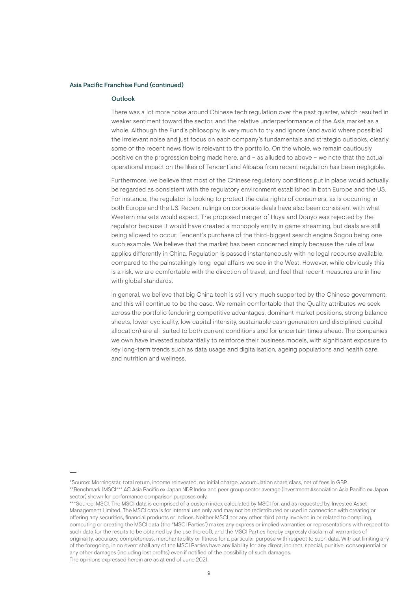#### Asia Pacific Franchise Fund (continued)

#### Outlook

There was a lot more noise around Chinese tech regulation over the past quarter, which resulted in weaker sentiment toward the sector, and the relative underperformance of the Asia market as a whole. Although the Fund's philosophy is very much to try and ignore (and avoid where possible) the irrelevant noise and just focus on each company's fundamentals and strategic outlooks, clearly, some of the recent news flow is relevant to the portfolio. On the whole, we remain cautiously positive on the progression being made here, and – as alluded to above – we note that the actual operational impact on the likes of Tencent and Alibaba from recent regulation has been negligible.

Furthermore, we believe that most of the Chinese regulatory conditions put in place would actually be regarded as consistent with the regulatory environment established in both Europe and the US. For instance, the regulator is looking to protect the data rights of consumers, as is occurring in both Europe and the US. Recent rulings on corporate deals have also been consistent with what Western markets would expect. The proposed merger of Huya and Douyo was rejected by the regulator because it would have created a monopoly entity in game streaming, but deals are still being allowed to occur; Tencent's purchase of the third-biggest search engine Sogou being one such example. We believe that the market has been concerned simply because the rule of law applies differently in China. Regulation is passed instantaneously with no legal recourse available, compared to the painstakingly long legal affairs we see in the West. However, while obviously this is a risk, we are comfortable with the direction of travel, and feel that recent measures are in line with global standards.

In general, we believe that big China tech is still very much supported by the Chinese government, and this will continue to be the case. We remain comfortable that the Quality attributes we seek across the portfolio (enduring competitive advantages, dominant market positions, strong balance sheets, lower cyclicality, low capital intensity, sustainable cash generation and disciplined capital allocation) are all suited to both current conditions and for uncertain times ahead. The companies we own have invested substantially to reinforce their business models, with significant exposure to key long-term trends such as data usage and digitalisation, ageing populations and health care, and nutrition and wellness.

<sup>\*</sup>Source: Morningstar, total return, income reinvested, no initial charge, accumulation share class, net of fees in GBP. \*\*Benchmark (MSCI\*\*\* AC Asia Pacific ex Japan NDR Index and peer group sector average (Investment Association Asia Pacific ex Japan sector) shown for performance comparison purposes only.

<sup>\*\*\*</sup>Source: MSCI. The MSCI data is comprised of a custom index calculated by MSCI for, and as requested by, Investec Asset Management Limited. The MSCI data is for internal use only and may not be redistributed or used in connection with creating or offering any securities, financial products or indices. Neither MSCI nor any other third party involved in or related to compiling, computing or creating the MSCI data (the "MSCI Parties') makes any express or implied warranties or representations with respect to such data (or the results to be obtained by the use thereof), and the MSCI Parties hereby expressly disclaim all warranties of originality, accuracy, completeness, merchantability or fitness for a particular purpose with respect to such data. Without limiting any of the foregoing, in no event shall any of the MSCI Parties have any liability for any direct, indirect, special, punitive, consequential or any other damages (including lost profits) even if notified of the possibility of such damages. The opinions expressed herein are as at end of June 2021.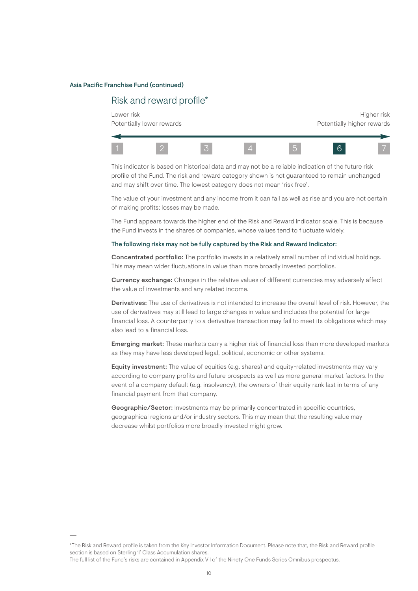#### Asia Pacific Franchise Fund (continued)

### Risk and reward profile\*

Lower risk the controller of the controller of the controller of the controller of the controller of the controller of the controller of the controller of the controller of the controller of the controller of the controlle Potentially lower rewards extending the potentially higher rewards



This indicator is based on historical data and may not be a reliable indication of the future risk profile of the Fund. The risk and reward category shown is not guaranteed to remain unchanged and may shift over time. The lowest category does not mean 'risk free'.

The value of your investment and any income from it can fall as well as rise and you are not certain of making profits; losses may be made.

The Fund appears towards the higher end of the Risk and Reward Indicator scale. This is because the Fund invests in the shares of companies, whose values tend to fluctuate widely.

#### The following risks may not be fully captured by the Risk and Reward Indicator:

Concentrated portfolio: The portfolio invests in a relatively small number of individual holdings. This may mean wider fluctuations in value than more broadly invested portfolios.

Currency exchange: Changes in the relative values of different currencies may adversely affect the value of investments and any related income.

Derivatives: The use of derivatives is not intended to increase the overall level of risk. However, the use of derivatives may still lead to large changes in value and includes the potential for large financial loss. A counterparty to a derivative transaction may fail to meet its obligations which may also lead to a financial loss.

**Emerging market:** These markets carry a higher risk of financial loss than more developed markets as they may have less developed legal, political, economic or other systems.

Equity investment: The value of equities (e.g. shares) and equity-related investments may vary according to company profits and future prospects as well as more general market factors. In the event of a company default (e.g. insolvency), the owners of their equity rank last in terms of any financial payment from that company.

Geographic/Sector: Investments may be primarily concentrated in specific countries, geographical regions and/or industry sectors. This may mean that the resulting value may decrease whilst portfolios more broadly invested might grow.

The full list of the Fund's risks are contained in Appendix VII of the Ninety One Funds Series Omnibus prospectus.

<sup>\*</sup>The Risk and Reward profile is taken from the Key Investor Information Document. Please note that, the Risk and Reward profile section is based on Sterling 'I' Class Accumulation shares.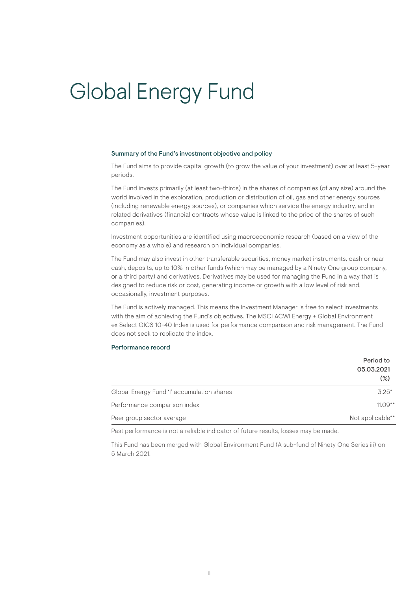# Global Energy Fund

#### Summary of the Fund's investment objective and policy

The Fund aims to provide capital growth (to grow the value of your investment) over at least 5-year periods.

The Fund invests primarily (at least two-thirds) in the shares of companies (of any size) around the world involved in the exploration, production or distribution of oil, gas and other energy sources (including renewable energy sources), or companies which service the energy industry, and in related derivatives (financial contracts whose value is linked to the price of the shares of such companies).

Investment opportunities are identified using macroeconomic research (based on a view of the economy as a whole) and research on individual companies.

The Fund may also invest in other transferable securities, money market instruments, cash or near cash, deposits, up to 10% in other funds (which may be managed by a Ninety One group company, or a third party) and derivatives. Derivatives may be used for managing the Fund in a way that is designed to reduce risk or cost, generating income or growth with a low level of risk and, occasionally, investment purposes.

The Fund is actively managed. This means the Investment Manager is free to select investments with the aim of achieving the Fund's objectives. The MSCI ACWI Energy + Global Environment ex Select GICS 10-40 Index is used for performance comparison and risk management. The Fund does not seek to replicate the index.

#### Performance record

|                                            | Period to            |
|--------------------------------------------|----------------------|
|                                            | 05.03.2021<br>$(\%)$ |
| Global Energy Fund 'l' accumulation shares | $3.25*$              |
| Performance comparison index               | $11.09**$            |
| Peer group sector average                  | Not applicable**     |

Past performance is not a reliable indicator of future results, losses may be made.

This Fund has been merged with Global Environment Fund (A sub-fund of Ninety One Series iii) on 5 March 2021.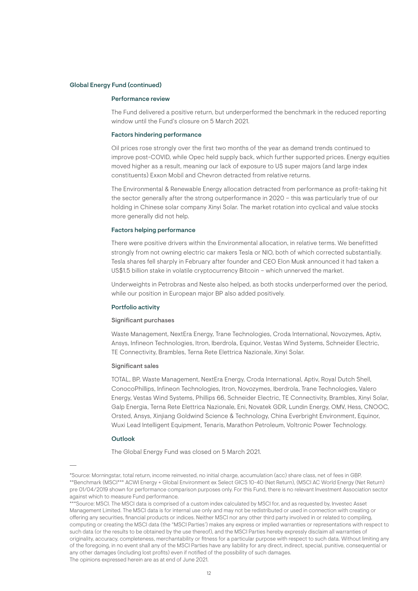#### Global Energy Fund (continued)

#### Performance review

The Fund delivered a positive return, but underperformed the benchmark in the reduced reporting window until the Fund's closure on 5 March 2021.

#### Factors hindering performance

Oil prices rose strongly over the first two months of the year as demand trends continued to improve post-COVID, while Opec held supply back, which further supported prices. Energy equities moved higher as a result, meaning our lack of exposure to US super majors (and large index constituents) Exxon Mobil and Chevron detracted from relative returns.

The Environmental & Renewable Energy allocation detracted from performance as profit-taking hit the sector generally after the strong outperformance in 2020 – this was particularly true of our holding in Chinese solar company Xinyi Solar. The market rotation into cyclical and value stocks more generally did not help.

#### Factors helping performance

There were positive drivers within the Environmental allocation, in relative terms. We benefitted strongly from not owning electric car makers Tesla or NIO, both of which corrected substantially. Tesla shares fell sharply in February after founder and CEO Elon Musk announced it had taken a US\$1.5 billion stake in volatile cryptocurrency Bitcoin – which unnerved the market.

Underweights in Petrobras and Neste also helped, as both stocks underperformed over the period, while our position in European major BP also added positively.

#### Portfolio activity

#### Significant purchases

Waste Management, NextEra Energy, Trane Technologies, Croda International, Novozymes, Aptiv, Ansys, Infineon Technologies, Itron, Iberdrola, Equinor, Vestas Wind Systems, Schneider Electric, TE Connectivity, Brambles, Terna Rete Elettrica Nazionale, Xinyi Solar.

#### Significant sales

TOTAL, BP, Waste Management, NextEra Energy, Croda International, Aptiv, Royal Dutch Shell, ConocoPhillips, Infineon Technologies, Itron, Novozymes, Iberdrola, Trane Technologies, Valero Energy, Vestas Wind Systems, Phillips 66, Schneider Electric, TE Connectivity, Brambles, Xinyi Solar, Galp Energia, Terna Rete Elettrica Nazionale, Eni, Novatek GDR, Lundin Energy, OMV, Hess, CNOOC, Orsted, Ansys, Xinjiang Goldwind Science & Technology, China Everbright Environment, Equinor, Wuxi Lead Intelligent Equipment, Tenaris, Marathon Petroleum, Voltronic Power Technology.

#### **Outlook**

The Global Energy Fund was closed on 5 March 2021.

<sup>\*</sup>Source: Morningstar, total return, income reinvested, no initial charge, accumulation (acc) share class, net of fees in GBP. \*\*Benchmark (MSCI\*\*\* ACWI Energy + Global Environment ex Select GICS 10-40 (Net Return), (MSCI AC World Energy (Net Return) pre 01/04/2019 shown for performance comparison purposes only. For this Fund, there is no relevant Investment Association sector against which to measure Fund performance.

<sup>\*\*\*</sup>Source: MSCI. The MSCI data is comprised of a custom index calculated by MSCI for, and as requested by, Investec Asset Management Limited. The MSCI data is for internal use only and may not be redistributed or used in connection with creating or offering any securities, financial products or indices. Neither MSCI nor any other third party involved in or related to compiling, computing or creating the MSCI data (the "MSCI Parties') makes any express or implied warranties or representations with respect to such data (or the results to be obtained by the use thereof), and the MSCI Parties hereby expressly disclaim all warranties of originality, accuracy, completeness, merchantability or fitness for a particular purpose with respect to such data. Without limiting any of the foregoing, in no event shall any of the MSCI Parties have any liability for any direct, indirect, special, punitive, consequential or any other damages (including lost profits) even if notified of the possibility of such damages. The opinions expressed herein are as at end of June 2021.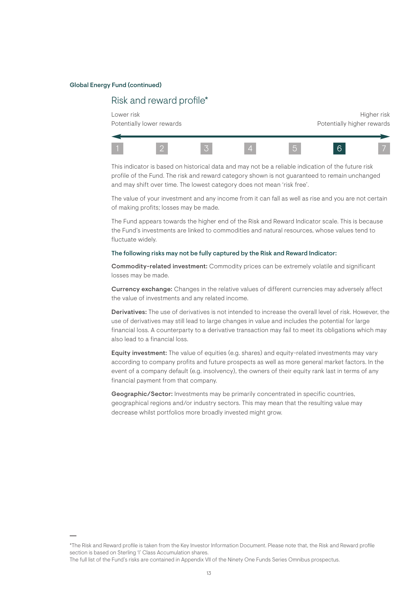#### Global Energy Fund (continued)

### Risk and reward profile\*

Lower risk the controller of the controller of the controller of the controller of the controller of the controller of the controller of the controller of the controller of the controller of the controller of the controlle Potentially lower rewards extending the potentially higher rewards



This indicator is based on historical data and may not be a reliable indication of the future risk profile of the Fund. The risk and reward category shown is not guaranteed to remain unchanged and may shift over time. The lowest category does not mean 'risk free'.

The value of your investment and any income from it can fall as well as rise and you are not certain of making profits; losses may be made.

The Fund appears towards the higher end of the Risk and Reward Indicator scale. This is because the Fund's investments are linked to commodities and natural resources, whose values tend to fluctuate widely.

#### The following risks may not be fully captured by the Risk and Reward Indicator:

Commodity-related investment: Commodity prices can be extremely volatile and significant losses may be made.

Currency exchange: Changes in the relative values of different currencies may adversely affect the value of investments and any related income.

Derivatives: The use of derivatives is not intended to increase the overall level of risk. However, the use of derivatives may still lead to large changes in value and includes the potential for large financial loss. A counterparty to a derivative transaction may fail to meet its obligations which may also lead to a financial loss.

Equity investment: The value of equities (e.g. shares) and equity-related investments may vary according to company profits and future prospects as well as more general market factors. In the event of a company default (e.g. insolvency), the owners of their equity rank last in terms of any financial payment from that company.

Geographic/Sector: Investments may be primarily concentrated in specific countries, geographical regions and/or industry sectors. This may mean that the resulting value may decrease whilst portfolios more broadly invested might grow.

The full list of the Fund's risks are contained in Appendix VII of the Ninety One Funds Series Omnibus prospectus.

<sup>\*</sup>The Risk and Reward profile is taken from the Key Investor Information Document. Please note that, the Risk and Reward profile section is based on Sterling 'I' Class Accumulation shares.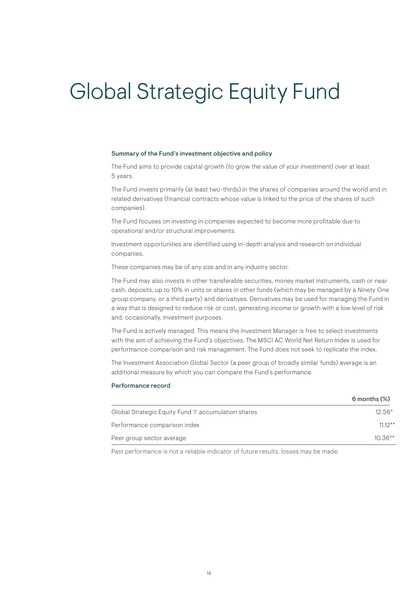# Global Strategic Equity Fund

#### Summary of the Fund's investment objective and policy

The Fund aims to provide capital growth (to grow the value of your investment) over at least 5 years.

The Fund invests primarily (at least two-thirds) in the shares of companies around the world and in related derivatives (financial contracts whose value is linked to the price of the shares of such companies).

The Fund focuses on investing in companies expected to become more profitable due to operational and/or structural improvements.

Investment opportunities are identified using in-depth analysis and research on individual companies.

These companies may be of any size and in any industry sector.

The Fund may also invests in other transferable securities, money market instruments, cash or near cash, deposits, up to 10% in units or shares in other funds (which may be managed by a Ninety One group company, or a third party) and derivatives. Derivatives may be used for managing the Fund in a way that is designed to reduce risk or cost, generating income or growth with a low level of risk and, occasionally, investment purposes.

The Fund is actively managed. This means the Investment Manager is free to select investments with the aim of achieving the Fund's objectives. The MSCI AC World Net Return Index is used for performance comparison and risk management. The Fund does not seek to replicate the index.

The Investment Association Global Sector (a peer group of broadly similar funds) average is an additional measure by which you can compare the Fund's performance.

#### Performance record

|                                                      | $6$ months $(\%)$ |
|------------------------------------------------------|-------------------|
| Global Strategic Equity Fund 'l' accumulation shares | $12.56*$          |
| Performance comparison index                         | $11.12**$         |
| Peer group sector average                            | $10.36**$         |
|                                                      |                   |

Past performance is not a reliable indicator of future results, losses may be made.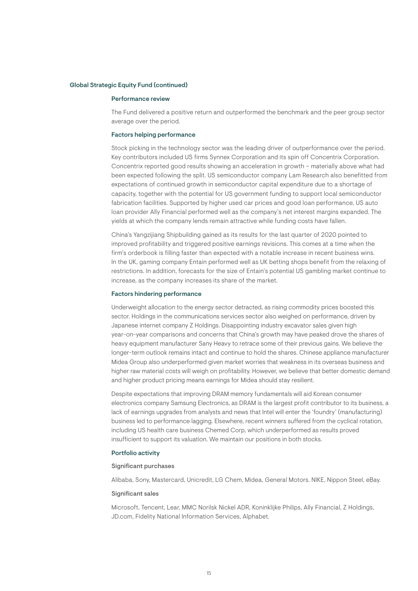#### Global Strategic Equity Fund (continued)

#### Performance review

The Fund delivered a positive return and outperformed the benchmark and the peer group sector average over the period.

#### Factors helping performance

Stock picking in the technology sector was the leading driver of outperformance over the period. Key contributors included US firms Synnex Corporation and its spin off Concentrix Corporation. Concentrix reported good results showing an acceleration in growth – materially above what had been expected following the split. US semiconductor company Lam Research also benefitted from expectations of continued growth in semiconductor capital expenditure due to a shortage of capacity, together with the potential for US government funding to support local semiconductor fabrication facilities. Supported by higher used car prices and good loan performance, US auto loan provider Ally Financial performed well as the company's net interest margins expanded. The yields at which the company lends remain attractive while funding costs have fallen.

China's Yangzijiang Shipbuilding gained as its results for the last quarter of 2020 pointed to improved profitability and triggered positive earnings revisions. This comes at a time when the firm's orderbook is filling faster than expected with a notable increase in recent business wins. In the UK, gaming company Entain performed well as UK betting shops benefit from the relaxing of restrictions. In addition, forecasts for the size of Entain's potential US gambling market continue to increase, as the company increases its share of the market.

#### Factors hindering performance

Underweight allocation to the energy sector detracted, as rising commodity prices boosted this sector. Holdings in the communications services sector also weighed on performance, driven by Japanese internet company Z Holdings. Disappointing industry excavator sales given high year-on-year comparisons and concerns that China's growth may have peaked drove the shares of heavy equipment manufacturer Sany Heavy to retrace some of their previous gains. We believe the longer-term outlook remains intact and continue to hold the shares. Chinese appliance manufacturer Midea Group also underperformed given market worries that weakness in its overseas business and higher raw material costs will weigh on profitability. However, we believe that better domestic demand and higher product pricing means earnings for Midea should stay resilient.

Despite expectations that improving DRAM memory fundamentals will aid Korean consumer electronics company Samsung Electronics, as DRAM is the largest profit contributor to its business, a lack of earnings upgrades from analysts and news that Intel will enter the 'foundry' (manufacturing) business led to performance lagging. Elsewhere, recent winners suffered from the cyclical rotation, including US health care business Chemed Corp, which underperformed as results proved insufficient to support its valuation. We maintain our positions in both stocks.

#### Portfolio activity

#### Significant purchases

Alibaba, Sony, Mastercard, Unicredit, LG Chem, Midea, General Motors. NIKE, Nippon Steel, eBay.

#### Significant sales

Microsoft, Tencent, Lear, MMC Norilsk Nickel ADR, Koninklijke Philips, Ally Financial, Z Holdings, JD.com, Fidelity National Information Services, Alphabet.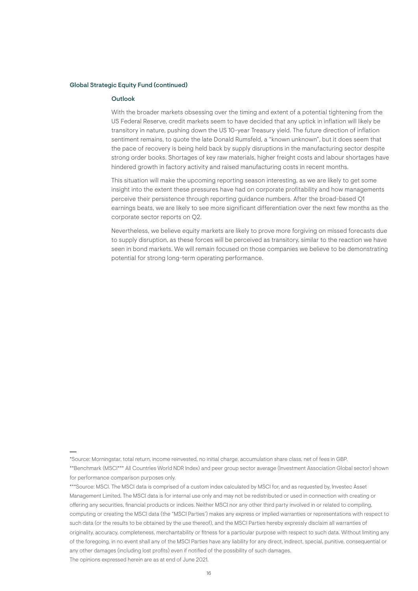#### Global Strategic Equity Fund (continued)

#### Outlook

With the broader markets obsessing over the timing and extent of a potential tightening from the US Federal Reserve, credit markets seem to have decided that any uptick in inflation will likely be transitory in nature, pushing down the US 10-year Treasury yield. The future direction of inflation sentiment remains, to quote the late Donald Rumsfeld, a "known unknown", but it does seem that the pace of recovery is being held back by supply disruptions in the manufacturing sector despite strong order books. Shortages of key raw materials, higher freight costs and labour shortages have hindered growth in factory activity and raised manufacturing costs in recent months.

This situation will make the upcoming reporting season interesting, as we are likely to get some insight into the extent these pressures have had on corporate profitability and how managements perceive their persistence through reporting guidance numbers. After the broad-based Q1 earnings beats, we are likely to see more significant differentiation over the next few months as the corporate sector reports on Q2.

Nevertheless, we believe equity markets are likely to prove more forgiving on missed forecasts due to supply disruption, as these forces will be perceived as transitory, similar to the reaction we have seen in bond markets. We will remain focused on those companies we believe to be demonstrating potential for strong long-term operating performance.

<sup>\*</sup>Source: Morningstar, total return, income reinvested, no initial charge, accumulation share class, net of fees in GBP. \*\*Benchmark (MSCI\*\*\* All Countries World NDR Index) and peer group sector average (Investment Association Global sector) shown for performance comparison purposes only.

<sup>\*\*\*</sup>Source: MSCI. The MSCI data is comprised of a custom index calculated by MSCI for, and as requested by, Investec Asset Management Limited. The MSCI data is for internal use only and may not be redistributed or used in connection with creating or offering any securities, financial products or indices. Neither MSCI nor any other third party involved in or related to compiling, computing or creating the MSCI data (the "MSCI Parties') makes any express or implied warranties or representations with respect to such data (or the results to be obtained by the use thereof), and the MSCI Parties hereby expressly disclaim all warranties of originality, accuracy, completeness, merchantability or fitness for a particular purpose with respect to such data. Without limiting any of the foregoing, in no event shall any of the MSCI Parties have any liability for any direct, indirect, special, punitive, consequential or any other damages (including lost profits) even if notified of the possibility of such damages. The opinions expressed herein are as at end of June 2021.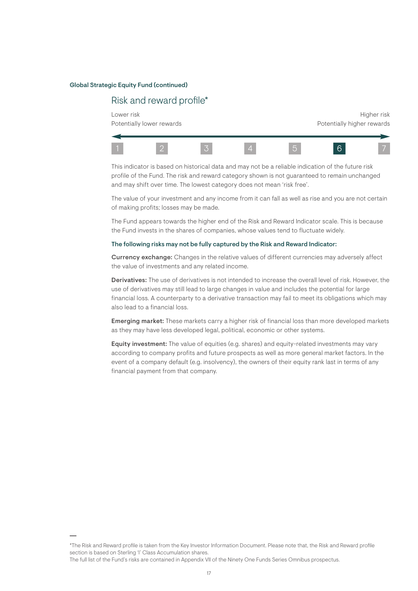#### Global Strategic Equity Fund (continued)

### Risk and reward profile\*

Lower risk the controller of the controller of the controller of the controller of the controller of the controller of the controller of the controller of the controller of the controller of the controller of the controlle Potentially lower rewards **Potentially lower rewards** Potentially higher rewards



This indicator is based on historical data and may not be a reliable indication of the future risk profile of the Fund. The risk and reward category shown is not guaranteed to remain unchanged and may shift over time. The lowest category does not mean 'risk free'.

The value of your investment and any income from it can fall as well as rise and you are not certain of making profits; losses may be made.

The Fund appears towards the higher end of the Risk and Reward Indicator scale. This is because the Fund invests in the shares of companies, whose values tend to fluctuate widely.

#### The following risks may not be fully captured by the Risk and Reward Indicator:

Currency exchange: Changes in the relative values of different currencies may adversely affect the value of investments and any related income.

Derivatives: The use of derivatives is not intended to increase the overall level of risk. However, the use of derivatives may still lead to large changes in value and includes the potential for large financial loss. A counterparty to a derivative transaction may fail to meet its obligations which may also lead to a financial loss.

**Emerging market:** These markets carry a higher risk of financial loss than more developed markets as they may have less developed legal, political, economic or other systems.

Equity investment: The value of equities (e.g. shares) and equity-related investments may vary according to company profits and future prospects as well as more general market factors. In the event of a company default (e.g. insolvency), the owners of their equity rank last in terms of any financial payment from that company.

The full list of the Fund's risks are contained in Appendix VII of the Ninety One Funds Series Omnibus prospectus.

<sup>\*</sup>The Risk and Reward profile is taken from the Key Investor Information Document. Please note that, the Risk and Reward profile section is based on Sterling 'I' Class Accumulation shares.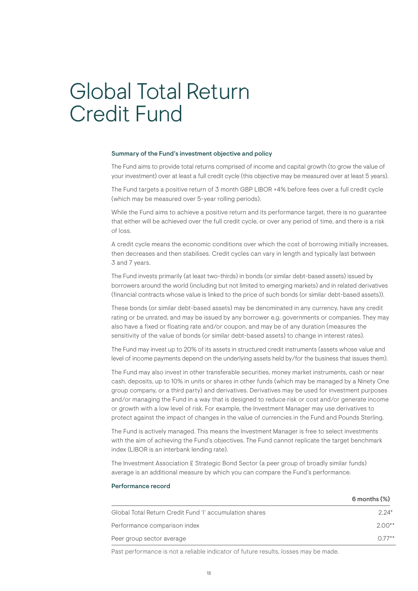## Global Total Return Credit Fund

#### Summary of the Fund's investment objective and policy

The Fund aims to provide total returns comprised of income and capital growth (to grow the value of your investment) over at least a full credit cycle (this objective may be measured over at least 5 years).

The Fund targets a positive return of 3 month GBP LIBOR +4% before fees over a full credit cycle (which may be measured over 5-year rolling periods).

While the Fund aims to achieve a positive return and its performance target, there is no guarantee that either will be achieved over the full credit cycle, or over any period of time, and there is a risk of loss.

A credit cycle means the economic conditions over which the cost of borrowing initially increases, then decreases and then stabilises. Credit cycles can vary in length and typically last between 3 and 7 years.

The Fund invests primarily (at least two-thirds) in bonds (or similar debt-based assets) issued by borrowers around the world (including but not limited to emerging markets) and in related derivatives (financial contracts whose value is linked to the price of such bonds (or similar debt-based assets)).

These bonds (or similar debt-based assets) may be denominated in any currency, have any credit rating or be unrated, and may be issued by any borrower e.g. governments or companies. They may also have a fixed or floating rate and/or coupon, and may be of any duration (measures the sensitivity of the value of bonds (or similar debt-based assets) to change in interest rates).

The Fund may invest up to 20% of its assets in structured credit instruments (assets whose value and level of income payments depend on the underlying assets held by/for the business that issues them).

The Fund may also invest in other transferable securities, money market instruments, cash or near cash, deposits, up to 10% in units or shares in other funds (which may be managed by a Ninety One group company, or a third party) and derivatives. Derivatives may be used for investment purposes and/or managing the Fund in a way that is designed to reduce risk or cost and/or generate income or growth with a low level of risk. For example, the Investment Manager may use derivatives to protect against the impact of changes in the value of currencies in the Fund and Pounds Sterling.

The Fund is actively managed. This means the Investment Manager is free to select investments with the aim of achieving the Fund's objectives. The Fund cannot replicate the target benchmark index (LIBOR is an interbank lending rate).

The Investment Association £ Strategic Bond Sector (a peer group of broadly similar funds) average is an additional measure by which you can compare the Fund's performance.

### Performance record 6 months (%) Global Total Return Credit Fund 'I' accumulation shares 2.24\* Performance comparison index 2.00<sup>\*\*</sup> 2.00<sup>\*\*</sup> Peer group sector average  $0.77**$

Past performance is not a reliable indicator of future results, losses may be made.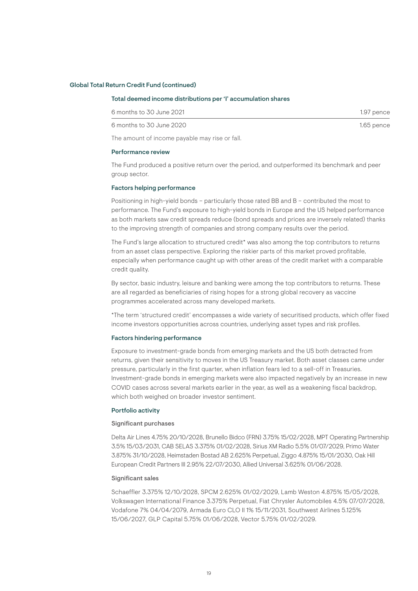#### Global Total Return Credit Fund (continued)

#### Total deemed income distributions per 'I' accumulation shares

| 6 months to 30 June 2021 | 1.97 pence   |
|--------------------------|--------------|
| 6 months to 30 June 2020 | $1.65$ pence |

The amount of income payable may rise or fall.

#### Performance review

The Fund produced a positive return over the period, and outperformed its benchmark and peer group sector.

#### Factors helping performance

Positioning in high-yield bonds – particularly those rated BB and B – contributed the most to performance. The Fund's exposure to high-yield bonds in Europe and the US helped performance as both markets saw credit spreads reduce (bond spreads and prices are inversely related) thanks to the improving strength of companies and strong company results over the period.

The Fund's large allocation to structured credit\* was also among the top contributors to returns from an asset class perspective. Exploring the riskier parts of this market proved profitable, especially when performance caught up with other areas of the credit market with a comparable credit quality.

By sector, basic industry, leisure and banking were among the top contributors to returns. These are all regarded as beneficiaries of rising hopes for a strong global recovery as vaccine programmes accelerated across many developed markets.

\*The term 'structured credit' encompasses a wide variety of securitised products, which offer fixed income investors opportunities across countries, underlying asset types and risk profiles.

#### Factors hindering performance

Exposure to investment-grade bonds from emerging markets and the US both detracted from returns, given their sensitivity to moves in the US Treasury market. Both asset classes came under pressure, particularly in the first quarter, when inflation fears led to a sell-off in Treasuries. Investment-grade bonds in emerging markets were also impacted negatively by an increase in new COVID cases across several markets earlier in the year, as well as a weakening fiscal backdrop, which both weighed on broader investor sentiment.

#### Portfolio activity

#### Significant purchases

Delta Air Lines 4.75% 20/10/2028, Brunello Bidco (FRN) 3.75% 15/02/2028, MPT Operating Partnership 3.5% 15/03/2031, CAB SELAS 3.375% 01/02/2028, Sirius XM Radio 5.5% 01/07/2029, Primo Water 3.875% 31/10/2028, Heimstaden Bostad AB 2.625% Perpetual, Ziggo 4.875% 15/01/2030, Oak Hill European Credit Partners III 2.95% 22/07/2030, Allied Universal 3.625% 01/06/2028.

#### Significant sales

Schaeffler 3.375% 12/10/2028, SPCM 2.625% 01/02/2029, Lamb Weston 4.875% 15/05/2028, Volkswagen International Finance 3.375% Perpetual, Fiat Chrysler Automobiles 4.5% 07/07/2028, Vodafone 7% 04/04/2079, Armada Euro CLO II 1% 15/11/2031, Southwest Airlines 5.125% 15/06/2027, GLP Capital 5.75% 01/06/2028, Vector 5.75% 01/02/2029.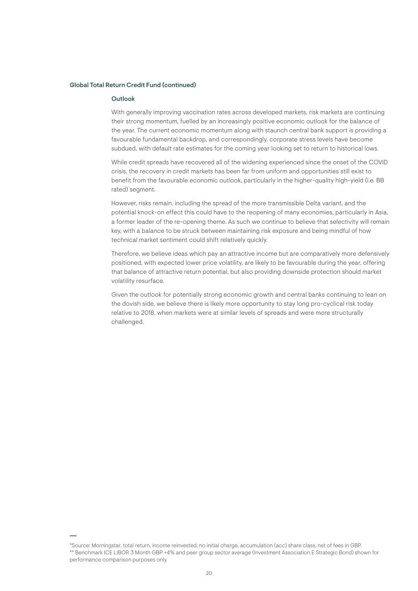#### Global Total Return Credit Fund (continued)

#### Outlook

With generally improving vaccination rates across developed markets, risk markets are continuing their strong momentum, fuelled by an increasingly positive economic outlook for the balance of the year. The current economic momentum along with staunch central bank support is providing a favourable fundamental backdrop, and correspondingly, corporate stress levels have become subdued, with default rate estimates for the coming year looking set to return to historical lows.

While credit spreads have recovered all of the widening experienced since the onset of the COVID crisis, the recovery in credit markets has been far from uniform and opportunities still exist to benefit from the favourable economic outlook, particularly in the higher-quality high-yield (i.e. BB rated) segment.

However, risks remain, including the spread of the more transmissible Delta variant, and the potential knock-on effect this could have to the reopening of many economies, particularly in Asia, a former leader of the re-opening theme. As such we continue to believe that selectivity will remain key, with a balance to be struck between maintaining risk exposure and being mindful of how technical market sentiment could shift relatively quickly.

Therefore, we believe ideas which pay an attractive income but are comparatively more defensively positioned, with expected lower price volatility, are likely to be favourable during the year, offering that balance of attractive return potential, but also providing downside protection should market volatility resurface.

Given the outlook for potentially strong economic growth and central banks continuing to lean on the dovish side, we believe there is likely more opportunity to stay long pro-cyclical risk today relative to 2018, when markets were at similar levels of spreads and were more structurally challenged.

<sup>\*</sup>Source: Morningstar, total return, income reinvested, no initial charge, accumulation (acc) share class, net of fees in GBP. \*\* Benchmark ICE LIBOR 3 Month GBP +4% and peer group sector average (Investment Association £ Strategic Bond) shown for performance comparison purposes only.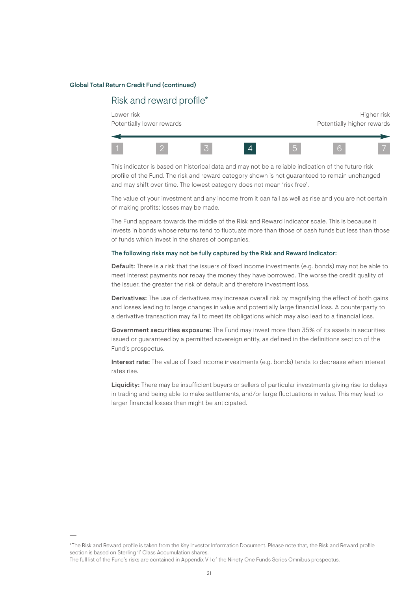#### Global Total Return Credit Fund (continued)

### Risk and reward profile\*

Lower risk the controller of the controller of the controller of the controller of the controller of the controller of the controller of the controller of the controller of the controller of the controller of the controlle Potentially lower rewards extending the potentially higher rewards



This indicator is based on historical data and may not be a reliable indication of the future risk profile of the Fund. The risk and reward category shown is not guaranteed to remain unchanged and may shift over time. The lowest category does not mean 'risk free'.

The value of your investment and any income from it can fall as well as rise and you are not certain of making profits; losses may be made.

The Fund appears towards the middle of the Risk and Reward Indicator scale. This is because it invests in bonds whose returns tend to fluctuate more than those of cash funds but less than those of funds which invest in the shares of companies.

#### The following risks may not be fully captured by the Risk and Reward Indicator:

Default: There is a risk that the issuers of fixed income investments (e.g. bonds) may not be able to meet interest payments nor repay the money they have borrowed. The worse the credit quality of the issuer, the greater the risk of default and therefore investment loss.

Derivatives: The use of derivatives may increase overall risk by magnifying the effect of both gains and losses leading to large changes in value and potentially large financial loss. A counterparty to a derivative transaction may fail to meet its obligations which may also lead to a financial loss.

Government securities exposure: The Fund may invest more than 35% of its assets in securities issued or guaranteed by a permitted sovereign entity, as defined in the definitions section of the Fund's prospectus.

Interest rate: The value of fixed income investments (e.g. bonds) tends to decrease when interest rates rise.

Liquidity: There may be insufficient buyers or sellers of particular investments giving rise to delays in trading and being able to make settlements, and/or large fluctuations in value. This may lead to larger financial losses than might be anticipated.

#### The full list of the Fund's risks are contained in Appendix VII of the Ninety One Funds Series Omnibus prospectus.

<sup>\*</sup>The Risk and Reward profile is taken from the Key Investor Information Document. Please note that, the Risk and Reward profile section is based on Sterling 'I' Class Accumulation shares.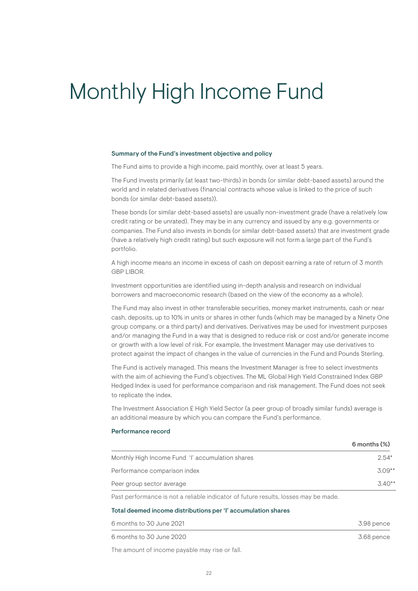# Monthly High Income Fund

#### Summary of the Fund's investment objective and policy

The Fund aims to provide a high income, paid monthly, over at least 5 years.

The Fund invests primarily (at least two-thirds) in bonds (or similar debt-based assets) around the world and in related derivatives (financial contracts whose value is linked to the price of such bonds (or similar debt-based assets)).

These bonds (or similar debt-based assets) are usually non-investment grade (have a relatively low credit rating or be unrated). They may be in any currency and issued by any e.g. governments or companies. The Fund also invests in bonds (or similar debt-based assets) that are investment grade (have a relatively high credit rating) but such exposure will not form a large part of the Fund's portfolio.

A high income means an income in excess of cash on deposit earning a rate of return of 3 month GBP LIBOR.

Investment opportunities are identified using in-depth analysis and research on individual borrowers and macroeconomic research (based on the view of the economy as a whole).

The Fund may also invest in other transferable securities, money market instruments, cash or near cash, deposits, up to 10% in units or shares in other funds (which may be managed by a Ninety One group company, or a third party) and derivatives. Derivatives may be used for investment purposes and/or managing the Fund in a way that is designed to reduce risk or cost and/or generate income or growth with a low level of risk. For example, the Investment Manager may use derivatives to protect against the impact of changes in the value of currencies in the Fund and Pounds Sterling.

The Fund is actively managed. This means the Investment Manager is free to select investments with the aim of achieving the Fund's objectives. The ML Global High Yield Constrained Index GBP Hedged Index is used for performance comparison and risk management. The Fund does not seek to replicate the index.

The Investment Association £ High Yield Sector (a peer group of broadly similar funds) average is an additional measure by which you can compare the Fund's performance.

#### Performance record

|                                                  | $6$ months $(\%)$ |
|--------------------------------------------------|-------------------|
| Monthly High Income Fund 'I' accumulation shares | $2.54*$           |
| Performance comparison index                     | $3.09**$          |
| Peer group sector average                        | $3.40**$          |
|                                                  |                   |

Past performance is not a reliable indicator of future results, losses may be made.

#### Total deemed income distributions per 'I' accumulation shares

| 6 months to 30 June 2021 | 3.98 pence |
|--------------------------|------------|
| 6 months to 30 June 2020 | 3.68 pence |

The amount of income payable may rise or fall.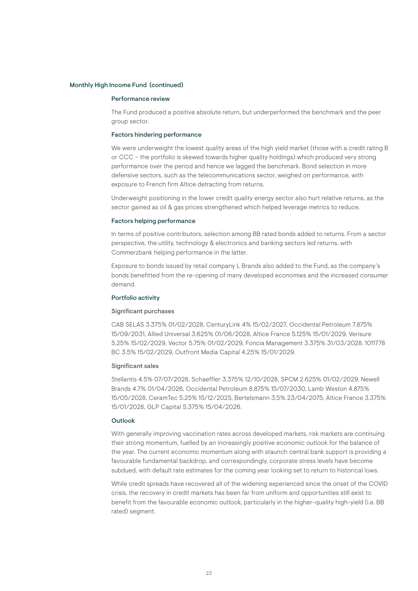#### Monthly High Income Fund (continued)

#### Performance review

The Fund produced a positive absolute return, but underperformed the benchmark and the peer group sector.

#### Factors hindering performance

We were underweight the lowest quality areas of the high yield market (those with a credit rating B or CCC – the portfolio is skewed towards higher quality holdings) which produced very strong performance over the period and hence we lagged the benchmark. Bond selection in more defensive sectors, such as the telecommunications sector, weighed on performance, with exposure to French firm Altice detracting from returns.

Underweight positioning in the lower credit quality energy sector also hurt relative returns, as the sector gained as oil & gas prices strengthened which helped leverage metrics to reduce.

#### Factors helping performance

In terms of positive contributors, selection among BB rated bonds added to returns. From a sector perspective, the utility, technology & electronics and banking sectors led returns, with Commerzbank helping performance in the latter.

Exposure to bonds issued by retail company L Brands also added to the Fund, as the company's bonds benefitted from the re-opening of many developed economies and the increased consumer demand.

#### Portfolio activity

#### Significant purchases

CAB SELAS 3.375% 01/02/2028, CenturyLink 4% 15/02/2027, Occidental Petroleum 7.875% 15/09/2031, Allied Universal 3.625% 01/06/2028, Altice France 5.125% 15/01/2029, Verisure 5.25% 15/02/2029, Vector 5.75% 01/02/2029, Foncia Management 3.375% 31/03/2028. 1011778 BC 3.5% 15/02/2029, Outfront Media Capital 4.25% 15/01/2029.

#### Significant sales

Stellantis 4.5% 07/07/2028, Schaeffler 3.375% 12/10/2028, SPCM 2.625% 01/02/2029, Newell Brands 4.7% 01/04/2026, Occidental Petroleum 8.875% 15/07/2030, Lamb Weston 4.875% 15/05/2028, CeramTec 5.25% 15/12/2025, Bertelsmann 3.5% 23/04/2075, Altice France 3.375% 15/01/2028, GLP Capital 5.375% 15/04/2026.

#### Outlook

With generally improving vaccination rates across developed markets, risk markets are continuing their strong momentum, fuelled by an increasingly positive economic outlook for the balance of the year. The current economic momentum along with staunch central bank support is providing a favourable fundamental backdrop, and correspondingly, corporate stress levels have become subdued, with default rate estimates for the coming year looking set to return to historical lows.

While credit spreads have recovered all of the widening experienced since the onset of the COVID crisis, the recovery in credit markets has been far from uniform and opportunities still exist to benefit from the favourable economic outlook, particularly in the higher-quality high-yield (i.e. BB rated) segment.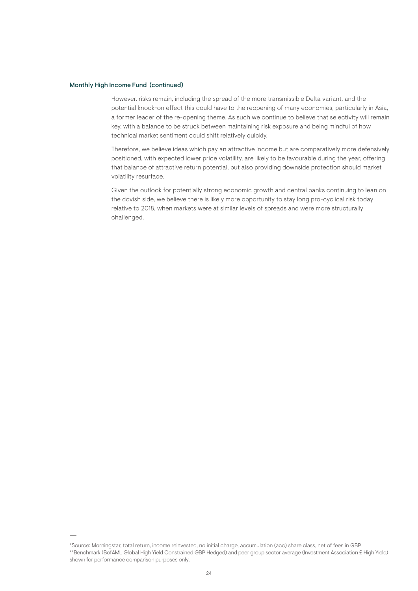#### Monthly High Income Fund (continued)

However, risks remain, including the spread of the more transmissible Delta variant, and the potential knock-on effect this could have to the reopening of many economies, particularly in Asia, a former leader of the re-opening theme. As such we continue to believe that selectivity will remain key, with a balance to be struck between maintaining risk exposure and being mindful of how technical market sentiment could shift relatively quickly.

Therefore, we believe ideas which pay an attractive income but are comparatively more defensively positioned, with expected lower price volatility, are likely to be favourable during the year, offering that balance of attractive return potential, but also providing downside protection should market volatility resurface.

Given the outlook for potentially strong economic growth and central banks continuing to lean on the dovish side, we believe there is likely more opportunity to stay long pro-cyclical risk today relative to 2018, when markets were at similar levels of spreads and were more structurally challenged.

<sup>\*</sup>Source: Morningstar, total return, income reinvested, no initial charge, accumulation (acc) share class, net of fees in GBP. \*\*Benchmark (BofAML Global High Yield Constrained GBP Hedged) and peer group sector average (Investment Association £ High Yield) shown for performance comparison purposes only.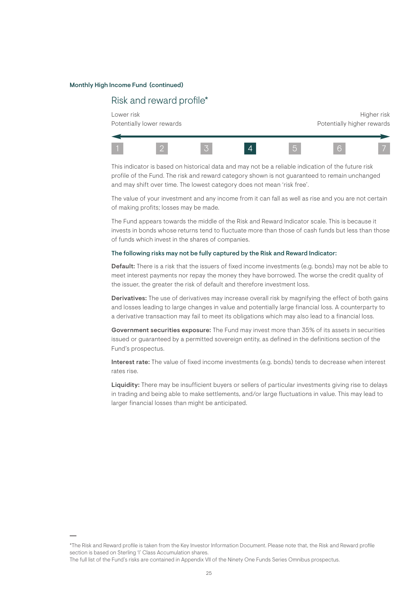#### Monthly High Income Fund (continued)

### Risk and reward profile\*

Lower risk the controller of the controller of the controller of the controller of the controller of the controller of the controller of the controller of the controller of the controller of the controller of the controlle Potentially lower rewards extending the potentially higher rewards



This indicator is based on historical data and may not be a reliable indication of the future risk profile of the Fund. The risk and reward category shown is not guaranteed to remain unchanged and may shift over time. The lowest category does not mean 'risk free'.

The value of your investment and any income from it can fall as well as rise and you are not certain of making profits; losses may be made.

The Fund appears towards the middle of the Risk and Reward Indicator scale. This is because it invests in bonds whose returns tend to fluctuate more than those of cash funds but less than those of funds which invest in the shares of companies.

#### The following risks may not be fully captured by the Risk and Reward Indicator:

Default: There is a risk that the issuers of fixed income investments (e.g. bonds) may not be able to meet interest payments nor repay the money they have borrowed. The worse the credit quality of the issuer, the greater the risk of default and therefore investment loss.

Derivatives: The use of derivatives may increase overall risk by magnifying the effect of both gains and losses leading to large changes in value and potentially large financial loss. A counterparty to a derivative transaction may fail to meet its obligations which may also lead to a financial loss.

Government securities exposure: The Fund may invest more than 35% of its assets in securities issued or guaranteed by a permitted sovereign entity, as defined in the definitions section of the Fund's prospectus.

Interest rate: The value of fixed income investments (e.g. bonds) tends to decrease when interest rates rise.

Liquidity: There may be insufficient buyers or sellers of particular investments giving rise to delays in trading and being able to make settlements, and/or large fluctuations in value. This may lead to larger financial losses than might be anticipated.

#### The full list of the Fund's risks are contained in Appendix VII of the Ninety One Funds Series Omnibus prospectus.

<sup>\*</sup>The Risk and Reward profile is taken from the Key Investor Information Document. Please note that, the Risk and Reward profile section is based on Sterling 'I' Class Accumulation shares.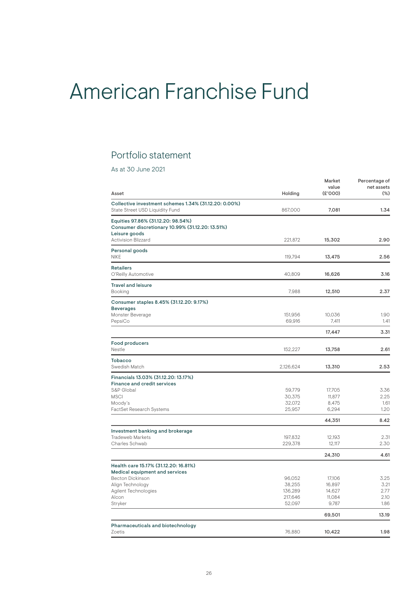## American Franchise Fund

### Portfolio statement

As at 30 June 2021

| Asset                                                                                                   | Holding           | Market<br>value<br>(E'000) | Percentage of<br>net assets<br>$(\%)$ |
|---------------------------------------------------------------------------------------------------------|-------------------|----------------------------|---------------------------------------|
| Collective investment schemes 1.34% (31.12.20: 0.00%)<br>State Street USD Liquidity Fund                | 867,000           | 7,081                      | 1.34                                  |
| Equities 97.86% (31.12.20: 98.54%)<br>Consumer discretionary 10.99% (31.12.20: 13.51%)<br>Leisure goods |                   |                            |                                       |
| <b>Activision Blizzard</b>                                                                              | 221,872           | 15,302                     | 2.90                                  |
| Personal goods<br><b>NIKE</b>                                                                           | 119,794           | 13,475                     | 2.56                                  |
| <b>Retailers</b><br>O'Reilly Automotive                                                                 | 40,809            | 16,626                     | 3.16                                  |
| <b>Travel and leisure</b><br>Booking                                                                    | 7.988             | 12,510                     | 2.37                                  |
| Consumer staples 8.45% (31.12.20: 9.17%)<br><b>Beverages</b>                                            |                   |                            |                                       |
| Monster Beverage<br>PepsiCo                                                                             | 151.956<br>69,916 | 10.036<br>7,411            | 1.90<br>1.41                          |
|                                                                                                         |                   | 17,447                     | 3.31                                  |
| <b>Food producers</b><br>Nestle                                                                         | 152,227           | 13,758                     | 2.61                                  |
| <b>Tobacco</b><br>Swedish Match                                                                         | 2,126,624         | 13,310                     | 2.53                                  |
| Financials 13.03% (31.12.20: 13.17%)<br>Finance and credit services                                     |                   |                            |                                       |
| S&P Global<br><b>MSCI</b>                                                                               | 59,779<br>30,375  | 17,705<br>11,877           | 3.36<br>2.25                          |
| Moody's                                                                                                 | 32,072            | 8,475                      | 1.61                                  |
| FactSet Research Systems                                                                                | 25,957            | 6,294                      | 1.20                                  |
|                                                                                                         |                   | 44,351                     | 8.42                                  |
| Investment banking and brokerage<br><b>Tradeweb Markets</b>                                             | 197,832           | 12,193                     | 2.31                                  |
| Charles Schwab                                                                                          | 229,378           | 12,117                     | 2.30                                  |
|                                                                                                         |                   | 24,310                     | 4.61                                  |
| Health care 15.17% (31.12.20: 16.81%)                                                                   |                   |                            |                                       |
| Medical equipment and services<br>Becton Dickinson                                                      | 96,052            | 17,106                     | 3.25                                  |
| Align Technology                                                                                        | 38,255            | 16,897                     | 3.21                                  |
| Agilent Technologies                                                                                    | 136,289           | 14,627                     | 2.77                                  |
| Alcon                                                                                                   | 217,646           | 11,084                     | 2.10                                  |
| Stryker                                                                                                 | 52,097            | 9,787                      | 1.86                                  |
|                                                                                                         |                   | 69,501                     | 13.19                                 |
| Pharmaceuticals and biotechnology<br>Zoetis                                                             | 76,880            | 10,422                     | 1.98                                  |
|                                                                                                         |                   |                            |                                       |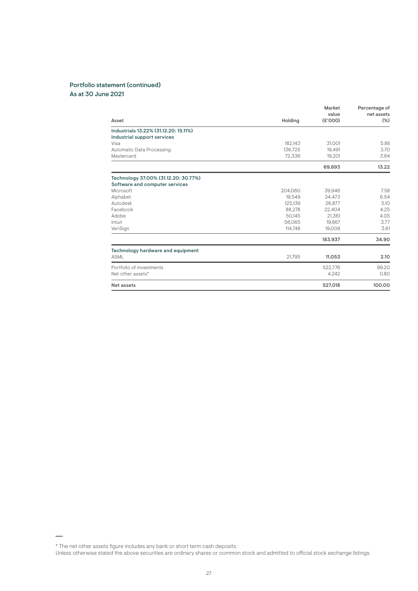#### Portfolio statement (continued) As at 30 June 2021

|                                       |         | Market<br>value | Percentage of<br>net assets |
|---------------------------------------|---------|-----------------|-----------------------------|
| Asset                                 | Holding | (E'000)         | $(\%)$                      |
| Industrials 13.22% (31.12.20: 15.11%) |         |                 |                             |
| Industrial support services           |         |                 |                             |
| Visa                                  | 182.143 | 31,001          | 5.88                        |
| Automatic Data Processing             | 136.725 | 19.491          | 3.70                        |
| Mastercard                            | 72.336  | 19,201          | 3.64                        |
|                                       |         | 69,693          | 13.22                       |
| Technology 37.00% (31.12.20: 30.77%)  |         |                 |                             |
| Software and computer services        |         |                 |                             |
| Microsoft                             | 204,060 | 39.946          | 7.58                        |
| Alphabet                              | 19.549  | 34.473          | 6.54                        |
| Autodesk                              | 125.139 | 26.877          | 5.10                        |
| Facebook                              | 88.278  | 22.404          | 4.25                        |
| Adobe                                 | 50.145  | 21.361          | 4.05                        |
| Intuit                                | 56,065  | 19,867          | 3.77                        |
| VeriSign                              | 114,748 | 19.009          | 3.61                        |
|                                       |         | 183,937         | 34.90                       |
| Technology hardware and equipment     |         |                 |                             |
| <b>ASML</b>                           | 21.795  | 11,053          | 2.10                        |
| Portfolio of investments              |         | 522,776         | 99.20                       |
| Net other assets*                     |         | 4.242           | 0.80                        |
| Net assets                            |         | 527,018         | 100.00                      |

<sup>\*</sup> The net other assets figure includes any bank or short term cash deposits.

Unless otherwise stated the above securities are ordinary shares or common stock and admitted to official stock exchange listings.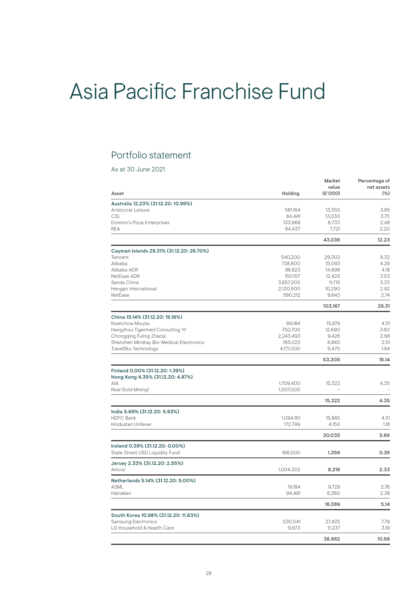# Asia Pacific Franchise Fund

### Portfolio statement

As at 30 June 2021

| Asset                                              | Holding              | Market<br>value<br>(E'000) | Percentage of<br>net assets<br>$(\%)$ |
|----------------------------------------------------|----------------------|----------------------------|---------------------------------------|
| Australia 12.23% (31.12.20: 10.99%)                |                      |                            |                                       |
| Aristocrat Leisure                                 | 581,164              | 13,555                     | 3.85                                  |
| CSL                                                | 84,441               | 13,030                     | 3.70                                  |
| Domino's Pizza Enterprises                         | 133,968              | 8,733                      | 2.48                                  |
| <b>REA</b>                                         | 84,437               | 7,721                      | 2.20                                  |
|                                                    |                      | 43,039                     | 12.23                                 |
| Cayman Islands 29.31% (31.12.20: 26.70%)           |                      |                            |                                       |
| Tencent                                            | 540,200              | 29,302                     | 8.32                                  |
| Alibaba                                            | 738,600              | 15,093                     | 4.29                                  |
| Alibaba ADR                                        | 88,823               | 14,699                     | 4.18                                  |
| NetEase ADR                                        | 150,157              | 12,425                     | 3.53                                  |
| Sands China                                        | 3,857,200            | 11,715                     | 3.33                                  |
| Hengan International<br>NetEase                    | 2,130,500<br>590,212 | 10,290<br>9,643            | 2.92<br>2.74                          |
|                                                    |                      |                            |                                       |
|                                                    |                      | 103,167                    | 29.31                                 |
| China 15.14% (31.12.20: 15.16%)                    |                      |                            |                                       |
| Kweichow Moutai                                    | 69,184               | 15,879                     | 4.51                                  |
| Hangzhou Tigermed Consulting 'H'                   | 750,700              | 12,690                     | 3.60                                  |
| Chongqing Fuling Zhacai                            | 2,243,493            | 9,426                      | 2.68                                  |
| Shenzhen Mindray Bio-Medical Electronics           | 165,023              | 8,840                      | 2.51                                  |
| TravelSky Technology                               | 4,171,000            | 6,470                      | 1.84                                  |
|                                                    |                      | 53,305                     | 15.14                                 |
| Finland 0.00% (31.12.20: 1.39%)                    |                      |                            |                                       |
| Hong Kong 4.35% (31.12.20: 4.87%)                  |                      |                            |                                       |
| AIA                                                | 1,709,400            | 15,322                     | 4.35                                  |
| Real Gold Mining <sup>#</sup>                      | 1,507,000            |                            |                                       |
|                                                    |                      | 15,322                     | 4.35                                  |
| India 5.69% (31.12.20: 5.93%)                      |                      |                            |                                       |
| <b>HDFC Bank</b>                                   | 1,094,161            | 15,885                     | 4.51                                  |
| Hindustan Unilever                                 | 172,799              | 4,150                      | 1.18                                  |
|                                                    |                      | 20,035                     | 5.69                                  |
| Ireland 0.39% (31.12.20: 0.00%)                    |                      |                            |                                       |
| State Street USD Liquidity Fund                    | 166,000              | 1,356                      | 0.39                                  |
| Jersey 2.33% (31.12.20: 2.55%)<br>Amcor            | 1,004,302            | 8,219                      | 2.33                                  |
|                                                    |                      |                            |                                       |
| Netherlands 5.14% (31.12.20: 5.00%)<br><b>ASML</b> | 19,184               | 9,729                      | 2.76                                  |
| Heineken                                           | 94,481               | 8,360                      | 2.38                                  |
|                                                    |                      |                            |                                       |
|                                                    |                      | 18,089                     | 5.14                                  |
| South Korea 10.98% (31.12.20: 11.63%)              |                      |                            |                                       |
| Samsung Electronics                                | 530,541              | 27,425                     | 7.79                                  |
| LG Household & Health Care                         | 9,973                | 11,237                     | 3.19                                  |
|                                                    |                      | 38,662                     | 10.98                                 |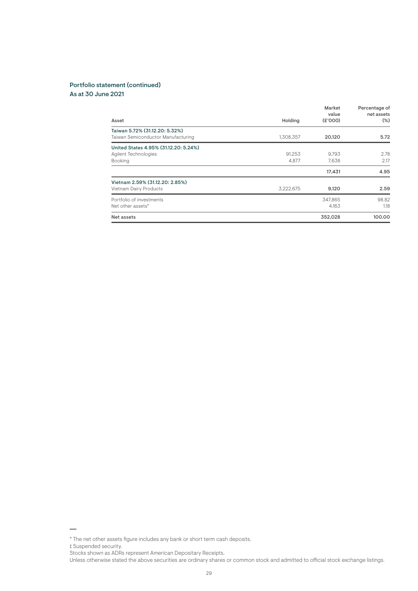#### Portfolio statement (continued) As at 30 June 2021

| Asset                                                                    | Holding         | Market<br>value<br>(E'000) | Percentage of<br>net assets<br>$(\%)$ |
|--------------------------------------------------------------------------|-----------------|----------------------------|---------------------------------------|
| Taiwan 5.72% (31.12.20: 5.32%)<br>Taiwan Semiconductor Manufacturing     | 1,308,357       | 20,120                     | 5.72                                  |
| United States 4.95% (31.12.20: 5.24%)<br>Agilent Technologies<br>Booking | 91.253<br>4.877 | 9.793<br>7,638             | 2.78<br>2.17                          |
|                                                                          |                 | 17,431                     | 4.95                                  |
| Vietnam 2.59% (31.12.20: 2.85%)<br>Vietnam Dairy Products                | 3,222,675       | 9,120                      | 2.59                                  |
| Portfolio of investments<br>Net other assets*                            |                 | 347,865<br>4.163           | 98.82<br>1.18                         |
| Net assets                                                               |                 | 352,028                    | 100.00                                |

<sup>\*</sup> The net other assets figure includes any bank or short term cash deposits.

<sup>‡</sup> Suspended security.

Stocks shown as ADRs represent American Depositary Receipts.

Unless otherwise stated the above securities are ordinary shares or common stock and admitted to official stock exchange listings.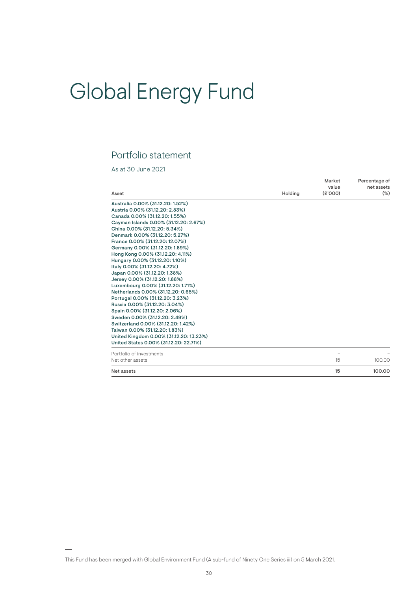# Global Energy Fund

### Portfolio statement

As at 30 June 2021

| Asset                                   | Holding | Market<br>value<br>(E'000) | Percentage of<br>net assets<br>$(\%)$ |
|-----------------------------------------|---------|----------------------------|---------------------------------------|
| Australia 0.00% (31.12.20: 1.52%)       |         |                            |                                       |
| Austria 0.00% (31.12.20: 2.83%)         |         |                            |                                       |
| Canada 0.00% (31.12.20: 1.55%)          |         |                            |                                       |
| Cayman Islands 0.00% (31.12.20: 2.67%)  |         |                            |                                       |
| China 0.00% (31.12.20: 5.34%)           |         |                            |                                       |
| Denmark 0.00% (31.12.20: 5.27%)         |         |                            |                                       |
| France 0.00% (31.12.20: 12.07%)         |         |                            |                                       |
| Germany 0.00% (31.12.20: 1.89%)         |         |                            |                                       |
| Hong Kong 0.00% (31.12.20: 4.11%)       |         |                            |                                       |
| Hungary 0.00% (31.12.20: 1.10%)         |         |                            |                                       |
| Italy 0.00% (31.12.20: 4.72%)           |         |                            |                                       |
| Japan 0.00% (31.12.20: 1.38%)           |         |                            |                                       |
| Jersey 0.00% (31.12.20: 1.88%)          |         |                            |                                       |
| Luxembourg 0.00% (31.12.20: 1.71%)      |         |                            |                                       |
| Netherlands 0.00% (31.12.20: 0.65%)     |         |                            |                                       |
| Portugal 0.00% (31.12.20: 3.23%)        |         |                            |                                       |
| Russia 0.00% (31.12.20: 3.04%)          |         |                            |                                       |
| Spain 0.00% (31.12.20: 2.06%)           |         |                            |                                       |
| Sweden 0.00% (31.12.20: 2.49%)          |         |                            |                                       |
| Switzerland 0.00% (31.12.20: 1.42%)     |         |                            |                                       |
| Taiwan 0.00% (31.12.20: 1.83%)          |         |                            |                                       |
| United Kingdom 0.00% (31.12.20: 13.23%) |         |                            |                                       |
| United States 0.00% (31.12.20: 22.71%)  |         |                            |                                       |
| Portfolio of investments                |         |                            |                                       |
| Net other assets                        |         | 15                         | 100.00                                |
| Net assets                              |         | 15                         | 100.00                                |

This Fund has been merged with Global Environment Fund (A sub-fund of Ninety One Series iii) on 5 March 2021.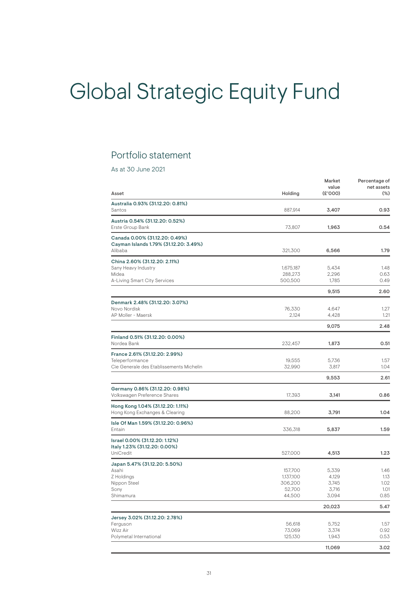# Global Strategic Equity Fund

### Portfolio statement

As at 30 June 2021

|                                                     |                   | Market         | Percentage of |
|-----------------------------------------------------|-------------------|----------------|---------------|
|                                                     |                   | value          | net assets    |
| Asset                                               | Holding           | (E'000)        | $(\%)$        |
| Santos                                              | 887,914           | 3,407          | 0.93          |
|                                                     |                   |                |               |
| Austria 0.54% (31.12.20: 0.52%)<br>Erste Group Bank | 73,807            | 1,963          | 0.54          |
| Canada 0.00% (31.12.20: 0.49%)                      |                   |                |               |
| Cayman Islands 1.79% (31.12.20: 3.49%)              |                   |                |               |
| Alibaba                                             | 321,300           | 6,566          | 1.79          |
| China 2.60% (31.12.20: 2.11%)                       |                   |                |               |
| Sany Heavy Industry                                 | 1,675,187         | 5,434          | 1.48          |
| Midea                                               | 288,273           | 2,296          | 0.63          |
| A-Living Smart City Services                        | 500,500           | 1,785          | 0.49          |
|                                                     |                   | 9,515          | 2.60          |
| Denmark 2.48% (31.12.20: 3.07%)                     |                   |                |               |
| Novo Nordisk                                        | 76,330            | 4,647          | 1.27          |
| AP Moller - Maersk                                  | 2,124             | 4,428          | 1.21          |
|                                                     |                   | 9,075          | 2.48          |
| Finland 0.51% (31.12.20: 0.00%)                     |                   |                |               |
| Nordea Bank                                         | 232,457           | 1,873          | 0.51          |
| France 2.61% (31.12.20: 2.99%)                      |                   |                |               |
| Teleperformance                                     | 19,555            | 5,736          | 1.57          |
| Cie Generale des Etablissements Michelin            | 32,990            | 3,817          | 1.04          |
|                                                     |                   | 9,553          | 2.61          |
| Germany 0.86% (31.12.20: 0.98%)                     |                   |                |               |
| Volkswagen Preference Shares                        | 17,393            | 3,141          | 0.86          |
| Hong Kong 1.04% (31.12.20: 1.11%)                   |                   |                |               |
| Hong Kong Exchanges & Clearing                      | 88,200            | 3,791          | 1.04          |
| Isle Of Man 1.59% (31.12.20: 0.96%)                 |                   |                |               |
| Entain                                              | 336,318           | 5,837          | 1.59          |
| Israel 0.00% (31.12.20: 1.12%)                      |                   |                |               |
| Italy 1.23% (31.12.20: 0.00%)                       |                   |                |               |
| UniCredit                                           | 527,000           | 4,513          | 1.23          |
| Japan 5.47% (31.12.20: 5.50%)                       |                   |                |               |
| Asahi                                               | 157,700           | 5,339          | 1.46          |
| Z Holdings                                          | 1,137,100         | 4,129          | 1.13          |
| Nippon Steel                                        | 306,200<br>52,700 | 3,745<br>3,716 | 1.02<br>1.01  |
| Sony<br>Shimamura                                   | 44,500            | 3,094          | 0.85          |
|                                                     |                   | 20,023         | 5.47          |
|                                                     |                   |                |               |
| Jersey 3.02% (31.12.20: 2.78%)<br>Ferguson          | 56,618            | 5,752          | 1.57          |
| Wizz Air                                            | 73,069            | 3,374          | 0.92          |
| Polymetal International                             | 125,130           | 1,943          | 0.53          |
|                                                     |                   |                |               |
|                                                     |                   | 11,069         | 3.02          |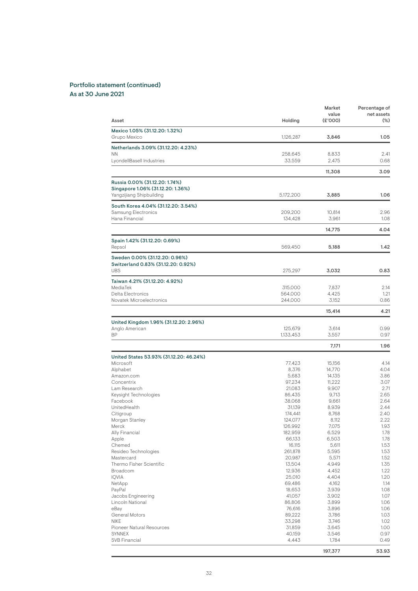#### Portfolio statement (continued) As at 30 June 2021

Mexico 1.05% (31.12.20: 1.32%) Grupo Mexico 1,126,287 3,846 1.05 **Netherlands 3.09% (31.12.20: 4.23%)** NN 258,645 8,833 2.41 LyondellBasell Industries 33,559 2,475 0.68 11,308 3.09 Russia 0.00% (31.12.20: 1.74%) Singapore 1.06% (31.12.20: 1.36%) Yangzijiang Shipbuilding **5,172,200** 3,885 1.06 South Korea 4.04% (31.12.20: 3.54%) Samsung Electronics 209,200 10,814 2.96 Hana Financial 14,775 4.04 Spain 1.42% (31.12.20: 0.69%) Repsol 569,450 5,188 1.42 Sweden 0.00% (31.12.20: 0.96%) Switzerland 0.83% (31.12.20: 0.92%)<br>UBS UBS 275,297 3,032 0.83 Taiwan 4.21% (31.12.20: 4.92%) MediaTek 315,000 7,837 2.14 2.14 Delta Electronics 564,000 4,425 1.21 Novatek Microelectronics<br>
244,000 3,152 15,414 4.21 United Kingdom 1.96% (31.12.20: 2.96%) Anglo American 125,679 3,614 0.99 BP 1,133,453 3,557 0.97 7,171 1.96 United States 53.93% (31.12.20: 46.24%) Microsoft 77,423 15,156 4.14 Alphabet 8,376 14,770 4.04 Amazon.com 5,683 14,135 3.86 Concentrix 97,234 11,222 3.07 Lam Research 21,083 9,907 2.71 Keysight Technologies 86,435 9,713 2.65 Facebook 38,068 9,661 2.64 UnitedHealth 31,139 8,939 2.44 Citigroup 174,441 8,768 2.40 Morgan Stanley 2.22 and 2.22 and 2.22 and 2.22 and 2.22 and 2.22 and 2.22 and 2.22 Merck 126,992 7,075 1.93 Ally Financial 182,959 6,529 6,529 1.78 Apple 66,133 6,503 6.503 66,133 6,503 66,133 6,503 66,133 6,503 6,503 6,503 6,503 6,503 6,503 6,503 6,503 6,50 Chemed 16,115 5,611 1.53 Resideo Technologies 261,878 5,595 1.53 Mastercard 20,987 5,571 1.52 Thermo Fisher Scientific 13,504 1.35 Broadcom 12,936 4,452 1.22 IQVIA 25,010 4,404 1.20 NetApp 69,486 4,162 1.14 PayPal 18,653 3,939 1.08 Jacobs Engineering 41,057 3,902 1.07 Lincoln National 2012 12:00 12:00 12:00 12:00 13:00 13:00 14:00 15:00 15:00 16:00 16:00 16:00 16:00 16:00 16:0<br>
86,806 1.06:00 1.06:00 1.06:00 1.06:00 1.06:00 1.06:00 1.06:00 1.06:00 1.06:00 1.06:00 1.06:00 1.06:00 1.07:0 eBay 76,616 3,896 1.06 General Motors 89,222 3,786 1.03 NIKE 2002 2003 2004 2012 2022 33,298 33,298 3,746 35,298 3,746 3,746 3,746 3,746 3,746 3,746 3,746 3,746 3,746 Pioneer Natural Resources 31,859 3,645 1.00 SYNNEX 40,159 3,546 0.97 SVB Financial 4,443 1,784 0.49 Market Percentage of<br>value net assets value and the net assets of the net assets of the net assets  $\mathbf{v}$ Asset Holding (£'000) (%)

197,377 53.93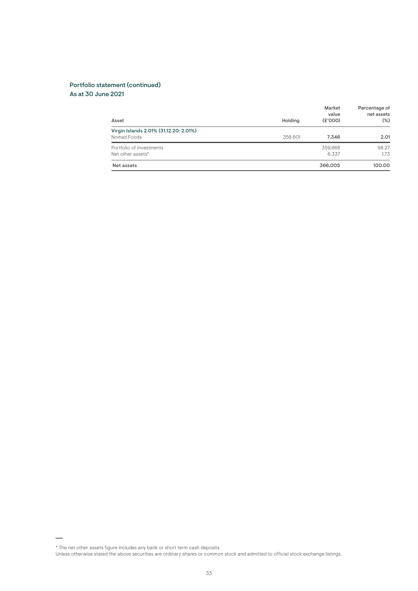#### Portfolio statement (continued) As at 30 June 2021

| Asset                                                 | Holding | Market<br>value<br>(E'000) | Percentage of<br>net assets<br>$(\%)$ |
|-------------------------------------------------------|---------|----------------------------|---------------------------------------|
| Virgin Islands 2.01% (31.12.20: 2.01%)<br>Nomad Foods | 358,601 | 7.346                      | 2.01                                  |
| Portfolio of investments<br>Net other assets*         |         | 359.668<br>6.337           | 98.27<br>1.73                         |
| Net assets                                            |         | 366,005                    | 100.00                                |

<sup>\*</sup> The net other assets figure includes any bank or short term cash deposits.

Unless otherwise stated the above securities are ordinary shares or common stock and admitted to official stock exchange listings.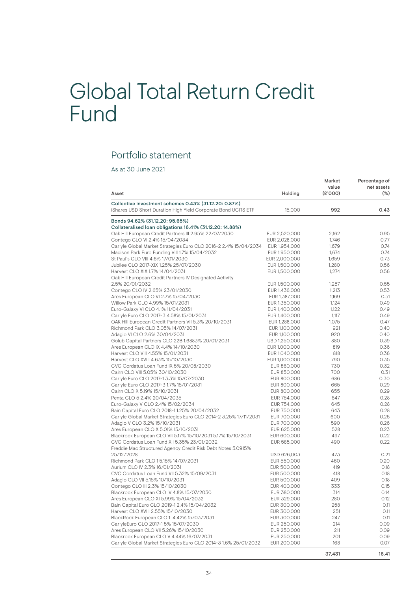## Global Total Return Credit Fund

### Portfolio statement

As at 30 June 2021

| Collective investment schemes 0.43% (31.12.20: 0.87%)<br>iShares USD Short Duration High Yield Corporate Bond UCITS ETF<br>15,000<br>992<br>Bonds 94.62% (31.12.20: 95.65%)<br>Collateralised loan obligations 16.41% (31.12.20: 14.88%)<br>Oak Hill European Credit Partners III 2.95% 22/07/2030<br>EUR 2,520,000<br>2,162<br>Contego CLO VI 2.4% 15/04/2034<br>EUR 2,028,000<br>1,746<br>Carlyle Global Market Strategies Euro CLO 2016-2 2.4% 15/04/2034<br>EUR 1,954,000<br>1,679<br>Madison Park Euro Funding VIII 1.7% 15/04/2032<br>EUR 1,950,000<br>1,674<br>St Paul's CLO VIII 4.6% 17/01/2030<br>EUR 2,000,000<br>1,659<br>Jubilee CLO 2017-XIX 1.25% 25/07/2030<br>EUR 1,500,000<br>1,280<br>Harvest CLO XIX 1.7% 14/04/2031<br>EUR 1,500,000<br>1,274<br>Oak Hill European Credit Partners IV Designated Activity<br>2.5% 20/01/2032<br>EUR 1,500,000<br>1,257<br>Contego CLO IV 2.65% 23/01/2030<br>EUR 1,436,000<br>1,213<br>Ares European CLO VI 2.7% 15/04/2030<br>EUR 1,387,000<br>1,169<br>Willow Park CLO 4.99% 15/01/2031<br>EUR 1,350,000<br>1,124<br>Euro-Galaxy VI CLO 4.1% 11/04/2031<br>EUR 1,400,000<br>1,122<br>Carlyle Euro CLO 2017-3 4.58% 15/01/2031<br>EUR 1,400,000<br>1,117<br>OAK Hill European Credit Partners VII 5.3% 20/10/2031<br>EUR 1,288,000<br>1,075<br>Richmond Park CLO 3.05% 14/07/2031<br>EUR 1,100,000<br>921<br>Adagio VI CLO 2.6% 30/04/2031<br>EUR 1,100,000<br>920<br>Golub Capital Partners CLO 22B 1.6883% 20/01/2031<br>USD 1,250,000<br>880<br>Ares European CLO IX 4.4% 14/10/2030<br>EUR 1,000,000<br>819<br>Harvest CLO VIII 4.55% 15/01/2031<br>EUR 1,040,000<br>818<br>Harvest CLO XVIII 4.63% 15/10/2030<br>EUR 1,000,000<br>790<br>CVC Cordatus Loan Fund IX 5% 20/08/2030<br>EUR 860,000<br>730<br>Cairn CLO VIII 5.05% 30/10/2030<br>EUR 850,000<br>700<br>Carlyle Euro CLO 2017-1 3.3% 15/07/2030<br>EUR 800,000<br>686<br>Carlyle Euro CLO 2017-3 1.7% 15/01/2031<br>EUR 800,000<br>665<br>Cairn CLO X 5.19% 15/10/2031<br>EUR 800,000<br>655<br>Penta CLO 5 2.4% 20/04/2035<br>EUR 754,000<br>647<br>Euro-Galaxy V CLO 2.4% 15/02/2034<br>EUR 754,000<br>645<br>Bain Capital Euro CLO 2018-11.25% 20/04/2032<br>EUR 750,000<br>643<br>Carlyle Global Market Strategies Euro CLO 2014-2 3.25% 17/11/2031<br>EUR 700,000<br>600<br>Adagio V CLO 3.2% 15/10/2031<br>EUR 700,000<br>590<br>Ares European CLO X 5.01% 15/10/2031<br>EUR 625,000<br>528<br>Blackrock European CLO VII 5.17% 15/10/2031 5.17% 15/10/2031<br>EUR 600,000<br>497<br>CVC Cordatus Loan Fund XII 5.35% 23/01/2032<br>EUR 585,000<br>490<br>Freddie Mac Structured Agency Credit Risk Debt Notes 5.0915%<br>25/12/2028<br>USD 626,003<br>473<br>Richmond Park CLO 15.15% 14/07/2031<br>EUR 550,000<br>460<br>Aurium CLO IV 2.3% 16/01/2031<br>EUR 500,000<br>419<br>CVC Cordatus Loan Fund VII 5.32% 15/09/2031<br>EUR 500,000<br>418<br>Adagio CLO VII 5.15% 10/10/2031<br>EUR 500,000<br>409<br>Contego CLO III 2.3% 15/10/2030<br>EUR 400,000<br>333<br>Blackrock European CLO IV 4.8% 15/07/2030<br>EUR 380,000<br>314<br>Ares European CLO XI 5.99% 15/04/2032<br>EUR 329,000<br>280<br>Bain Capital Euro CLO 2019-1 2.4% 15/04/2032<br>258<br>EUR 300,000<br>Harvest CLO XVIII 2.55% 15/10/2030<br>251<br>EUR 300,000<br>BlackRock European CLO 1 4.42% 15/03/2031<br>EUR 300,000<br>247<br>CarlyleEuro CLO 2017-1 5% 15/07/2030<br>214<br>0.09<br>EUR 250,000<br>Ares European CLO VII 5.26% 15/10/2030<br>0.09<br>EUR 250,000<br>211<br>Blackrock European CLO V 4.44% 16/07/2031<br>0.09<br>EUR 250,000<br>201<br>Carlyle Global Market Strategies Euro CLO 2014-3 1.6% 25/01/2032<br>EUR 200,000<br>168<br>0.07<br>37,431 | Asset | Holding | Market<br>value<br>(E'000) | Percentage of<br>net assets<br>$(\%)$ |
|-------------------------------------------------------------------------------------------------------------------------------------------------------------------------------------------------------------------------------------------------------------------------------------------------------------------------------------------------------------------------------------------------------------------------------------------------------------------------------------------------------------------------------------------------------------------------------------------------------------------------------------------------------------------------------------------------------------------------------------------------------------------------------------------------------------------------------------------------------------------------------------------------------------------------------------------------------------------------------------------------------------------------------------------------------------------------------------------------------------------------------------------------------------------------------------------------------------------------------------------------------------------------------------------------------------------------------------------------------------------------------------------------------------------------------------------------------------------------------------------------------------------------------------------------------------------------------------------------------------------------------------------------------------------------------------------------------------------------------------------------------------------------------------------------------------------------------------------------------------------------------------------------------------------------------------------------------------------------------------------------------------------------------------------------------------------------------------------------------------------------------------------------------------------------------------------------------------------------------------------------------------------------------------------------------------------------------------------------------------------------------------------------------------------------------------------------------------------------------------------------------------------------------------------------------------------------------------------------------------------------------------------------------------------------------------------------------------------------------------------------------------------------------------------------------------------------------------------------------------------------------------------------------------------------------------------------------------------------------------------------------------------------------------------------------------------------------------------------------------------------------------------------------------------------------------------------------------------------------------------------------------------------------------------------------------------------------------------------------------------------------------------------------------------------------------------------------------------------------------------------------------------------------------------------------------------------------------------------------------------------------------------------------------------------------|-------|---------|----------------------------|---------------------------------------|
|                                                                                                                                                                                                                                                                                                                                                                                                                                                                                                                                                                                                                                                                                                                                                                                                                                                                                                                                                                                                                                                                                                                                                                                                                                                                                                                                                                                                                                                                                                                                                                                                                                                                                                                                                                                                                                                                                                                                                                                                                                                                                                                                                                                                                                                                                                                                                                                                                                                                                                                                                                                                                                                                                                                                                                                                                                                                                                                                                                                                                                                                                                                                                                                                                                                                                                                                                                                                                                                                                                                                                                                                                                                                               |       |         |                            | 0.43                                  |
|                                                                                                                                                                                                                                                                                                                                                                                                                                                                                                                                                                                                                                                                                                                                                                                                                                                                                                                                                                                                                                                                                                                                                                                                                                                                                                                                                                                                                                                                                                                                                                                                                                                                                                                                                                                                                                                                                                                                                                                                                                                                                                                                                                                                                                                                                                                                                                                                                                                                                                                                                                                                                                                                                                                                                                                                                                                                                                                                                                                                                                                                                                                                                                                                                                                                                                                                                                                                                                                                                                                                                                                                                                                                               |       |         |                            |                                       |
|                                                                                                                                                                                                                                                                                                                                                                                                                                                                                                                                                                                                                                                                                                                                                                                                                                                                                                                                                                                                                                                                                                                                                                                                                                                                                                                                                                                                                                                                                                                                                                                                                                                                                                                                                                                                                                                                                                                                                                                                                                                                                                                                                                                                                                                                                                                                                                                                                                                                                                                                                                                                                                                                                                                                                                                                                                                                                                                                                                                                                                                                                                                                                                                                                                                                                                                                                                                                                                                                                                                                                                                                                                                                               |       |         |                            |                                       |
|                                                                                                                                                                                                                                                                                                                                                                                                                                                                                                                                                                                                                                                                                                                                                                                                                                                                                                                                                                                                                                                                                                                                                                                                                                                                                                                                                                                                                                                                                                                                                                                                                                                                                                                                                                                                                                                                                                                                                                                                                                                                                                                                                                                                                                                                                                                                                                                                                                                                                                                                                                                                                                                                                                                                                                                                                                                                                                                                                                                                                                                                                                                                                                                                                                                                                                                                                                                                                                                                                                                                                                                                                                                                               |       |         |                            | 0.95                                  |
|                                                                                                                                                                                                                                                                                                                                                                                                                                                                                                                                                                                                                                                                                                                                                                                                                                                                                                                                                                                                                                                                                                                                                                                                                                                                                                                                                                                                                                                                                                                                                                                                                                                                                                                                                                                                                                                                                                                                                                                                                                                                                                                                                                                                                                                                                                                                                                                                                                                                                                                                                                                                                                                                                                                                                                                                                                                                                                                                                                                                                                                                                                                                                                                                                                                                                                                                                                                                                                                                                                                                                                                                                                                                               |       |         |                            | 0.77                                  |
|                                                                                                                                                                                                                                                                                                                                                                                                                                                                                                                                                                                                                                                                                                                                                                                                                                                                                                                                                                                                                                                                                                                                                                                                                                                                                                                                                                                                                                                                                                                                                                                                                                                                                                                                                                                                                                                                                                                                                                                                                                                                                                                                                                                                                                                                                                                                                                                                                                                                                                                                                                                                                                                                                                                                                                                                                                                                                                                                                                                                                                                                                                                                                                                                                                                                                                                                                                                                                                                                                                                                                                                                                                                                               |       |         |                            | 0.74                                  |
|                                                                                                                                                                                                                                                                                                                                                                                                                                                                                                                                                                                                                                                                                                                                                                                                                                                                                                                                                                                                                                                                                                                                                                                                                                                                                                                                                                                                                                                                                                                                                                                                                                                                                                                                                                                                                                                                                                                                                                                                                                                                                                                                                                                                                                                                                                                                                                                                                                                                                                                                                                                                                                                                                                                                                                                                                                                                                                                                                                                                                                                                                                                                                                                                                                                                                                                                                                                                                                                                                                                                                                                                                                                                               |       |         |                            | 0.74                                  |
|                                                                                                                                                                                                                                                                                                                                                                                                                                                                                                                                                                                                                                                                                                                                                                                                                                                                                                                                                                                                                                                                                                                                                                                                                                                                                                                                                                                                                                                                                                                                                                                                                                                                                                                                                                                                                                                                                                                                                                                                                                                                                                                                                                                                                                                                                                                                                                                                                                                                                                                                                                                                                                                                                                                                                                                                                                                                                                                                                                                                                                                                                                                                                                                                                                                                                                                                                                                                                                                                                                                                                                                                                                                                               |       |         |                            | 0.73                                  |
|                                                                                                                                                                                                                                                                                                                                                                                                                                                                                                                                                                                                                                                                                                                                                                                                                                                                                                                                                                                                                                                                                                                                                                                                                                                                                                                                                                                                                                                                                                                                                                                                                                                                                                                                                                                                                                                                                                                                                                                                                                                                                                                                                                                                                                                                                                                                                                                                                                                                                                                                                                                                                                                                                                                                                                                                                                                                                                                                                                                                                                                                                                                                                                                                                                                                                                                                                                                                                                                                                                                                                                                                                                                                               |       |         |                            | 0.56                                  |
|                                                                                                                                                                                                                                                                                                                                                                                                                                                                                                                                                                                                                                                                                                                                                                                                                                                                                                                                                                                                                                                                                                                                                                                                                                                                                                                                                                                                                                                                                                                                                                                                                                                                                                                                                                                                                                                                                                                                                                                                                                                                                                                                                                                                                                                                                                                                                                                                                                                                                                                                                                                                                                                                                                                                                                                                                                                                                                                                                                                                                                                                                                                                                                                                                                                                                                                                                                                                                                                                                                                                                                                                                                                                               |       |         |                            | 0.56                                  |
|                                                                                                                                                                                                                                                                                                                                                                                                                                                                                                                                                                                                                                                                                                                                                                                                                                                                                                                                                                                                                                                                                                                                                                                                                                                                                                                                                                                                                                                                                                                                                                                                                                                                                                                                                                                                                                                                                                                                                                                                                                                                                                                                                                                                                                                                                                                                                                                                                                                                                                                                                                                                                                                                                                                                                                                                                                                                                                                                                                                                                                                                                                                                                                                                                                                                                                                                                                                                                                                                                                                                                                                                                                                                               |       |         |                            |                                       |
|                                                                                                                                                                                                                                                                                                                                                                                                                                                                                                                                                                                                                                                                                                                                                                                                                                                                                                                                                                                                                                                                                                                                                                                                                                                                                                                                                                                                                                                                                                                                                                                                                                                                                                                                                                                                                                                                                                                                                                                                                                                                                                                                                                                                                                                                                                                                                                                                                                                                                                                                                                                                                                                                                                                                                                                                                                                                                                                                                                                                                                                                                                                                                                                                                                                                                                                                                                                                                                                                                                                                                                                                                                                                               |       |         |                            | 0.55                                  |
|                                                                                                                                                                                                                                                                                                                                                                                                                                                                                                                                                                                                                                                                                                                                                                                                                                                                                                                                                                                                                                                                                                                                                                                                                                                                                                                                                                                                                                                                                                                                                                                                                                                                                                                                                                                                                                                                                                                                                                                                                                                                                                                                                                                                                                                                                                                                                                                                                                                                                                                                                                                                                                                                                                                                                                                                                                                                                                                                                                                                                                                                                                                                                                                                                                                                                                                                                                                                                                                                                                                                                                                                                                                                               |       |         |                            | 0.53                                  |
|                                                                                                                                                                                                                                                                                                                                                                                                                                                                                                                                                                                                                                                                                                                                                                                                                                                                                                                                                                                                                                                                                                                                                                                                                                                                                                                                                                                                                                                                                                                                                                                                                                                                                                                                                                                                                                                                                                                                                                                                                                                                                                                                                                                                                                                                                                                                                                                                                                                                                                                                                                                                                                                                                                                                                                                                                                                                                                                                                                                                                                                                                                                                                                                                                                                                                                                                                                                                                                                                                                                                                                                                                                                                               |       |         |                            | 0.51                                  |
|                                                                                                                                                                                                                                                                                                                                                                                                                                                                                                                                                                                                                                                                                                                                                                                                                                                                                                                                                                                                                                                                                                                                                                                                                                                                                                                                                                                                                                                                                                                                                                                                                                                                                                                                                                                                                                                                                                                                                                                                                                                                                                                                                                                                                                                                                                                                                                                                                                                                                                                                                                                                                                                                                                                                                                                                                                                                                                                                                                                                                                                                                                                                                                                                                                                                                                                                                                                                                                                                                                                                                                                                                                                                               |       |         |                            | 0.49                                  |
|                                                                                                                                                                                                                                                                                                                                                                                                                                                                                                                                                                                                                                                                                                                                                                                                                                                                                                                                                                                                                                                                                                                                                                                                                                                                                                                                                                                                                                                                                                                                                                                                                                                                                                                                                                                                                                                                                                                                                                                                                                                                                                                                                                                                                                                                                                                                                                                                                                                                                                                                                                                                                                                                                                                                                                                                                                                                                                                                                                                                                                                                                                                                                                                                                                                                                                                                                                                                                                                                                                                                                                                                                                                                               |       |         |                            | 0.49                                  |
|                                                                                                                                                                                                                                                                                                                                                                                                                                                                                                                                                                                                                                                                                                                                                                                                                                                                                                                                                                                                                                                                                                                                                                                                                                                                                                                                                                                                                                                                                                                                                                                                                                                                                                                                                                                                                                                                                                                                                                                                                                                                                                                                                                                                                                                                                                                                                                                                                                                                                                                                                                                                                                                                                                                                                                                                                                                                                                                                                                                                                                                                                                                                                                                                                                                                                                                                                                                                                                                                                                                                                                                                                                                                               |       |         |                            | 0.49                                  |
|                                                                                                                                                                                                                                                                                                                                                                                                                                                                                                                                                                                                                                                                                                                                                                                                                                                                                                                                                                                                                                                                                                                                                                                                                                                                                                                                                                                                                                                                                                                                                                                                                                                                                                                                                                                                                                                                                                                                                                                                                                                                                                                                                                                                                                                                                                                                                                                                                                                                                                                                                                                                                                                                                                                                                                                                                                                                                                                                                                                                                                                                                                                                                                                                                                                                                                                                                                                                                                                                                                                                                                                                                                                                               |       |         |                            | 0.47                                  |
|                                                                                                                                                                                                                                                                                                                                                                                                                                                                                                                                                                                                                                                                                                                                                                                                                                                                                                                                                                                                                                                                                                                                                                                                                                                                                                                                                                                                                                                                                                                                                                                                                                                                                                                                                                                                                                                                                                                                                                                                                                                                                                                                                                                                                                                                                                                                                                                                                                                                                                                                                                                                                                                                                                                                                                                                                                                                                                                                                                                                                                                                                                                                                                                                                                                                                                                                                                                                                                                                                                                                                                                                                                                                               |       |         |                            | 0.40                                  |
|                                                                                                                                                                                                                                                                                                                                                                                                                                                                                                                                                                                                                                                                                                                                                                                                                                                                                                                                                                                                                                                                                                                                                                                                                                                                                                                                                                                                                                                                                                                                                                                                                                                                                                                                                                                                                                                                                                                                                                                                                                                                                                                                                                                                                                                                                                                                                                                                                                                                                                                                                                                                                                                                                                                                                                                                                                                                                                                                                                                                                                                                                                                                                                                                                                                                                                                                                                                                                                                                                                                                                                                                                                                                               |       |         |                            | 0.40                                  |
|                                                                                                                                                                                                                                                                                                                                                                                                                                                                                                                                                                                                                                                                                                                                                                                                                                                                                                                                                                                                                                                                                                                                                                                                                                                                                                                                                                                                                                                                                                                                                                                                                                                                                                                                                                                                                                                                                                                                                                                                                                                                                                                                                                                                                                                                                                                                                                                                                                                                                                                                                                                                                                                                                                                                                                                                                                                                                                                                                                                                                                                                                                                                                                                                                                                                                                                                                                                                                                                                                                                                                                                                                                                                               |       |         |                            | 0.39                                  |
|                                                                                                                                                                                                                                                                                                                                                                                                                                                                                                                                                                                                                                                                                                                                                                                                                                                                                                                                                                                                                                                                                                                                                                                                                                                                                                                                                                                                                                                                                                                                                                                                                                                                                                                                                                                                                                                                                                                                                                                                                                                                                                                                                                                                                                                                                                                                                                                                                                                                                                                                                                                                                                                                                                                                                                                                                                                                                                                                                                                                                                                                                                                                                                                                                                                                                                                                                                                                                                                                                                                                                                                                                                                                               |       |         |                            | 0.36                                  |
|                                                                                                                                                                                                                                                                                                                                                                                                                                                                                                                                                                                                                                                                                                                                                                                                                                                                                                                                                                                                                                                                                                                                                                                                                                                                                                                                                                                                                                                                                                                                                                                                                                                                                                                                                                                                                                                                                                                                                                                                                                                                                                                                                                                                                                                                                                                                                                                                                                                                                                                                                                                                                                                                                                                                                                                                                                                                                                                                                                                                                                                                                                                                                                                                                                                                                                                                                                                                                                                                                                                                                                                                                                                                               |       |         |                            | 0.36                                  |
|                                                                                                                                                                                                                                                                                                                                                                                                                                                                                                                                                                                                                                                                                                                                                                                                                                                                                                                                                                                                                                                                                                                                                                                                                                                                                                                                                                                                                                                                                                                                                                                                                                                                                                                                                                                                                                                                                                                                                                                                                                                                                                                                                                                                                                                                                                                                                                                                                                                                                                                                                                                                                                                                                                                                                                                                                                                                                                                                                                                                                                                                                                                                                                                                                                                                                                                                                                                                                                                                                                                                                                                                                                                                               |       |         |                            | 0.35                                  |
|                                                                                                                                                                                                                                                                                                                                                                                                                                                                                                                                                                                                                                                                                                                                                                                                                                                                                                                                                                                                                                                                                                                                                                                                                                                                                                                                                                                                                                                                                                                                                                                                                                                                                                                                                                                                                                                                                                                                                                                                                                                                                                                                                                                                                                                                                                                                                                                                                                                                                                                                                                                                                                                                                                                                                                                                                                                                                                                                                                                                                                                                                                                                                                                                                                                                                                                                                                                                                                                                                                                                                                                                                                                                               |       |         |                            | 0.32                                  |
|                                                                                                                                                                                                                                                                                                                                                                                                                                                                                                                                                                                                                                                                                                                                                                                                                                                                                                                                                                                                                                                                                                                                                                                                                                                                                                                                                                                                                                                                                                                                                                                                                                                                                                                                                                                                                                                                                                                                                                                                                                                                                                                                                                                                                                                                                                                                                                                                                                                                                                                                                                                                                                                                                                                                                                                                                                                                                                                                                                                                                                                                                                                                                                                                                                                                                                                                                                                                                                                                                                                                                                                                                                                                               |       |         |                            | 0.31                                  |
|                                                                                                                                                                                                                                                                                                                                                                                                                                                                                                                                                                                                                                                                                                                                                                                                                                                                                                                                                                                                                                                                                                                                                                                                                                                                                                                                                                                                                                                                                                                                                                                                                                                                                                                                                                                                                                                                                                                                                                                                                                                                                                                                                                                                                                                                                                                                                                                                                                                                                                                                                                                                                                                                                                                                                                                                                                                                                                                                                                                                                                                                                                                                                                                                                                                                                                                                                                                                                                                                                                                                                                                                                                                                               |       |         |                            | 0.30                                  |
|                                                                                                                                                                                                                                                                                                                                                                                                                                                                                                                                                                                                                                                                                                                                                                                                                                                                                                                                                                                                                                                                                                                                                                                                                                                                                                                                                                                                                                                                                                                                                                                                                                                                                                                                                                                                                                                                                                                                                                                                                                                                                                                                                                                                                                                                                                                                                                                                                                                                                                                                                                                                                                                                                                                                                                                                                                                                                                                                                                                                                                                                                                                                                                                                                                                                                                                                                                                                                                                                                                                                                                                                                                                                               |       |         |                            | 0.29                                  |
|                                                                                                                                                                                                                                                                                                                                                                                                                                                                                                                                                                                                                                                                                                                                                                                                                                                                                                                                                                                                                                                                                                                                                                                                                                                                                                                                                                                                                                                                                                                                                                                                                                                                                                                                                                                                                                                                                                                                                                                                                                                                                                                                                                                                                                                                                                                                                                                                                                                                                                                                                                                                                                                                                                                                                                                                                                                                                                                                                                                                                                                                                                                                                                                                                                                                                                                                                                                                                                                                                                                                                                                                                                                                               |       |         |                            | 0.29                                  |
|                                                                                                                                                                                                                                                                                                                                                                                                                                                                                                                                                                                                                                                                                                                                                                                                                                                                                                                                                                                                                                                                                                                                                                                                                                                                                                                                                                                                                                                                                                                                                                                                                                                                                                                                                                                                                                                                                                                                                                                                                                                                                                                                                                                                                                                                                                                                                                                                                                                                                                                                                                                                                                                                                                                                                                                                                                                                                                                                                                                                                                                                                                                                                                                                                                                                                                                                                                                                                                                                                                                                                                                                                                                                               |       |         |                            | 0.28                                  |
|                                                                                                                                                                                                                                                                                                                                                                                                                                                                                                                                                                                                                                                                                                                                                                                                                                                                                                                                                                                                                                                                                                                                                                                                                                                                                                                                                                                                                                                                                                                                                                                                                                                                                                                                                                                                                                                                                                                                                                                                                                                                                                                                                                                                                                                                                                                                                                                                                                                                                                                                                                                                                                                                                                                                                                                                                                                                                                                                                                                                                                                                                                                                                                                                                                                                                                                                                                                                                                                                                                                                                                                                                                                                               |       |         |                            | 0.28                                  |
|                                                                                                                                                                                                                                                                                                                                                                                                                                                                                                                                                                                                                                                                                                                                                                                                                                                                                                                                                                                                                                                                                                                                                                                                                                                                                                                                                                                                                                                                                                                                                                                                                                                                                                                                                                                                                                                                                                                                                                                                                                                                                                                                                                                                                                                                                                                                                                                                                                                                                                                                                                                                                                                                                                                                                                                                                                                                                                                                                                                                                                                                                                                                                                                                                                                                                                                                                                                                                                                                                                                                                                                                                                                                               |       |         |                            | 0.28                                  |
|                                                                                                                                                                                                                                                                                                                                                                                                                                                                                                                                                                                                                                                                                                                                                                                                                                                                                                                                                                                                                                                                                                                                                                                                                                                                                                                                                                                                                                                                                                                                                                                                                                                                                                                                                                                                                                                                                                                                                                                                                                                                                                                                                                                                                                                                                                                                                                                                                                                                                                                                                                                                                                                                                                                                                                                                                                                                                                                                                                                                                                                                                                                                                                                                                                                                                                                                                                                                                                                                                                                                                                                                                                                                               |       |         |                            | 0.26                                  |
|                                                                                                                                                                                                                                                                                                                                                                                                                                                                                                                                                                                                                                                                                                                                                                                                                                                                                                                                                                                                                                                                                                                                                                                                                                                                                                                                                                                                                                                                                                                                                                                                                                                                                                                                                                                                                                                                                                                                                                                                                                                                                                                                                                                                                                                                                                                                                                                                                                                                                                                                                                                                                                                                                                                                                                                                                                                                                                                                                                                                                                                                                                                                                                                                                                                                                                                                                                                                                                                                                                                                                                                                                                                                               |       |         |                            | 0.26                                  |
|                                                                                                                                                                                                                                                                                                                                                                                                                                                                                                                                                                                                                                                                                                                                                                                                                                                                                                                                                                                                                                                                                                                                                                                                                                                                                                                                                                                                                                                                                                                                                                                                                                                                                                                                                                                                                                                                                                                                                                                                                                                                                                                                                                                                                                                                                                                                                                                                                                                                                                                                                                                                                                                                                                                                                                                                                                                                                                                                                                                                                                                                                                                                                                                                                                                                                                                                                                                                                                                                                                                                                                                                                                                                               |       |         |                            | 0.23                                  |
|                                                                                                                                                                                                                                                                                                                                                                                                                                                                                                                                                                                                                                                                                                                                                                                                                                                                                                                                                                                                                                                                                                                                                                                                                                                                                                                                                                                                                                                                                                                                                                                                                                                                                                                                                                                                                                                                                                                                                                                                                                                                                                                                                                                                                                                                                                                                                                                                                                                                                                                                                                                                                                                                                                                                                                                                                                                                                                                                                                                                                                                                                                                                                                                                                                                                                                                                                                                                                                                                                                                                                                                                                                                                               |       |         |                            | 0.22                                  |
|                                                                                                                                                                                                                                                                                                                                                                                                                                                                                                                                                                                                                                                                                                                                                                                                                                                                                                                                                                                                                                                                                                                                                                                                                                                                                                                                                                                                                                                                                                                                                                                                                                                                                                                                                                                                                                                                                                                                                                                                                                                                                                                                                                                                                                                                                                                                                                                                                                                                                                                                                                                                                                                                                                                                                                                                                                                                                                                                                                                                                                                                                                                                                                                                                                                                                                                                                                                                                                                                                                                                                                                                                                                                               |       |         |                            | 0.22                                  |
|                                                                                                                                                                                                                                                                                                                                                                                                                                                                                                                                                                                                                                                                                                                                                                                                                                                                                                                                                                                                                                                                                                                                                                                                                                                                                                                                                                                                                                                                                                                                                                                                                                                                                                                                                                                                                                                                                                                                                                                                                                                                                                                                                                                                                                                                                                                                                                                                                                                                                                                                                                                                                                                                                                                                                                                                                                                                                                                                                                                                                                                                                                                                                                                                                                                                                                                                                                                                                                                                                                                                                                                                                                                                               |       |         |                            |                                       |
|                                                                                                                                                                                                                                                                                                                                                                                                                                                                                                                                                                                                                                                                                                                                                                                                                                                                                                                                                                                                                                                                                                                                                                                                                                                                                                                                                                                                                                                                                                                                                                                                                                                                                                                                                                                                                                                                                                                                                                                                                                                                                                                                                                                                                                                                                                                                                                                                                                                                                                                                                                                                                                                                                                                                                                                                                                                                                                                                                                                                                                                                                                                                                                                                                                                                                                                                                                                                                                                                                                                                                                                                                                                                               |       |         |                            | 0.21                                  |
|                                                                                                                                                                                                                                                                                                                                                                                                                                                                                                                                                                                                                                                                                                                                                                                                                                                                                                                                                                                                                                                                                                                                                                                                                                                                                                                                                                                                                                                                                                                                                                                                                                                                                                                                                                                                                                                                                                                                                                                                                                                                                                                                                                                                                                                                                                                                                                                                                                                                                                                                                                                                                                                                                                                                                                                                                                                                                                                                                                                                                                                                                                                                                                                                                                                                                                                                                                                                                                                                                                                                                                                                                                                                               |       |         |                            | 0.20                                  |
|                                                                                                                                                                                                                                                                                                                                                                                                                                                                                                                                                                                                                                                                                                                                                                                                                                                                                                                                                                                                                                                                                                                                                                                                                                                                                                                                                                                                                                                                                                                                                                                                                                                                                                                                                                                                                                                                                                                                                                                                                                                                                                                                                                                                                                                                                                                                                                                                                                                                                                                                                                                                                                                                                                                                                                                                                                                                                                                                                                                                                                                                                                                                                                                                                                                                                                                                                                                                                                                                                                                                                                                                                                                                               |       |         |                            | 0.18                                  |
|                                                                                                                                                                                                                                                                                                                                                                                                                                                                                                                                                                                                                                                                                                                                                                                                                                                                                                                                                                                                                                                                                                                                                                                                                                                                                                                                                                                                                                                                                                                                                                                                                                                                                                                                                                                                                                                                                                                                                                                                                                                                                                                                                                                                                                                                                                                                                                                                                                                                                                                                                                                                                                                                                                                                                                                                                                                                                                                                                                                                                                                                                                                                                                                                                                                                                                                                                                                                                                                                                                                                                                                                                                                                               |       |         |                            | 0.18                                  |
|                                                                                                                                                                                                                                                                                                                                                                                                                                                                                                                                                                                                                                                                                                                                                                                                                                                                                                                                                                                                                                                                                                                                                                                                                                                                                                                                                                                                                                                                                                                                                                                                                                                                                                                                                                                                                                                                                                                                                                                                                                                                                                                                                                                                                                                                                                                                                                                                                                                                                                                                                                                                                                                                                                                                                                                                                                                                                                                                                                                                                                                                                                                                                                                                                                                                                                                                                                                                                                                                                                                                                                                                                                                                               |       |         |                            | 0.18                                  |
|                                                                                                                                                                                                                                                                                                                                                                                                                                                                                                                                                                                                                                                                                                                                                                                                                                                                                                                                                                                                                                                                                                                                                                                                                                                                                                                                                                                                                                                                                                                                                                                                                                                                                                                                                                                                                                                                                                                                                                                                                                                                                                                                                                                                                                                                                                                                                                                                                                                                                                                                                                                                                                                                                                                                                                                                                                                                                                                                                                                                                                                                                                                                                                                                                                                                                                                                                                                                                                                                                                                                                                                                                                                                               |       |         |                            | 0.15                                  |
|                                                                                                                                                                                                                                                                                                                                                                                                                                                                                                                                                                                                                                                                                                                                                                                                                                                                                                                                                                                                                                                                                                                                                                                                                                                                                                                                                                                                                                                                                                                                                                                                                                                                                                                                                                                                                                                                                                                                                                                                                                                                                                                                                                                                                                                                                                                                                                                                                                                                                                                                                                                                                                                                                                                                                                                                                                                                                                                                                                                                                                                                                                                                                                                                                                                                                                                                                                                                                                                                                                                                                                                                                                                                               |       |         |                            | 0.14                                  |
|                                                                                                                                                                                                                                                                                                                                                                                                                                                                                                                                                                                                                                                                                                                                                                                                                                                                                                                                                                                                                                                                                                                                                                                                                                                                                                                                                                                                                                                                                                                                                                                                                                                                                                                                                                                                                                                                                                                                                                                                                                                                                                                                                                                                                                                                                                                                                                                                                                                                                                                                                                                                                                                                                                                                                                                                                                                                                                                                                                                                                                                                                                                                                                                                                                                                                                                                                                                                                                                                                                                                                                                                                                                                               |       |         |                            | 0.12                                  |
|                                                                                                                                                                                                                                                                                                                                                                                                                                                                                                                                                                                                                                                                                                                                                                                                                                                                                                                                                                                                                                                                                                                                                                                                                                                                                                                                                                                                                                                                                                                                                                                                                                                                                                                                                                                                                                                                                                                                                                                                                                                                                                                                                                                                                                                                                                                                                                                                                                                                                                                                                                                                                                                                                                                                                                                                                                                                                                                                                                                                                                                                                                                                                                                                                                                                                                                                                                                                                                                                                                                                                                                                                                                                               |       |         |                            | 0.11                                  |
|                                                                                                                                                                                                                                                                                                                                                                                                                                                                                                                                                                                                                                                                                                                                                                                                                                                                                                                                                                                                                                                                                                                                                                                                                                                                                                                                                                                                                                                                                                                                                                                                                                                                                                                                                                                                                                                                                                                                                                                                                                                                                                                                                                                                                                                                                                                                                                                                                                                                                                                                                                                                                                                                                                                                                                                                                                                                                                                                                                                                                                                                                                                                                                                                                                                                                                                                                                                                                                                                                                                                                                                                                                                                               |       |         |                            | 0.11                                  |
|                                                                                                                                                                                                                                                                                                                                                                                                                                                                                                                                                                                                                                                                                                                                                                                                                                                                                                                                                                                                                                                                                                                                                                                                                                                                                                                                                                                                                                                                                                                                                                                                                                                                                                                                                                                                                                                                                                                                                                                                                                                                                                                                                                                                                                                                                                                                                                                                                                                                                                                                                                                                                                                                                                                                                                                                                                                                                                                                                                                                                                                                                                                                                                                                                                                                                                                                                                                                                                                                                                                                                                                                                                                                               |       |         |                            | 0.11                                  |
|                                                                                                                                                                                                                                                                                                                                                                                                                                                                                                                                                                                                                                                                                                                                                                                                                                                                                                                                                                                                                                                                                                                                                                                                                                                                                                                                                                                                                                                                                                                                                                                                                                                                                                                                                                                                                                                                                                                                                                                                                                                                                                                                                                                                                                                                                                                                                                                                                                                                                                                                                                                                                                                                                                                                                                                                                                                                                                                                                                                                                                                                                                                                                                                                                                                                                                                                                                                                                                                                                                                                                                                                                                                                               |       |         |                            |                                       |
|                                                                                                                                                                                                                                                                                                                                                                                                                                                                                                                                                                                                                                                                                                                                                                                                                                                                                                                                                                                                                                                                                                                                                                                                                                                                                                                                                                                                                                                                                                                                                                                                                                                                                                                                                                                                                                                                                                                                                                                                                                                                                                                                                                                                                                                                                                                                                                                                                                                                                                                                                                                                                                                                                                                                                                                                                                                                                                                                                                                                                                                                                                                                                                                                                                                                                                                                                                                                                                                                                                                                                                                                                                                                               |       |         |                            |                                       |
|                                                                                                                                                                                                                                                                                                                                                                                                                                                                                                                                                                                                                                                                                                                                                                                                                                                                                                                                                                                                                                                                                                                                                                                                                                                                                                                                                                                                                                                                                                                                                                                                                                                                                                                                                                                                                                                                                                                                                                                                                                                                                                                                                                                                                                                                                                                                                                                                                                                                                                                                                                                                                                                                                                                                                                                                                                                                                                                                                                                                                                                                                                                                                                                                                                                                                                                                                                                                                                                                                                                                                                                                                                                                               |       |         |                            |                                       |
|                                                                                                                                                                                                                                                                                                                                                                                                                                                                                                                                                                                                                                                                                                                                                                                                                                                                                                                                                                                                                                                                                                                                                                                                                                                                                                                                                                                                                                                                                                                                                                                                                                                                                                                                                                                                                                                                                                                                                                                                                                                                                                                                                                                                                                                                                                                                                                                                                                                                                                                                                                                                                                                                                                                                                                                                                                                                                                                                                                                                                                                                                                                                                                                                                                                                                                                                                                                                                                                                                                                                                                                                                                                                               |       |         |                            |                                       |
|                                                                                                                                                                                                                                                                                                                                                                                                                                                                                                                                                                                                                                                                                                                                                                                                                                                                                                                                                                                                                                                                                                                                                                                                                                                                                                                                                                                                                                                                                                                                                                                                                                                                                                                                                                                                                                                                                                                                                                                                                                                                                                                                                                                                                                                                                                                                                                                                                                                                                                                                                                                                                                                                                                                                                                                                                                                                                                                                                                                                                                                                                                                                                                                                                                                                                                                                                                                                                                                                                                                                                                                                                                                                               |       |         |                            | 16.41                                 |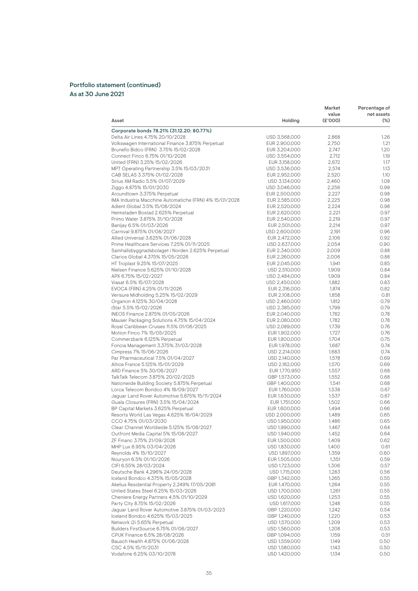#### Portfolio statement (continued) As at 30 June 2021

|                                                        |               | Market  | Percentage of |
|--------------------------------------------------------|---------------|---------|---------------|
|                                                        |               | value   | net assets    |
| Asset                                                  | Holding       | (E'000) | $(\%)$        |
| Corporate bonds 78.21% (31.12.20: 80.77%)              |               |         |               |
| Delta Air Lines 4.75% 20/10/2028                       | USD 3,568,000 | 2,868   | 1.26          |
| Volkswagen International Finance 3.875% Perpetual      | EUR 2,900,000 | 2,750   | 1.21          |
| Brunello Bidco (FRN) 3.75% 15/02/2028                  | EUR 3,204,000 | 2,747   | 1.20          |
| Connect Finco 6.75% 01/10/2026                         | USD 3,554,000 | 2,712   | 1.19          |
| United (FRN) 3.25% 15/02/2026                          | EUR 3,158,000 | 2,672   | 1.17          |
| MPT Operating Partnership 3.5% 15/03/2031              | USD 3,536,000 | 2,574   | 1.13          |
| CAB SELAS 3.375% 01/02/2028                            | EUR 2,952,000 | 2,520   | 1.10          |
| Sirius XM Radio 5.5% 01/07/2029                        | USD 3,134,000 | 2,460   | 1.08          |
| Ziggo 4.875% 15/01/2030                                | USD 3,046,000 | 2,256   | 0.99          |
| Aroundtown 3.375% Perpetual                            | EUR 2,500,000 | 2,227   | 0.98          |
| IMA Industria Macchine Automatiche (FRN) 4% 15/01/2028 | EUR 2,585,000 | 2,225   | 0.98          |
| Adient Global 3.5% 15/08/2024                          | EUR 2,520,000 | 2,224   | 0.98          |
| Heimstaden Bostad 2.625% Perpetual                     | EUR 2,620,000 | 2,221   | 0.97          |
| Primo Water 3.875% 31/10/2028                          | EUR 2,540,000 | 2,219   | 0.97          |
| Banijay 6.5% 01/03/2026                                | EUR 2,501,000 | 2,214   | 0.97          |
| Carnival 9.875% 01/08/2027                             | USD 2,600,000 | 2,191   | 0.96          |
| Allied Universal 3.625% 01/06/2028                     | EUR 2,472,000 | 2,106   | 0.92          |
| Prime Healthcare Services 7.25% 01/11/2025             | USD 2,637,000 | 2,054   | 0.90          |
| Samhallsbyggnadsbolaget i Norden 2.625% Perpetual      | EUR 2,340,000 | 2,009   | 0.88          |
| Clarios Global 4.375% 15/05/2026                       | EUR 2,260,000 | 2,006   | 0.88          |
| HT Troplast 9.25% 15/07/2025                           | EUR 2,045,000 | 1,941   | 0.85          |
| Nielsen Finance 5.625% 01/10/2028                      | USD 2,510,000 | 1,909   | 0.84          |
| APX 6.75% 15/02/2027                                   | USD 2,484,000 | 1,909   | 0.84          |
| Viasat 6.5% 15/07/2028                                 | USD 2,450,000 | 1,882   | 0.83          |
| EVOCA (FRN) 4.25% 01/11/2026                           | EUR 2,316,000 | 1,874   | 0.82          |
| Verisure Midholding 5.25% 15/02/2029                   | EUR 2,108,000 | 1,858   | 0.81          |
| Organon 4.125% 30/04/2028                              | USD 2,460,000 | 1,812   | 0.79          |
| iStar 5.5% 15/02/2026                                  | USD 2,385,000 | 1,799   | 0.79          |
| INEOS Finance 2.875% 01/05/2026                        | EUR 2,040,000 | 1,782   | 0.78          |
| Mauser Packaging Solutions 4.75% 15/04/2024            | EUR 2,080,000 | 1,782   | 0.78          |
| Royal Caribbean Cruises 11.5% 01/06/2025               | USD 2,089,000 | 1,739   | 0.76          |
| Motion Finco 7% 15/05/2025                             | EUR 1,902,000 | 1,727   | 0.76          |
| Commerzbank 6.125% Perpetual                           | EUR 1,800,000 | 1,704   | 0.75          |
| Foncia Management 3.375% 31/03/2028                    | EUR 1,978,000 | 1,687   | 0.74          |
| Cimpress 7% 15/06/2026                                 | USD 2,214,000 | 1,683   | 0.74          |
| Par Pharmaceutical 7.5% 01/04/2027                     | USD 2,140,000 | 1,578   | 0.69          |
| Altice France 5.125% 15/01/2029                        | USD 2,162,000 | 1,570   | 0.69          |
| ARD Finance 5% 30/06/2027                              | EUR 1,770,950 | 1,557   | 0.68          |
| TalkTalk Telecom 3.875% 20/02/2025                     | GBP 1,573,000 | 1,552   | 0.68          |
| Nationwide Building Society 5.875% Perpetual           | GBP 1,400,000 | 1,541   | 0.68          |
| Lorca Telecom Bondco 4% 18/09/2027                     | EUR 1,760,000 | 1,538   | 0.67          |
| Jaguar Land Rover Automotive 5.875% 15/11/2024         | EUR 1,630,000 | 1,537   | 0.67          |
| Guala Closures (FRN) 3.5% 15/04/2024                   | EUR 1,751,000 | 1,502   | 0.66          |
| BP Capital Markets 3.625% Perpetual                    | EUR 1,600,000 | 1,494   | 0.66          |
| Resorts World Las Vegas 4.625% 16/04/2029              | USD 2,000,000 | 1.489   | 0.65          |
| CCO 4.75% 01/03/2030                                   | USD 1,950,000 | 1,486   | 0.65          |
| Clear Channel Worldwide 5.125% 15/08/2027              | USD 1,990,000 | 1,467   | 0.64          |
| Outfront Media Capital 5% 15/08/2027                   | USD 1,940,000 | 1,452   | 0.64          |
| ZF Financ 3.75% 21/09/2028                             | EUR 1,500,000 | 1,409   | 0.62          |
| MHP Lux 6.95% 03/04/2026                               | USD 1,830,000 | 1,400   | 0.61          |
| Reynolds 4% 15/10/2027                                 | USD 1,897,000 | 1,359   | 0.60          |
| Nouryon 6.5% 01/10/2026                                | EUR 1,505,000 | 1,351   | 0.59          |
| CIFI 6.55% 28/03/2024                                  | USD 1,723,000 | 1,306   | 0.57          |
| Deutsche Bank 4.296% 24/05/2028                        | USD 1,715,000 | 1,283   | 0.56          |
| Iceland Bondco 4.375% 15/05/2028                       | GBP 1,342,000 | 1,265   | 0.55          |
| Akelius Residential Property 2.249% 17/05/2081         | EUR 1,470,000 | 1,264   | 0.55          |
| United States Steel 6.25% 15/03/2026                   | USD 1,700,000 | 1,261   | 0.55          |
| Cheniere Energy Partners 4.5% 01/10/2029               | USD 1,620,000 | 1,253   | 0.55          |
| Party City 8.75% 15/02/2026                            | USD 1,617,000 | 1,248   | 0.55          |
| Jaguar Land Rover Automotive 3.875% 01/03/2023         | GBP 1,220,000 | 1,242   | 0.54          |
| Iceland Bondco 4.625% 15/03/2025                       | GBP 1,240,000 | 1,220   | 0.53          |
| Network i2i 5.65% Perpetual                            | USD 1,570,000 | 1,209   | 0.53          |
| Builders FirstSource 6.75% 01/06/2027                  | USD 1,560,000 | 1,208   | 0.53          |
| CPUK Finance 6.5% 28/08/2026                           | GBP 1,094,000 | 1,159   | 0.51          |
| Bausch Health 4.875% 01/06/2028                        | USD 1,559,000 | 1,149   | 0.50          |
| CSC 4.5% 15/11/2031                                    | USD 1,580,000 | 1,143   | 0.50          |
| Vodafone 6.25% 03/10/2078                              | USD 1,420,000 | 1,134   | 0.50          |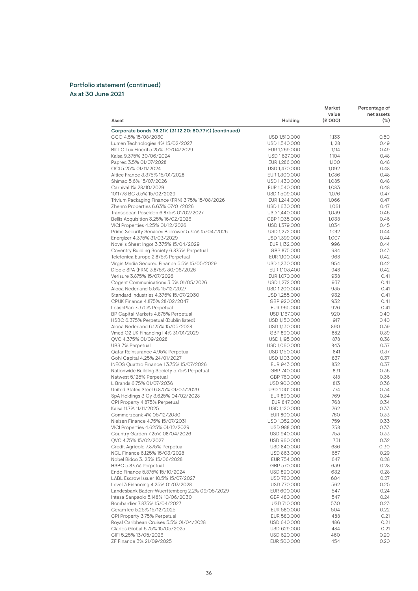#### Portfolio statement (continued) As at 30 June 2021

|                                                         |                                | Market           | Percentage of        |
|---------------------------------------------------------|--------------------------------|------------------|----------------------|
| Asset                                                   | Holding                        | value<br>(E'000) | net assets<br>$(\%)$ |
| Corporate bonds 78.21% (31.12.20: 80.77%) (continued)   |                                |                  |                      |
| CCO 4.5% 15/08/2030                                     | USD 1,510,000                  | 1,133            | 0.50                 |
| Lumen Technologies 4% 15/02/2027                        | USD 1,540,000                  | 1,128            | 0.49                 |
| BK LC Lux Finco1 5.25% 30/04/2029                       | EUR 1,269,000                  | 1,114            | 0.49                 |
| Kaisa 9.375% 30/06/2024                                 | USD 1,627,000                  | 1,104            | 0.48<br>0.48         |
| Paprec 3.5% 01/07/2028<br>OCI 5.25% 01/11/2024          | EUR 1,286,000                  | 1,100            | 0.48                 |
| Altice France 3.375% 15/01/2028                         | USD 1,470,000<br>EUR 1,300,000 | 1,092<br>1,086   | 0.48                 |
| Shimao 5.6% 15/07/2026                                  | USD 1,430,000                  | 1,085            | 0.48                 |
| Carnival 1% 28/10/2029                                  | EUR 1,540,000                  | 1,083            | 0.48                 |
| 1011778 BC 3.5% 15/02/2029                              | USD 1,509,000                  | 1,076            | 0.47                 |
| Trivium Packaging Finance (FRN) 3.75% 15/08/2026        | EUR 1,244,000                  | 1,066            | 0.47                 |
| Zhenro Properties 6.63% 07/01/2026                      | USD 1,630,000                  | 1,061            | 0.47                 |
| Transocean Poseidon 6.875% 01/02/2027                   | USD 1,440,000                  | 1,039            | 0.46                 |
| Bellis Acquisition 3.25% 16/02/2026                     | GBP 1,035,000                  | 1,038            | 0.46                 |
| VICI Properties 4.25% 01/12/2026                        | USD 1,379,000                  | 1,034            | 0.45                 |
| Prime Security Services Borrower 5.75% 15/04/2026       | USD 1,272,000                  | 1,012            | 0.44                 |
| Energizer 4.375% 31/03/2029                             | USD 1,399,000                  | 1,007            | 0.44                 |
| Novelis Sheet Ingot 3.375% 15/04/2029                   | EUR 1,132,000                  | 996              | 0.44                 |
| Coventry Building Society 6.875% Perpetual              | GBP 875,000                    | 984              | 0.43                 |
| Telefonica Europe 2.875% Perpetual                      | EUR 1,100,000                  | 968              | 0.42                 |
| Virgin Media Secured Finance 5.5% 15/05/2029            | USD 1,230,000                  | 954              | 0.42                 |
| Diocle SPA (FRN) 3.875% 30/06/2026                      | EUR 1,103,400                  | 948              | 0.42                 |
| Verisure 3.875% 15/07/2026                              | EUR 1,070,000                  | 938              | 0.41                 |
| Cogent Communications 3.5% 01/05/2026                   | USD 1,272,000                  | 937              | 0.41                 |
| Alcoa Nederland 5.5% 15/12/2027                         | USD 1,200,000                  | 935              | 0.41                 |
| Standard Industries 4.375% 15/07/2030                   | USD 1,255,000                  | 932              | 0.41                 |
| CPUK Finance 4.875% 28/02/2047                          | GBP 920,000                    | 932              | 0.41                 |
| LeasePlan 7.375% Perpetual                              | EUR 965,000                    | 926              | 0.41                 |
| BP Capital Markets 4.875% Perpetual                     | USD 1,167,000                  | 920              | 0.40                 |
| HSBC 6.375% Perpetual (Dublin listed)                   | USD 1,150,000                  | 917              | 0.40                 |
| Alcoa Nederland 6.125% 15/05/2028                       | USD 1,130,000                  | 890              | 0.39                 |
| Vmed O2 UK Financing   4% 31/01/2029                    | GBP 890,000                    | 882              | 0.39                 |
| QVC 4.375% 01/09/2028                                   | USD 1,195,000                  | 878              | 0.38                 |
| UBS 7% Perpetual                                        | USD 1,060,000                  | 843              | 0.37                 |
| Qatar Reinsurance 4.95% Perpetual                       | USD 1,150,000                  | 841              | 0.37                 |
| Gohl Capital 4.25% 24/01/2027                           | USD 1,103,000                  | 837              | 0.37                 |
| INEOS Quattro Finance 1 3.75% 15/07/2026                | EUR 943,000                    | 832              | 0.37                 |
| Nationwide Building Society 5.75% Perpetual             | GBP 740,000                    | 831              | 0.36                 |
| Natwest 5.125% Perpetual                                | GBP 760,000                    | 818              | 0.36                 |
| L Brands 6.75% 01/07/2036                               | USD 900,000                    | 813              | 0.36                 |
| United States Steel 6.875% 01/03/2029                   | USD 1,001,000                  | 774              | 0.34                 |
| SpA Holdings 3 Oy 3.625% 04/02/2028                     | EUR 890,000                    | 769              | 0.34                 |
| CPI Property 4.875% Perpetual                           | EUR 847,000                    | 768              | 0.34                 |
| Kaisa 11.7% 11/11/2025                                  | USD 1.120,000                  | 762              | 0.33                 |
| Commerzbank 4% 05/12/2030                               | EUR 800,000                    | 760              | 0.33                 |
| Nielsen Finance 4.75% 15/07/2031                        | USD 1,052,000                  | 759              | 0.33                 |
| VICI Properties 4.625% 01/12/2029                       | USD 988,000                    | 758              | 0.33                 |
| Country Garden 7.25% 08/04/2026                         | USD 940,000                    | 753              | 0.33                 |
| QVC 4.75% 15/02/2027                                    | USD 960,000                    | 731              | 0.32                 |
| Credit Agricole 7.875% Perpetual                        | USD 840,000                    | 686              | 0.30                 |
| NCL Finance 6.125% 15/03/2028                           | USD 863,000                    | 657              | 0.29                 |
| Nobel Bidco 3.125% 15/06/2028                           | EUR 754,000                    | 647              | 0.28                 |
| HSBC 5.875% Perpetual<br>Endo Finance 5.875% 15/10/2024 | GBP 570,000                    | 639              | 0.28                 |
| LABL Escrow Issuer 10.5% 15/07/2027                     | USD 890,000<br>USD 760,000     | 632<br>604       | 0.28<br>0.27         |
| Level 3 Financing 4.25% 01/07/2028                      | USD 770,000                    | 562              | 0.25                 |
| Landesbank Baden-Wuerttemberg 2.2% 09/05/2029           | EUR 600,000                    | 547              | 0.24                 |
| Intesa Sanpaolo 5.148% 10/06/2030                       |                                |                  | 0.24                 |
| Bombardier 7.875% 15/04/2027                            | GBP 480,000<br>USD 710,000     | 547<br>530       | 0.23                 |
| CeramTec 5.25% 15/12/2025                               | EUR 580,000                    | 504              | 0.22                 |
| CPI Property 3.75% Perpetual                            | EUR 580,000                    | 488              | 0.21                 |
| Royal Caribbean Cruises 5.5% 01/04/2028                 | USD 640,000                    | 486              | 0.21                 |
| Clarios Global 6.75% 15/05/2025                         | USD 629,000                    | 484              | 0.21                 |
| CIFI 5.25% 13/05/2026                                   | USD 620,000                    | 460              | 0.20                 |
| ZF Finance 3% 21/09/2025                                | EUR 500,000                    | 454              | 0.20                 |
|                                                         |                                |                  |                      |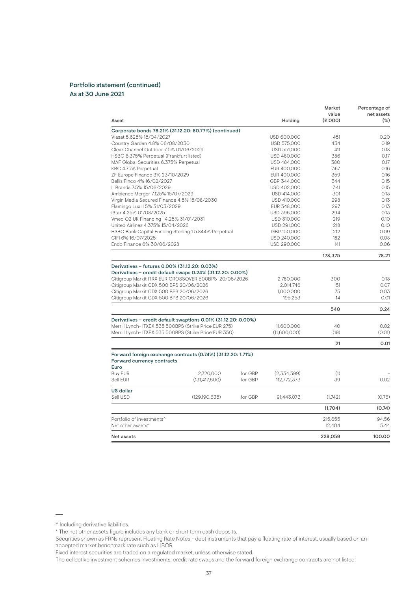| Asset                                                                                                                                                                                                                                                                                                 |                 |         | Holding                                        | Market<br>value<br>(E'000) | Percentage of<br>net assets<br>$(\%)$ |
|-------------------------------------------------------------------------------------------------------------------------------------------------------------------------------------------------------------------------------------------------------------------------------------------------------|-----------------|---------|------------------------------------------------|----------------------------|---------------------------------------|
|                                                                                                                                                                                                                                                                                                       |                 |         |                                                |                            |                                       |
| Corporate bonds 78.21% (31.12.20: 80.77%) (continued)<br>Viasat 5.625% 15/04/2027                                                                                                                                                                                                                     |                 |         | USD 600,000                                    | 451                        | 0.20                                  |
| Country Garden 4.8% 06/08/2030                                                                                                                                                                                                                                                                        |                 |         | USD 575,000                                    | 434                        | 0.19                                  |
| Clear Channel Outdoor 7.5% 01/06/2029                                                                                                                                                                                                                                                                 |                 |         | USD 551,000                                    | 411                        | 0.18                                  |
| HSBC 6.375% Perpetual (Frankfurt listed)                                                                                                                                                                                                                                                              |                 |         | USD 480,000                                    | 386                        | 0.17                                  |
| MAF Global Securities 6.375% Perpetual                                                                                                                                                                                                                                                                |                 |         | USD 484,000                                    | 380                        | 0.17                                  |
| KBC 4.75% Perpetual                                                                                                                                                                                                                                                                                   |                 |         | EUR 400,000                                    | 367                        | 0.16                                  |
| ZF Europe Finance 3% 23/10/2029                                                                                                                                                                                                                                                                       |                 |         | EUR 400,000                                    | 359                        | 0.16                                  |
| Bellis Finco 4% 16/02/2027                                                                                                                                                                                                                                                                            |                 |         | GBP 344,000                                    | 344                        | 0.15                                  |
| L Brands 7.5% 15/06/2029                                                                                                                                                                                                                                                                              |                 |         | USD 402,000                                    | 341                        | 0.15                                  |
| Ambience Merger 7.125% 15/07/2029                                                                                                                                                                                                                                                                     |                 |         | USD 414,000                                    | 301                        | 0.13                                  |
| Virgin Media Secured Finance 4.5% 15/08/2030                                                                                                                                                                                                                                                          |                 |         | USD 410,000                                    | 298                        | 0.13                                  |
| Flamingo Lux II 5% 31/03/2029                                                                                                                                                                                                                                                                         |                 |         | EUR 348,000                                    | 297                        | 0.13                                  |
| iStar 4.25% 01/08/2025                                                                                                                                                                                                                                                                                |                 |         | USD 396,000                                    | 294                        | 0.13                                  |
| Vmed O2 UK Financing I 4.25% 31/01/2031                                                                                                                                                                                                                                                               |                 |         | USD 310,000                                    | 219                        | 0.10                                  |
| United Airlines 4.375% 15/04/2026                                                                                                                                                                                                                                                                     |                 |         | USD 291,000                                    | 218                        | 0.10                                  |
| HSBC Bank Capital Funding Sterling 15.844% Perpetual                                                                                                                                                                                                                                                  |                 |         | GBP 150,000                                    | 212                        | 0.09                                  |
| CIFI 6% 16/07/2025                                                                                                                                                                                                                                                                                    |                 |         | USD 240,000                                    | 182                        | 0.08                                  |
| Endo Finance 6% 30/06/2028                                                                                                                                                                                                                                                                            |                 |         | USD 290,000                                    | 141                        | 0.06                                  |
|                                                                                                                                                                                                                                                                                                       |                 |         |                                                | 178,375                    | 78.21                                 |
| Derivatives - futures 0.00% (31.12.20: 0.03%)<br>Derivatives - credit default swaps 0.24% (31.12.20: 0.00%)<br>Citigroup Markit ITRX EUR CROSSOVER 500BPS 20/06/2026<br>Citigroup Markit CDX 500 BPS 20/06/2026<br>Citigroup Markit CDX 500 BPS 20/06/2026<br>Citigroup Markit CDX 500 BPS 20/06/2026 |                 |         | 2,780,000<br>2,014,746<br>1,000,000<br>195.253 | 300<br>151<br>75<br>14     | 0.13<br>0.07<br>0.03<br>0.01          |
|                                                                                                                                                                                                                                                                                                       |                 |         |                                                | 540                        | 0.24                                  |
| Derivatives - credit default swaptions 0.01% (31.12.20: 0.00%)                                                                                                                                                                                                                                        |                 |         |                                                |                            |                                       |
| Merrill Lynch- ITXEX 535 500BPS (Strike Price EUR 275)                                                                                                                                                                                                                                                |                 |         | 11,600,000                                     | 40<br>(19)                 | 0.02<br>(0.01)                        |
| Merrill Lynch-ITXEX 535 500BPS (Strike Price EUR 350)                                                                                                                                                                                                                                                 |                 |         | (11,600,000)                                   |                            |                                       |
|                                                                                                                                                                                                                                                                                                       |                 |         |                                                | 21                         | 0.01                                  |
| Forward foreign exchange contracts (0.74%) (31.12.20: 1.71%)                                                                                                                                                                                                                                          |                 |         |                                                |                            |                                       |
| Forward currency contracts<br>Euro                                                                                                                                                                                                                                                                    |                 |         |                                                |                            |                                       |
| Buy EUR                                                                                                                                                                                                                                                                                               | 2,720,000       | for GBP | (2,334,399)                                    | (1)                        |                                       |
| Sell EUR                                                                                                                                                                                                                                                                                              | (131, 417, 600) | for GBP | 112,772,373                                    | 39                         | 0.02                                  |
|                                                                                                                                                                                                                                                                                                       |                 |         |                                                |                            |                                       |
| US dollar<br>Sell USD                                                                                                                                                                                                                                                                                 | (129, 190, 635) | for GBP | 91,443,073                                     | (1,742)                    | (0.76)                                |
|                                                                                                                                                                                                                                                                                                       |                 |         |                                                | (1,704)                    | (0.74)                                |
|                                                                                                                                                                                                                                                                                                       |                 |         |                                                |                            |                                       |
| Portfolio of investments <sup>^</sup><br>Net other assets*                                                                                                                                                                                                                                            |                 |         |                                                | 215,655<br>12,404          | 94.56<br>5.44                         |
| Net assets                                                                                                                                                                                                                                                                                            |                 |         |                                                | 228,059                    | 100.00                                |
|                                                                                                                                                                                                                                                                                                       |                 |         |                                                |                            |                                       |

^ Including derivative liabilities.

<sup>\*</sup> The net other assets figure includes any bank or short term cash deposits.

Securities shown as FRNs represent Floating Rate Notes - debt instruments that pay a floating rate of interest, usually based on an accepted market benchmark rate such as LIBOR.

Fixed interest securities are traded on a regulated market, unless otherwise stated.

The collective investment schemes investments, credit rate swaps and the forward foreign exchange contracts are not listed.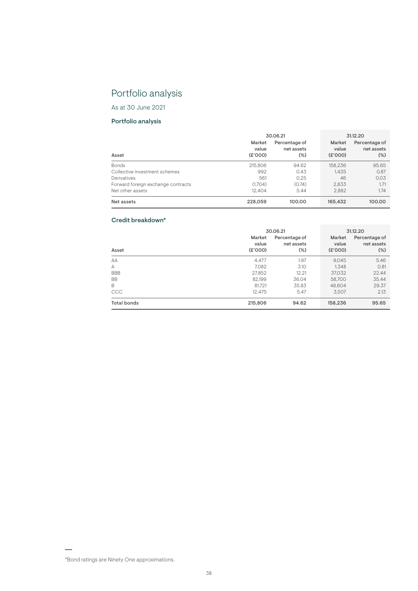# Portfolio analysis

As at 30 June 2021

# Portfolio analysis

|                                    | 30.06.21                   |                                       | 31.12.20                  |                                       |
|------------------------------------|----------------------------|---------------------------------------|---------------------------|---------------------------------------|
| Asset                              | Market<br>value<br>(E'000) | Percentage of<br>net assets<br>$(\%)$ | Market<br>value<br>(6000) | Percentage of<br>net assets<br>$(\%)$ |
| <b>Bonds</b>                       | 215,806                    | 94.62                                 | 158.236                   | 95.65                                 |
| Collective investment schemes      | 992                        | 0.43                                  | 1.435                     | 0.87                                  |
| Derivatives                        | 561                        | 0.25                                  | 46                        | 0.03                                  |
| Forward foreign exchange contracts | (1.704)                    | (0.74)                                | 2.833                     | 1.71                                  |
| Net other assets                   | 12.404                     | 5.44                                  | 2.882                     | 1.74                                  |
| Net assets                         | 228,059                    | 100.00                                | 165,432                   | 100.00                                |

# Credit breakdown\*

|                    | 30.06.21                   | 31.12.20                              |                            |                                       |
|--------------------|----------------------------|---------------------------------------|----------------------------|---------------------------------------|
| Asset              | Market<br>value<br>(E'000) | Percentage of<br>net assets<br>$(\%)$ | Market<br>value<br>(E'000) | Percentage of<br>net assets<br>$(\%)$ |
| AA                 | 4.477                      | 1.97                                  | 9.045                      | 5.46                                  |
| A                  | 7,082                      | 3.10                                  | 1.348                      | 0.81                                  |
| <b>BBB</b>         | 27,852                     | 12.21                                 | 37,032                     | 22.44                                 |
| <b>BB</b>          | 82,199                     | 36.04                                 | 58,700                     | 35.44                                 |
| B                  | 81.721                     | 35.83                                 | 48.604                     | 29.37                                 |
| CCC                | 12,475                     | 5.47                                  | 3.507                      | 2.13                                  |
| <b>Total bonds</b> | 215,806                    | 94.62                                 | 158,236                    | 95.65                                 |

<sup>\*</sup>Bond ratings are Ninety One approximations.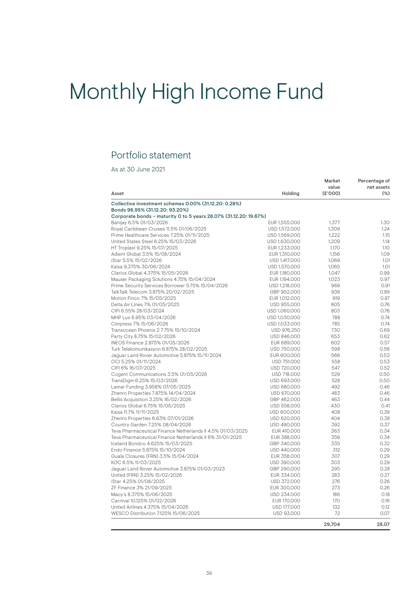# Monthly High Income Fund

# Portfolio statement

| Asset                                                             | Holding       | Market<br>value<br>(E'000) | Percentage of<br>net assets<br>$(\%)$ |
|-------------------------------------------------------------------|---------------|----------------------------|---------------------------------------|
|                                                                   |               |                            |                                       |
| Collective investment schemes 0.00% (31.12.20: 0.28%)             |               |                            |                                       |
| Bonds 98.95% (31.12.20: 93.20%)                                   |               |                            |                                       |
| Corporate bonds - maturity 0 to 5 years 28.07% (31.12.20: 19.67%) |               |                            |                                       |
| Banijay 6.5% 01/03/2026                                           | EUR 1,555,000 | 1.377                      | 1.30                                  |
| Royal Caribbean Cruises 11.5% 01/06/2025                          | USD 1,572,000 | 1,309                      | 1.24                                  |
| Prime Healthcare Services 7.25% 01/11/2025                        | USD 1,569,000 | 1,222                      | 1.15                                  |
| United States Steel 6.25% 15/03/2026                              | USD 1,630,000 | 1.209                      | 1.14                                  |
| HT Troplast 9.25% 15/07/2025                                      | EUR 1,233,000 | 1,170                      | 1.10                                  |
| Adient Global 3.5% 15/08/2024                                     | EUR 1,310,000 | 1,156                      | 1.09                                  |
| iStar 5.5% 15/02/2026                                             | USD 1,417,000 | 1,069                      | 1.01                                  |
| Kaisa 9.375% 30/06/2024                                           | USD 1,570,000 | 1,065                      | 1.01                                  |
| Clarios Global 4.375% 15/05/2026                                  | EUR 1,180,000 | 1.047                      | 0.99                                  |
| Mauser Packaging Solutions 4.75% 15/04/2024                       | EUR 1,194,000 | 1,023                      | 0.97                                  |
| Prime Security Services Borrower 5.75% 15/04/2026                 | USD 1,218,000 | 969                        | 0.91                                  |
| TalkTalk Telecom 3.875% 20/02/2025                                | GBP 952,000   | 939                        | 0.89                                  |
| Motion Finco 7% 15/05/2025                                        | EUR 1,012,000 | 919                        | 0.87                                  |
| Delta Air Lines 7% 01/05/2025                                     | USD 955,000   | 805                        | 0.76                                  |
| CIFI 6.55% 28/03/2024                                             | USD 1,060,000 | 803                        | 0.76                                  |
| MHP Lux 6.95% 03/04/2026                                          | USD 1,030,000 | 788                        | 0.74                                  |
| Cimpress 7% 15/06/2026                                            | USD 1,033,000 | 785                        | 0.74                                  |
| Transocean Phoenix 2 7.75% 15/10/2024                             | USD 976,250   | 730                        | 0.69                                  |
| Party City 8.75% 15/02/2026                                       | USD 846,000   | 653                        | 0.62                                  |
| INEOS Finance 2.875% 01/05/2026                                   | EUR 689,000   | 602                        | 0.57                                  |
| Turk Telekomunikasyon 6.875% 28/02/2025                           | USD 750,000   | 598                        | 0.56                                  |
| Jaguar Land Rover Automotive 5.875% 15/11/2024                    | EUR 600,000   | 566                        | 0.53                                  |
| OCI 5.25% 01/11/2024                                              | USD 751,000   | 558                        | 0.53                                  |
| CIFI 6% 16/07/2025                                                | USD 720,000   | 547                        | 0.52                                  |
| Cogent Communications 3.5% 01/05/2026                             | USD 718,000   | 529                        | 0.50                                  |
| TransDigm 6.25% 15/03/2026                                        | USD 693,000   | 528                        | 0.50                                  |
| Lamar Funding 3.958% 07/05/2025                                   | USD 680,000   | 492                        | 0.46                                  |
| Zhenro Properties 7.875% 14/04/2024                               | USD 670,000   | 483                        | 0.46                                  |
| Bellis Acquisition 3.25% 16/02/2026                               | GBP 462,000   | 463                        | 0.44                                  |
| Clarios Global 6.75% 15/05/2025                                   | USD 558,000   | 430                        | 0.41                                  |
| Kaisa 11.7% 11/11/2025                                            | USD 600,000   | 408                        | 0.39                                  |
| Zhenro Properties 6.63% 07/01/2026                                | USD 620,000   | 404                        | 0.38                                  |
| Country Garden 7.25% 08/04/2026                                   | USD 490,000   | 392                        | 0.37                                  |
| Teva Pharmaceutical Finance Netherlands II 4.5% 01/03/2025        | EUR 410,000   | 363                        | 0.34                                  |
| Teva Pharmaceutical Finance Netherlands II 6% 31/01/2025          | EUR 388,000   | 359                        | 0.34                                  |
| Iceland Bondco 4.625% 15/03/2025                                  | GBP 340,000   | 335                        | 0.32                                  |
| Endo Finance 5.875% 15/10/2024                                    | USD 440,000   | 312                        | 0.29                                  |
| Guala Closures (FRN) 3.5% 15/04/2024                              | EUR 358,000   | 307                        | 0.29                                  |
| KOC 6.5% 11/03/2025                                               | USD 390,000   | 303                        | 0.29                                  |
| Jaguar Land Rover Automotive 3.875% 01/03/2023                    | GBP 290,000   | 295                        | 0.28                                  |
| United (FRN) 3.25% 15/02/2026                                     | EUR 334,000   | 283                        | 0.27                                  |
| iStar 4.25% 01/08/2025                                            | USD 372,000   | 276                        | 0.26                                  |
| ZF Finance 3% 21/09/2025                                          |               | 273                        | 0.26                                  |
|                                                                   | EUR 300,000   |                            |                                       |
| Macy's 8.375% 15/06/2025                                          | USD 234,000   | 186                        | 0.18                                  |
| Carnival 10.125% 01/02/2026                                       | EUR 170,000   | 170                        | 0.16                                  |
| United Airlines 4.375% 15/04/2026                                 | USD 177,000   | 132                        | 0.12                                  |
| WESCO Distribution 7.125% 15/06/2025                              | USD 93,000    | 72                         | 0.07                                  |
|                                                                   |               | 29.704                     | 28.07                                 |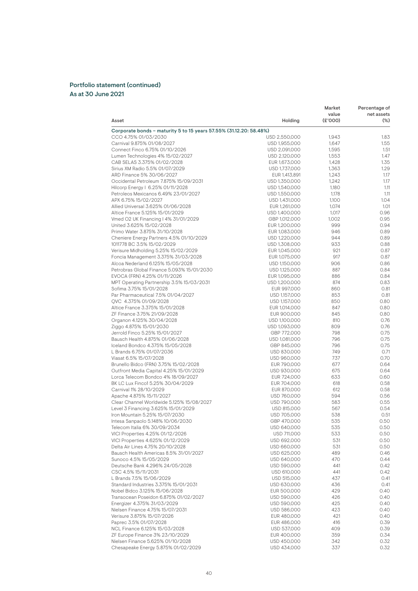| value<br>net assets<br>(E'000)<br>Holding<br>$(\%)$<br>Asset<br>Corporate bonds – maturity 5 to 15 years 57.55% (31.12.20: 58.48%)<br>CCO 4.75% 01/03/2030<br>USD 2,550,000<br>1.83<br>1,943<br>Carnival 9.875% 01/08/2027<br>1.55<br>1,647<br>USD 1,955,000<br>1.51<br>Connect Finco 6.75% 01/10/2026<br>1,595<br>USD 2,091,000<br>Lumen Technologies 4% 15/02/2027<br>USD 2,120,000<br>1,553<br>1.35<br>CAB SELAS 3.375% 01/02/2028<br>1,428<br>EUR 1,673,000<br>1.29<br>Sirius XM Radio 5.5% 01/07/2029<br>USD 1,737,000<br>1,363<br>ARD Finance 5% 30/06/2027<br>1.17<br>EUR 1,413,891<br>1,243<br>Occidental Petroleum 7.875% 15/09/2031<br>USD 1,350,000<br>1,242<br>1.17<br>Hilcorp Energy   6.25% 01/11/2028<br>USD 1,540,000<br>1,180<br>1.11<br>Petroleos Mexicanos 6.49% 23/01/2027<br>USD 1,550,000<br>1,178<br>1.11<br>APX 6.75% 15/02/2027<br>1.04<br>USD 1,431,000<br>1,100<br>Allied Universal 3.625% 01/06/2028<br>EUR 1,261,000<br>1,074<br>1.01<br>Altice France 5.125% 15/01/2029<br>0.96<br>USD 1,400,000<br>1,017<br>0.95<br>Vmed O2 UK Financing   4% 31/01/2029<br>GBP 1,012,000<br>1,002<br>United 3.625% 15/02/2028<br>0.94<br>EUR 1,200,000<br>999<br>Primo Water 3.875% 31/10/2028<br>0.89<br>EUR 1,083,000<br>946<br>0.89<br>Cheniere Energy Partners 4.5% 01/10/2029<br>USD 1,220,000<br>944<br>1011778 BC 3.5% 15/02/2029<br>0.88<br>USD 1,308,000<br>933<br>Verisure Midholding 5.25% 15/02/2029<br>0.87<br>EUR 1,045,000<br>921<br>Foncia Management 3.375% 31/03/2028<br>EUR 1,075,000<br>917<br>0.87<br>Alcoa Nederland 6.125% 15/05/2028<br>0.86<br>USD 1,150,000<br>906<br>Petrobras Global Finance 5.093% 15/01/2030<br>USD 1,125,000<br>887<br>0.84<br>EVOCA (FRN) 4.25% 01/11/2026<br>0.84<br>EUR 1,095,000<br>886<br>MPT Operating Partnership 3.5% 15/03/2031<br>USD 1,200,000<br>874<br>0.83<br>0.81<br>Sofima 3.75% 15/01/2028<br>EUR 997,000<br>860<br>Par Pharmaceutical 7.5% 01/04/2027<br>USD 1,157,000<br>853<br>0.81<br>OVC 4.375% 01/09/2028<br>0.80<br>850<br>USD 1,157,000<br>0.80<br>Altice France 3.375% 15/01/2028<br>EUR 1,014,000<br>847<br>0.80<br>ZF Finance 3.75% 21/09/2028<br>EUR 900,000<br>845<br>0.76<br>Organon 4.125% 30/04/2028<br>USD 1,100,000<br>810<br>0.76<br>Ziggo 4.875% 15/01/2030<br>USD 1,093,000<br>809<br>0.75<br>Jerrold Finco 5.25% 15/01/2027<br>GBP 772,000<br>798<br>0.75<br>Bausch Health 4.875% 01/06/2028<br>USD 1,081,000<br>796<br>0.75<br>Iceland Bondco 4.375% 15/05/2028<br>GBP 845,000<br>796<br>L Brands 6.75% 01/07/2036<br>0.71<br>USD 830,000<br>749<br>Viasat 6.5% 15/07/2028<br>0.70<br>USD 960,000<br>737<br>Brunello Bidco (FRN) 3.75% 15/02/2028<br>0.64<br>EUR 790,000<br>677<br>Outfront Media Capital 4.25% 15/01/2029<br>USD 930,000<br>675<br>0.64<br>Lorca Telecom Bondco 4% 18/09/2027<br>0.60<br>EUR 724,000<br>633<br>BK LC Lux Finco1 5.25% 30/04/2029<br>0.58<br>EUR 704,000<br>618<br>Carnival 1% 28/10/2029<br>0.58<br>EUR 870,000<br>612<br>0.56<br>Apache 4.875% 15/11/2027<br>USD 760,000<br>594<br>0.55<br>Clear Channel Worldwide 5.125% 15/08/2027<br>USD 790,000<br>583<br>0.54<br>Level 3 Financing 3.625% 15/01/2029<br>USD 815,000<br>567<br>Iron Mountain 5.25% 15/07/2030<br>538<br>0.51<br>USD 705,000<br>Intesa Sanpaolo 5.148% 10/06/2030<br>GBP 470,000<br>535<br>Telecom Italia 6% 30/09/2034<br>535<br>USD 640,000<br>VICI Properties 4.25% 01/12/2026<br>USD 711,000<br>533<br>0.50<br>VICI Properties 4.625% 01/12/2029<br>USD 692,000<br>531<br>0.50<br>Delta Air Lines 4.75% 20/10/2028<br>USD 660,000<br>531<br>Bausch Health Americas 8.5% 31/01/2027<br>USD 625,000<br>489<br>0.44<br>Sunoco 4.5% 15/05/2029<br>USD 640,000<br>470<br>Deutsche Bank 4.296% 24/05/2028<br>USD 590,000<br>441<br>CSC 4.5% 15/11/2031<br>USD 610,000<br>441<br>L Brands 7.5% 15/06/2029<br>USD 515,000<br>437<br>Standard Industries 3.375% 15/01/2031<br>USD 630,000<br>436<br>Nobel Bidco 3.125% 15/06/2028<br>429<br>EUR 500,000<br>Transocean Poseidon 6.875% 01/02/2027<br>426<br>USD 590,000<br>0.40<br>Energizer 4.375% 31/03/2029<br>425<br>USD 590,000<br>0.40<br>Nielsen Finance 4.75% 15/07/2031<br>USD 586,000<br>423<br>0.40<br>421<br>Verisure 3.875% 15/07/2026<br>EUR 480,000<br>0.40<br>0.39<br>Paprec 3.5% 01/07/2028<br>EUR 486,000<br>416<br>0.39<br>NCL Finance 6.125% 15/03/2028<br>USD 537,000<br>409<br>0.34<br>ZF Europe Finance 3% 23/10/2029<br>EUR 400,000<br>359<br>Nielsen Finance 5.625% 01/10/2028<br>USD 450,000<br>342<br>Chesapeake Energy 5.875% 01/02/2029<br>USD 434,000<br>337 |  | Market | Percentage of |
|--------------------------------------------------------------------------------------------------------------------------------------------------------------------------------------------------------------------------------------------------------------------------------------------------------------------------------------------------------------------------------------------------------------------------------------------------------------------------------------------------------------------------------------------------------------------------------------------------------------------------------------------------------------------------------------------------------------------------------------------------------------------------------------------------------------------------------------------------------------------------------------------------------------------------------------------------------------------------------------------------------------------------------------------------------------------------------------------------------------------------------------------------------------------------------------------------------------------------------------------------------------------------------------------------------------------------------------------------------------------------------------------------------------------------------------------------------------------------------------------------------------------------------------------------------------------------------------------------------------------------------------------------------------------------------------------------------------------------------------------------------------------------------------------------------------------------------------------------------------------------------------------------------------------------------------------------------------------------------------------------------------------------------------------------------------------------------------------------------------------------------------------------------------------------------------------------------------------------------------------------------------------------------------------------------------------------------------------------------------------------------------------------------------------------------------------------------------------------------------------------------------------------------------------------------------------------------------------------------------------------------------------------------------------------------------------------------------------------------------------------------------------------------------------------------------------------------------------------------------------------------------------------------------------------------------------------------------------------------------------------------------------------------------------------------------------------------------------------------------------------------------------------------------------------------------------------------------------------------------------------------------------------------------------------------------------------------------------------------------------------------------------------------------------------------------------------------------------------------------------------------------------------------------------------------------------------------------------------------------------------------------------------------------------------------------------------------------------------------------------------------------------------------------------------------------------------------------------------------------------------------------------------------------------------------------------------------------------------------------------------------------------------------------------------------------------------------------------------------------------------------------------------------------------------------------------------------------------------------------------------------------------------------------------------------------------------------------------------------------------------------------------------------------------------------------------------------------------------------------------------------------------------------------------------|--|--------|---------------|
| 1.47                                                                                                                                                                                                                                                                                                                                                                                                                                                                                                                                                                                                                                                                                                                                                                                                                                                                                                                                                                                                                                                                                                                                                                                                                                                                                                                                                                                                                                                                                                                                                                                                                                                                                                                                                                                                                                                                                                                                                                                                                                                                                                                                                                                                                                                                                                                                                                                                                                                                                                                                                                                                                                                                                                                                                                                                                                                                                                                                                                                                                                                                                                                                                                                                                                                                                                                                                                                                                                                                                                                                                                                                                                                                                                                                                                                                                                                                                                                                                                                                                                                                                                                                                                                                                                                                                                                                                                                                                                                                                                                                             |  |        |               |
|                                                                                                                                                                                                                                                                                                                                                                                                                                                                                                                                                                                                                                                                                                                                                                                                                                                                                                                                                                                                                                                                                                                                                                                                                                                                                                                                                                                                                                                                                                                                                                                                                                                                                                                                                                                                                                                                                                                                                                                                                                                                                                                                                                                                                                                                                                                                                                                                                                                                                                                                                                                                                                                                                                                                                                                                                                                                                                                                                                                                                                                                                                                                                                                                                                                                                                                                                                                                                                                                                                                                                                                                                                                                                                                                                                                                                                                                                                                                                                                                                                                                                                                                                                                                                                                                                                                                                                                                                                                                                                                                                  |  |        |               |
|                                                                                                                                                                                                                                                                                                                                                                                                                                                                                                                                                                                                                                                                                                                                                                                                                                                                                                                                                                                                                                                                                                                                                                                                                                                                                                                                                                                                                                                                                                                                                                                                                                                                                                                                                                                                                                                                                                                                                                                                                                                                                                                                                                                                                                                                                                                                                                                                                                                                                                                                                                                                                                                                                                                                                                                                                                                                                                                                                                                                                                                                                                                                                                                                                                                                                                                                                                                                                                                                                                                                                                                                                                                                                                                                                                                                                                                                                                                                                                                                                                                                                                                                                                                                                                                                                                                                                                                                                                                                                                                                                  |  |        |               |
|                                                                                                                                                                                                                                                                                                                                                                                                                                                                                                                                                                                                                                                                                                                                                                                                                                                                                                                                                                                                                                                                                                                                                                                                                                                                                                                                                                                                                                                                                                                                                                                                                                                                                                                                                                                                                                                                                                                                                                                                                                                                                                                                                                                                                                                                                                                                                                                                                                                                                                                                                                                                                                                                                                                                                                                                                                                                                                                                                                                                                                                                                                                                                                                                                                                                                                                                                                                                                                                                                                                                                                                                                                                                                                                                                                                                                                                                                                                                                                                                                                                                                                                                                                                                                                                                                                                                                                                                                                                                                                                                                  |  |        |               |
|                                                                                                                                                                                                                                                                                                                                                                                                                                                                                                                                                                                                                                                                                                                                                                                                                                                                                                                                                                                                                                                                                                                                                                                                                                                                                                                                                                                                                                                                                                                                                                                                                                                                                                                                                                                                                                                                                                                                                                                                                                                                                                                                                                                                                                                                                                                                                                                                                                                                                                                                                                                                                                                                                                                                                                                                                                                                                                                                                                                                                                                                                                                                                                                                                                                                                                                                                                                                                                                                                                                                                                                                                                                                                                                                                                                                                                                                                                                                                                                                                                                                                                                                                                                                                                                                                                                                                                                                                                                                                                                                                  |  |        |               |
|                                                                                                                                                                                                                                                                                                                                                                                                                                                                                                                                                                                                                                                                                                                                                                                                                                                                                                                                                                                                                                                                                                                                                                                                                                                                                                                                                                                                                                                                                                                                                                                                                                                                                                                                                                                                                                                                                                                                                                                                                                                                                                                                                                                                                                                                                                                                                                                                                                                                                                                                                                                                                                                                                                                                                                                                                                                                                                                                                                                                                                                                                                                                                                                                                                                                                                                                                                                                                                                                                                                                                                                                                                                                                                                                                                                                                                                                                                                                                                                                                                                                                                                                                                                                                                                                                                                                                                                                                                                                                                                                                  |  |        |               |
|                                                                                                                                                                                                                                                                                                                                                                                                                                                                                                                                                                                                                                                                                                                                                                                                                                                                                                                                                                                                                                                                                                                                                                                                                                                                                                                                                                                                                                                                                                                                                                                                                                                                                                                                                                                                                                                                                                                                                                                                                                                                                                                                                                                                                                                                                                                                                                                                                                                                                                                                                                                                                                                                                                                                                                                                                                                                                                                                                                                                                                                                                                                                                                                                                                                                                                                                                                                                                                                                                                                                                                                                                                                                                                                                                                                                                                                                                                                                                                                                                                                                                                                                                                                                                                                                                                                                                                                                                                                                                                                                                  |  |        |               |
|                                                                                                                                                                                                                                                                                                                                                                                                                                                                                                                                                                                                                                                                                                                                                                                                                                                                                                                                                                                                                                                                                                                                                                                                                                                                                                                                                                                                                                                                                                                                                                                                                                                                                                                                                                                                                                                                                                                                                                                                                                                                                                                                                                                                                                                                                                                                                                                                                                                                                                                                                                                                                                                                                                                                                                                                                                                                                                                                                                                                                                                                                                                                                                                                                                                                                                                                                                                                                                                                                                                                                                                                                                                                                                                                                                                                                                                                                                                                                                                                                                                                                                                                                                                                                                                                                                                                                                                                                                                                                                                                                  |  |        |               |
| 0.50<br>0.50<br>0.50<br>0.46<br>0.42<br>0.42<br>0.41<br>0.41<br>0.40<br>0.32<br>0.32                                                                                                                                                                                                                                                                                                                                                                                                                                                                                                                                                                                                                                                                                                                                                                                                                                                                                                                                                                                                                                                                                                                                                                                                                                                                                                                                                                                                                                                                                                                                                                                                                                                                                                                                                                                                                                                                                                                                                                                                                                                                                                                                                                                                                                                                                                                                                                                                                                                                                                                                                                                                                                                                                                                                                                                                                                                                                                                                                                                                                                                                                                                                                                                                                                                                                                                                                                                                                                                                                                                                                                                                                                                                                                                                                                                                                                                                                                                                                                                                                                                                                                                                                                                                                                                                                                                                                                                                                                                             |  |        |               |
|                                                                                                                                                                                                                                                                                                                                                                                                                                                                                                                                                                                                                                                                                                                                                                                                                                                                                                                                                                                                                                                                                                                                                                                                                                                                                                                                                                                                                                                                                                                                                                                                                                                                                                                                                                                                                                                                                                                                                                                                                                                                                                                                                                                                                                                                                                                                                                                                                                                                                                                                                                                                                                                                                                                                                                                                                                                                                                                                                                                                                                                                                                                                                                                                                                                                                                                                                                                                                                                                                                                                                                                                                                                                                                                                                                                                                                                                                                                                                                                                                                                                                                                                                                                                                                                                                                                                                                                                                                                                                                                                                  |  |        |               |
|                                                                                                                                                                                                                                                                                                                                                                                                                                                                                                                                                                                                                                                                                                                                                                                                                                                                                                                                                                                                                                                                                                                                                                                                                                                                                                                                                                                                                                                                                                                                                                                                                                                                                                                                                                                                                                                                                                                                                                                                                                                                                                                                                                                                                                                                                                                                                                                                                                                                                                                                                                                                                                                                                                                                                                                                                                                                                                                                                                                                                                                                                                                                                                                                                                                                                                                                                                                                                                                                                                                                                                                                                                                                                                                                                                                                                                                                                                                                                                                                                                                                                                                                                                                                                                                                                                                                                                                                                                                                                                                                                  |  |        |               |
|                                                                                                                                                                                                                                                                                                                                                                                                                                                                                                                                                                                                                                                                                                                                                                                                                                                                                                                                                                                                                                                                                                                                                                                                                                                                                                                                                                                                                                                                                                                                                                                                                                                                                                                                                                                                                                                                                                                                                                                                                                                                                                                                                                                                                                                                                                                                                                                                                                                                                                                                                                                                                                                                                                                                                                                                                                                                                                                                                                                                                                                                                                                                                                                                                                                                                                                                                                                                                                                                                                                                                                                                                                                                                                                                                                                                                                                                                                                                                                                                                                                                                                                                                                                                                                                                                                                                                                                                                                                                                                                                                  |  |        |               |
|                                                                                                                                                                                                                                                                                                                                                                                                                                                                                                                                                                                                                                                                                                                                                                                                                                                                                                                                                                                                                                                                                                                                                                                                                                                                                                                                                                                                                                                                                                                                                                                                                                                                                                                                                                                                                                                                                                                                                                                                                                                                                                                                                                                                                                                                                                                                                                                                                                                                                                                                                                                                                                                                                                                                                                                                                                                                                                                                                                                                                                                                                                                                                                                                                                                                                                                                                                                                                                                                                                                                                                                                                                                                                                                                                                                                                                                                                                                                                                                                                                                                                                                                                                                                                                                                                                                                                                                                                                                                                                                                                  |  |        |               |
|                                                                                                                                                                                                                                                                                                                                                                                                                                                                                                                                                                                                                                                                                                                                                                                                                                                                                                                                                                                                                                                                                                                                                                                                                                                                                                                                                                                                                                                                                                                                                                                                                                                                                                                                                                                                                                                                                                                                                                                                                                                                                                                                                                                                                                                                                                                                                                                                                                                                                                                                                                                                                                                                                                                                                                                                                                                                                                                                                                                                                                                                                                                                                                                                                                                                                                                                                                                                                                                                                                                                                                                                                                                                                                                                                                                                                                                                                                                                                                                                                                                                                                                                                                                                                                                                                                                                                                                                                                                                                                                                                  |  |        |               |
|                                                                                                                                                                                                                                                                                                                                                                                                                                                                                                                                                                                                                                                                                                                                                                                                                                                                                                                                                                                                                                                                                                                                                                                                                                                                                                                                                                                                                                                                                                                                                                                                                                                                                                                                                                                                                                                                                                                                                                                                                                                                                                                                                                                                                                                                                                                                                                                                                                                                                                                                                                                                                                                                                                                                                                                                                                                                                                                                                                                                                                                                                                                                                                                                                                                                                                                                                                                                                                                                                                                                                                                                                                                                                                                                                                                                                                                                                                                                                                                                                                                                                                                                                                                                                                                                                                                                                                                                                                                                                                                                                  |  |        |               |
|                                                                                                                                                                                                                                                                                                                                                                                                                                                                                                                                                                                                                                                                                                                                                                                                                                                                                                                                                                                                                                                                                                                                                                                                                                                                                                                                                                                                                                                                                                                                                                                                                                                                                                                                                                                                                                                                                                                                                                                                                                                                                                                                                                                                                                                                                                                                                                                                                                                                                                                                                                                                                                                                                                                                                                                                                                                                                                                                                                                                                                                                                                                                                                                                                                                                                                                                                                                                                                                                                                                                                                                                                                                                                                                                                                                                                                                                                                                                                                                                                                                                                                                                                                                                                                                                                                                                                                                                                                                                                                                                                  |  |        |               |
|                                                                                                                                                                                                                                                                                                                                                                                                                                                                                                                                                                                                                                                                                                                                                                                                                                                                                                                                                                                                                                                                                                                                                                                                                                                                                                                                                                                                                                                                                                                                                                                                                                                                                                                                                                                                                                                                                                                                                                                                                                                                                                                                                                                                                                                                                                                                                                                                                                                                                                                                                                                                                                                                                                                                                                                                                                                                                                                                                                                                                                                                                                                                                                                                                                                                                                                                                                                                                                                                                                                                                                                                                                                                                                                                                                                                                                                                                                                                                                                                                                                                                                                                                                                                                                                                                                                                                                                                                                                                                                                                                  |  |        |               |
|                                                                                                                                                                                                                                                                                                                                                                                                                                                                                                                                                                                                                                                                                                                                                                                                                                                                                                                                                                                                                                                                                                                                                                                                                                                                                                                                                                                                                                                                                                                                                                                                                                                                                                                                                                                                                                                                                                                                                                                                                                                                                                                                                                                                                                                                                                                                                                                                                                                                                                                                                                                                                                                                                                                                                                                                                                                                                                                                                                                                                                                                                                                                                                                                                                                                                                                                                                                                                                                                                                                                                                                                                                                                                                                                                                                                                                                                                                                                                                                                                                                                                                                                                                                                                                                                                                                                                                                                                                                                                                                                                  |  |        |               |
|                                                                                                                                                                                                                                                                                                                                                                                                                                                                                                                                                                                                                                                                                                                                                                                                                                                                                                                                                                                                                                                                                                                                                                                                                                                                                                                                                                                                                                                                                                                                                                                                                                                                                                                                                                                                                                                                                                                                                                                                                                                                                                                                                                                                                                                                                                                                                                                                                                                                                                                                                                                                                                                                                                                                                                                                                                                                                                                                                                                                                                                                                                                                                                                                                                                                                                                                                                                                                                                                                                                                                                                                                                                                                                                                                                                                                                                                                                                                                                                                                                                                                                                                                                                                                                                                                                                                                                                                                                                                                                                                                  |  |        |               |
|                                                                                                                                                                                                                                                                                                                                                                                                                                                                                                                                                                                                                                                                                                                                                                                                                                                                                                                                                                                                                                                                                                                                                                                                                                                                                                                                                                                                                                                                                                                                                                                                                                                                                                                                                                                                                                                                                                                                                                                                                                                                                                                                                                                                                                                                                                                                                                                                                                                                                                                                                                                                                                                                                                                                                                                                                                                                                                                                                                                                                                                                                                                                                                                                                                                                                                                                                                                                                                                                                                                                                                                                                                                                                                                                                                                                                                                                                                                                                                                                                                                                                                                                                                                                                                                                                                                                                                                                                                                                                                                                                  |  |        |               |
|                                                                                                                                                                                                                                                                                                                                                                                                                                                                                                                                                                                                                                                                                                                                                                                                                                                                                                                                                                                                                                                                                                                                                                                                                                                                                                                                                                                                                                                                                                                                                                                                                                                                                                                                                                                                                                                                                                                                                                                                                                                                                                                                                                                                                                                                                                                                                                                                                                                                                                                                                                                                                                                                                                                                                                                                                                                                                                                                                                                                                                                                                                                                                                                                                                                                                                                                                                                                                                                                                                                                                                                                                                                                                                                                                                                                                                                                                                                                                                                                                                                                                                                                                                                                                                                                                                                                                                                                                                                                                                                                                  |  |        |               |
|                                                                                                                                                                                                                                                                                                                                                                                                                                                                                                                                                                                                                                                                                                                                                                                                                                                                                                                                                                                                                                                                                                                                                                                                                                                                                                                                                                                                                                                                                                                                                                                                                                                                                                                                                                                                                                                                                                                                                                                                                                                                                                                                                                                                                                                                                                                                                                                                                                                                                                                                                                                                                                                                                                                                                                                                                                                                                                                                                                                                                                                                                                                                                                                                                                                                                                                                                                                                                                                                                                                                                                                                                                                                                                                                                                                                                                                                                                                                                                                                                                                                                                                                                                                                                                                                                                                                                                                                                                                                                                                                                  |  |        |               |
|                                                                                                                                                                                                                                                                                                                                                                                                                                                                                                                                                                                                                                                                                                                                                                                                                                                                                                                                                                                                                                                                                                                                                                                                                                                                                                                                                                                                                                                                                                                                                                                                                                                                                                                                                                                                                                                                                                                                                                                                                                                                                                                                                                                                                                                                                                                                                                                                                                                                                                                                                                                                                                                                                                                                                                                                                                                                                                                                                                                                                                                                                                                                                                                                                                                                                                                                                                                                                                                                                                                                                                                                                                                                                                                                                                                                                                                                                                                                                                                                                                                                                                                                                                                                                                                                                                                                                                                                                                                                                                                                                  |  |        |               |
|                                                                                                                                                                                                                                                                                                                                                                                                                                                                                                                                                                                                                                                                                                                                                                                                                                                                                                                                                                                                                                                                                                                                                                                                                                                                                                                                                                                                                                                                                                                                                                                                                                                                                                                                                                                                                                                                                                                                                                                                                                                                                                                                                                                                                                                                                                                                                                                                                                                                                                                                                                                                                                                                                                                                                                                                                                                                                                                                                                                                                                                                                                                                                                                                                                                                                                                                                                                                                                                                                                                                                                                                                                                                                                                                                                                                                                                                                                                                                                                                                                                                                                                                                                                                                                                                                                                                                                                                                                                                                                                                                  |  |        |               |
|                                                                                                                                                                                                                                                                                                                                                                                                                                                                                                                                                                                                                                                                                                                                                                                                                                                                                                                                                                                                                                                                                                                                                                                                                                                                                                                                                                                                                                                                                                                                                                                                                                                                                                                                                                                                                                                                                                                                                                                                                                                                                                                                                                                                                                                                                                                                                                                                                                                                                                                                                                                                                                                                                                                                                                                                                                                                                                                                                                                                                                                                                                                                                                                                                                                                                                                                                                                                                                                                                                                                                                                                                                                                                                                                                                                                                                                                                                                                                                                                                                                                                                                                                                                                                                                                                                                                                                                                                                                                                                                                                  |  |        |               |
|                                                                                                                                                                                                                                                                                                                                                                                                                                                                                                                                                                                                                                                                                                                                                                                                                                                                                                                                                                                                                                                                                                                                                                                                                                                                                                                                                                                                                                                                                                                                                                                                                                                                                                                                                                                                                                                                                                                                                                                                                                                                                                                                                                                                                                                                                                                                                                                                                                                                                                                                                                                                                                                                                                                                                                                                                                                                                                                                                                                                                                                                                                                                                                                                                                                                                                                                                                                                                                                                                                                                                                                                                                                                                                                                                                                                                                                                                                                                                                                                                                                                                                                                                                                                                                                                                                                                                                                                                                                                                                                                                  |  |        |               |
|                                                                                                                                                                                                                                                                                                                                                                                                                                                                                                                                                                                                                                                                                                                                                                                                                                                                                                                                                                                                                                                                                                                                                                                                                                                                                                                                                                                                                                                                                                                                                                                                                                                                                                                                                                                                                                                                                                                                                                                                                                                                                                                                                                                                                                                                                                                                                                                                                                                                                                                                                                                                                                                                                                                                                                                                                                                                                                                                                                                                                                                                                                                                                                                                                                                                                                                                                                                                                                                                                                                                                                                                                                                                                                                                                                                                                                                                                                                                                                                                                                                                                                                                                                                                                                                                                                                                                                                                                                                                                                                                                  |  |        |               |
|                                                                                                                                                                                                                                                                                                                                                                                                                                                                                                                                                                                                                                                                                                                                                                                                                                                                                                                                                                                                                                                                                                                                                                                                                                                                                                                                                                                                                                                                                                                                                                                                                                                                                                                                                                                                                                                                                                                                                                                                                                                                                                                                                                                                                                                                                                                                                                                                                                                                                                                                                                                                                                                                                                                                                                                                                                                                                                                                                                                                                                                                                                                                                                                                                                                                                                                                                                                                                                                                                                                                                                                                                                                                                                                                                                                                                                                                                                                                                                                                                                                                                                                                                                                                                                                                                                                                                                                                                                                                                                                                                  |  |        |               |
|                                                                                                                                                                                                                                                                                                                                                                                                                                                                                                                                                                                                                                                                                                                                                                                                                                                                                                                                                                                                                                                                                                                                                                                                                                                                                                                                                                                                                                                                                                                                                                                                                                                                                                                                                                                                                                                                                                                                                                                                                                                                                                                                                                                                                                                                                                                                                                                                                                                                                                                                                                                                                                                                                                                                                                                                                                                                                                                                                                                                                                                                                                                                                                                                                                                                                                                                                                                                                                                                                                                                                                                                                                                                                                                                                                                                                                                                                                                                                                                                                                                                                                                                                                                                                                                                                                                                                                                                                                                                                                                                                  |  |        |               |
|                                                                                                                                                                                                                                                                                                                                                                                                                                                                                                                                                                                                                                                                                                                                                                                                                                                                                                                                                                                                                                                                                                                                                                                                                                                                                                                                                                                                                                                                                                                                                                                                                                                                                                                                                                                                                                                                                                                                                                                                                                                                                                                                                                                                                                                                                                                                                                                                                                                                                                                                                                                                                                                                                                                                                                                                                                                                                                                                                                                                                                                                                                                                                                                                                                                                                                                                                                                                                                                                                                                                                                                                                                                                                                                                                                                                                                                                                                                                                                                                                                                                                                                                                                                                                                                                                                                                                                                                                                                                                                                                                  |  |        |               |
|                                                                                                                                                                                                                                                                                                                                                                                                                                                                                                                                                                                                                                                                                                                                                                                                                                                                                                                                                                                                                                                                                                                                                                                                                                                                                                                                                                                                                                                                                                                                                                                                                                                                                                                                                                                                                                                                                                                                                                                                                                                                                                                                                                                                                                                                                                                                                                                                                                                                                                                                                                                                                                                                                                                                                                                                                                                                                                                                                                                                                                                                                                                                                                                                                                                                                                                                                                                                                                                                                                                                                                                                                                                                                                                                                                                                                                                                                                                                                                                                                                                                                                                                                                                                                                                                                                                                                                                                                                                                                                                                                  |  |        |               |
|                                                                                                                                                                                                                                                                                                                                                                                                                                                                                                                                                                                                                                                                                                                                                                                                                                                                                                                                                                                                                                                                                                                                                                                                                                                                                                                                                                                                                                                                                                                                                                                                                                                                                                                                                                                                                                                                                                                                                                                                                                                                                                                                                                                                                                                                                                                                                                                                                                                                                                                                                                                                                                                                                                                                                                                                                                                                                                                                                                                                                                                                                                                                                                                                                                                                                                                                                                                                                                                                                                                                                                                                                                                                                                                                                                                                                                                                                                                                                                                                                                                                                                                                                                                                                                                                                                                                                                                                                                                                                                                                                  |  |        |               |
|                                                                                                                                                                                                                                                                                                                                                                                                                                                                                                                                                                                                                                                                                                                                                                                                                                                                                                                                                                                                                                                                                                                                                                                                                                                                                                                                                                                                                                                                                                                                                                                                                                                                                                                                                                                                                                                                                                                                                                                                                                                                                                                                                                                                                                                                                                                                                                                                                                                                                                                                                                                                                                                                                                                                                                                                                                                                                                                                                                                                                                                                                                                                                                                                                                                                                                                                                                                                                                                                                                                                                                                                                                                                                                                                                                                                                                                                                                                                                                                                                                                                                                                                                                                                                                                                                                                                                                                                                                                                                                                                                  |  |        |               |
|                                                                                                                                                                                                                                                                                                                                                                                                                                                                                                                                                                                                                                                                                                                                                                                                                                                                                                                                                                                                                                                                                                                                                                                                                                                                                                                                                                                                                                                                                                                                                                                                                                                                                                                                                                                                                                                                                                                                                                                                                                                                                                                                                                                                                                                                                                                                                                                                                                                                                                                                                                                                                                                                                                                                                                                                                                                                                                                                                                                                                                                                                                                                                                                                                                                                                                                                                                                                                                                                                                                                                                                                                                                                                                                                                                                                                                                                                                                                                                                                                                                                                                                                                                                                                                                                                                                                                                                                                                                                                                                                                  |  |        |               |
|                                                                                                                                                                                                                                                                                                                                                                                                                                                                                                                                                                                                                                                                                                                                                                                                                                                                                                                                                                                                                                                                                                                                                                                                                                                                                                                                                                                                                                                                                                                                                                                                                                                                                                                                                                                                                                                                                                                                                                                                                                                                                                                                                                                                                                                                                                                                                                                                                                                                                                                                                                                                                                                                                                                                                                                                                                                                                                                                                                                                                                                                                                                                                                                                                                                                                                                                                                                                                                                                                                                                                                                                                                                                                                                                                                                                                                                                                                                                                                                                                                                                                                                                                                                                                                                                                                                                                                                                                                                                                                                                                  |  |        |               |
|                                                                                                                                                                                                                                                                                                                                                                                                                                                                                                                                                                                                                                                                                                                                                                                                                                                                                                                                                                                                                                                                                                                                                                                                                                                                                                                                                                                                                                                                                                                                                                                                                                                                                                                                                                                                                                                                                                                                                                                                                                                                                                                                                                                                                                                                                                                                                                                                                                                                                                                                                                                                                                                                                                                                                                                                                                                                                                                                                                                                                                                                                                                                                                                                                                                                                                                                                                                                                                                                                                                                                                                                                                                                                                                                                                                                                                                                                                                                                                                                                                                                                                                                                                                                                                                                                                                                                                                                                                                                                                                                                  |  |        |               |
|                                                                                                                                                                                                                                                                                                                                                                                                                                                                                                                                                                                                                                                                                                                                                                                                                                                                                                                                                                                                                                                                                                                                                                                                                                                                                                                                                                                                                                                                                                                                                                                                                                                                                                                                                                                                                                                                                                                                                                                                                                                                                                                                                                                                                                                                                                                                                                                                                                                                                                                                                                                                                                                                                                                                                                                                                                                                                                                                                                                                                                                                                                                                                                                                                                                                                                                                                                                                                                                                                                                                                                                                                                                                                                                                                                                                                                                                                                                                                                                                                                                                                                                                                                                                                                                                                                                                                                                                                                                                                                                                                  |  |        |               |
|                                                                                                                                                                                                                                                                                                                                                                                                                                                                                                                                                                                                                                                                                                                                                                                                                                                                                                                                                                                                                                                                                                                                                                                                                                                                                                                                                                                                                                                                                                                                                                                                                                                                                                                                                                                                                                                                                                                                                                                                                                                                                                                                                                                                                                                                                                                                                                                                                                                                                                                                                                                                                                                                                                                                                                                                                                                                                                                                                                                                                                                                                                                                                                                                                                                                                                                                                                                                                                                                                                                                                                                                                                                                                                                                                                                                                                                                                                                                                                                                                                                                                                                                                                                                                                                                                                                                                                                                                                                                                                                                                  |  |        |               |
|                                                                                                                                                                                                                                                                                                                                                                                                                                                                                                                                                                                                                                                                                                                                                                                                                                                                                                                                                                                                                                                                                                                                                                                                                                                                                                                                                                                                                                                                                                                                                                                                                                                                                                                                                                                                                                                                                                                                                                                                                                                                                                                                                                                                                                                                                                                                                                                                                                                                                                                                                                                                                                                                                                                                                                                                                                                                                                                                                                                                                                                                                                                                                                                                                                                                                                                                                                                                                                                                                                                                                                                                                                                                                                                                                                                                                                                                                                                                                                                                                                                                                                                                                                                                                                                                                                                                                                                                                                                                                                                                                  |  |        |               |
|                                                                                                                                                                                                                                                                                                                                                                                                                                                                                                                                                                                                                                                                                                                                                                                                                                                                                                                                                                                                                                                                                                                                                                                                                                                                                                                                                                                                                                                                                                                                                                                                                                                                                                                                                                                                                                                                                                                                                                                                                                                                                                                                                                                                                                                                                                                                                                                                                                                                                                                                                                                                                                                                                                                                                                                                                                                                                                                                                                                                                                                                                                                                                                                                                                                                                                                                                                                                                                                                                                                                                                                                                                                                                                                                                                                                                                                                                                                                                                                                                                                                                                                                                                                                                                                                                                                                                                                                                                                                                                                                                  |  |        |               |
|                                                                                                                                                                                                                                                                                                                                                                                                                                                                                                                                                                                                                                                                                                                                                                                                                                                                                                                                                                                                                                                                                                                                                                                                                                                                                                                                                                                                                                                                                                                                                                                                                                                                                                                                                                                                                                                                                                                                                                                                                                                                                                                                                                                                                                                                                                                                                                                                                                                                                                                                                                                                                                                                                                                                                                                                                                                                                                                                                                                                                                                                                                                                                                                                                                                                                                                                                                                                                                                                                                                                                                                                                                                                                                                                                                                                                                                                                                                                                                                                                                                                                                                                                                                                                                                                                                                                                                                                                                                                                                                                                  |  |        |               |
|                                                                                                                                                                                                                                                                                                                                                                                                                                                                                                                                                                                                                                                                                                                                                                                                                                                                                                                                                                                                                                                                                                                                                                                                                                                                                                                                                                                                                                                                                                                                                                                                                                                                                                                                                                                                                                                                                                                                                                                                                                                                                                                                                                                                                                                                                                                                                                                                                                                                                                                                                                                                                                                                                                                                                                                                                                                                                                                                                                                                                                                                                                                                                                                                                                                                                                                                                                                                                                                                                                                                                                                                                                                                                                                                                                                                                                                                                                                                                                                                                                                                                                                                                                                                                                                                                                                                                                                                                                                                                                                                                  |  |        |               |
|                                                                                                                                                                                                                                                                                                                                                                                                                                                                                                                                                                                                                                                                                                                                                                                                                                                                                                                                                                                                                                                                                                                                                                                                                                                                                                                                                                                                                                                                                                                                                                                                                                                                                                                                                                                                                                                                                                                                                                                                                                                                                                                                                                                                                                                                                                                                                                                                                                                                                                                                                                                                                                                                                                                                                                                                                                                                                                                                                                                                                                                                                                                                                                                                                                                                                                                                                                                                                                                                                                                                                                                                                                                                                                                                                                                                                                                                                                                                                                                                                                                                                                                                                                                                                                                                                                                                                                                                                                                                                                                                                  |  |        |               |
|                                                                                                                                                                                                                                                                                                                                                                                                                                                                                                                                                                                                                                                                                                                                                                                                                                                                                                                                                                                                                                                                                                                                                                                                                                                                                                                                                                                                                                                                                                                                                                                                                                                                                                                                                                                                                                                                                                                                                                                                                                                                                                                                                                                                                                                                                                                                                                                                                                                                                                                                                                                                                                                                                                                                                                                                                                                                                                                                                                                                                                                                                                                                                                                                                                                                                                                                                                                                                                                                                                                                                                                                                                                                                                                                                                                                                                                                                                                                                                                                                                                                                                                                                                                                                                                                                                                                                                                                                                                                                                                                                  |  |        |               |
|                                                                                                                                                                                                                                                                                                                                                                                                                                                                                                                                                                                                                                                                                                                                                                                                                                                                                                                                                                                                                                                                                                                                                                                                                                                                                                                                                                                                                                                                                                                                                                                                                                                                                                                                                                                                                                                                                                                                                                                                                                                                                                                                                                                                                                                                                                                                                                                                                                                                                                                                                                                                                                                                                                                                                                                                                                                                                                                                                                                                                                                                                                                                                                                                                                                                                                                                                                                                                                                                                                                                                                                                                                                                                                                                                                                                                                                                                                                                                                                                                                                                                                                                                                                                                                                                                                                                                                                                                                                                                                                                                  |  |        |               |
|                                                                                                                                                                                                                                                                                                                                                                                                                                                                                                                                                                                                                                                                                                                                                                                                                                                                                                                                                                                                                                                                                                                                                                                                                                                                                                                                                                                                                                                                                                                                                                                                                                                                                                                                                                                                                                                                                                                                                                                                                                                                                                                                                                                                                                                                                                                                                                                                                                                                                                                                                                                                                                                                                                                                                                                                                                                                                                                                                                                                                                                                                                                                                                                                                                                                                                                                                                                                                                                                                                                                                                                                                                                                                                                                                                                                                                                                                                                                                                                                                                                                                                                                                                                                                                                                                                                                                                                                                                                                                                                                                  |  |        |               |
|                                                                                                                                                                                                                                                                                                                                                                                                                                                                                                                                                                                                                                                                                                                                                                                                                                                                                                                                                                                                                                                                                                                                                                                                                                                                                                                                                                                                                                                                                                                                                                                                                                                                                                                                                                                                                                                                                                                                                                                                                                                                                                                                                                                                                                                                                                                                                                                                                                                                                                                                                                                                                                                                                                                                                                                                                                                                                                                                                                                                                                                                                                                                                                                                                                                                                                                                                                                                                                                                                                                                                                                                                                                                                                                                                                                                                                                                                                                                                                                                                                                                                                                                                                                                                                                                                                                                                                                                                                                                                                                                                  |  |        |               |
|                                                                                                                                                                                                                                                                                                                                                                                                                                                                                                                                                                                                                                                                                                                                                                                                                                                                                                                                                                                                                                                                                                                                                                                                                                                                                                                                                                                                                                                                                                                                                                                                                                                                                                                                                                                                                                                                                                                                                                                                                                                                                                                                                                                                                                                                                                                                                                                                                                                                                                                                                                                                                                                                                                                                                                                                                                                                                                                                                                                                                                                                                                                                                                                                                                                                                                                                                                                                                                                                                                                                                                                                                                                                                                                                                                                                                                                                                                                                                                                                                                                                                                                                                                                                                                                                                                                                                                                                                                                                                                                                                  |  |        |               |
|                                                                                                                                                                                                                                                                                                                                                                                                                                                                                                                                                                                                                                                                                                                                                                                                                                                                                                                                                                                                                                                                                                                                                                                                                                                                                                                                                                                                                                                                                                                                                                                                                                                                                                                                                                                                                                                                                                                                                                                                                                                                                                                                                                                                                                                                                                                                                                                                                                                                                                                                                                                                                                                                                                                                                                                                                                                                                                                                                                                                                                                                                                                                                                                                                                                                                                                                                                                                                                                                                                                                                                                                                                                                                                                                                                                                                                                                                                                                                                                                                                                                                                                                                                                                                                                                                                                                                                                                                                                                                                                                                  |  |        |               |
|                                                                                                                                                                                                                                                                                                                                                                                                                                                                                                                                                                                                                                                                                                                                                                                                                                                                                                                                                                                                                                                                                                                                                                                                                                                                                                                                                                                                                                                                                                                                                                                                                                                                                                                                                                                                                                                                                                                                                                                                                                                                                                                                                                                                                                                                                                                                                                                                                                                                                                                                                                                                                                                                                                                                                                                                                                                                                                                                                                                                                                                                                                                                                                                                                                                                                                                                                                                                                                                                                                                                                                                                                                                                                                                                                                                                                                                                                                                                                                                                                                                                                                                                                                                                                                                                                                                                                                                                                                                                                                                                                  |  |        |               |
|                                                                                                                                                                                                                                                                                                                                                                                                                                                                                                                                                                                                                                                                                                                                                                                                                                                                                                                                                                                                                                                                                                                                                                                                                                                                                                                                                                                                                                                                                                                                                                                                                                                                                                                                                                                                                                                                                                                                                                                                                                                                                                                                                                                                                                                                                                                                                                                                                                                                                                                                                                                                                                                                                                                                                                                                                                                                                                                                                                                                                                                                                                                                                                                                                                                                                                                                                                                                                                                                                                                                                                                                                                                                                                                                                                                                                                                                                                                                                                                                                                                                                                                                                                                                                                                                                                                                                                                                                                                                                                                                                  |  |        |               |
|                                                                                                                                                                                                                                                                                                                                                                                                                                                                                                                                                                                                                                                                                                                                                                                                                                                                                                                                                                                                                                                                                                                                                                                                                                                                                                                                                                                                                                                                                                                                                                                                                                                                                                                                                                                                                                                                                                                                                                                                                                                                                                                                                                                                                                                                                                                                                                                                                                                                                                                                                                                                                                                                                                                                                                                                                                                                                                                                                                                                                                                                                                                                                                                                                                                                                                                                                                                                                                                                                                                                                                                                                                                                                                                                                                                                                                                                                                                                                                                                                                                                                                                                                                                                                                                                                                                                                                                                                                                                                                                                                  |  |        |               |
|                                                                                                                                                                                                                                                                                                                                                                                                                                                                                                                                                                                                                                                                                                                                                                                                                                                                                                                                                                                                                                                                                                                                                                                                                                                                                                                                                                                                                                                                                                                                                                                                                                                                                                                                                                                                                                                                                                                                                                                                                                                                                                                                                                                                                                                                                                                                                                                                                                                                                                                                                                                                                                                                                                                                                                                                                                                                                                                                                                                                                                                                                                                                                                                                                                                                                                                                                                                                                                                                                                                                                                                                                                                                                                                                                                                                                                                                                                                                                                                                                                                                                                                                                                                                                                                                                                                                                                                                                                                                                                                                                  |  |        |               |
|                                                                                                                                                                                                                                                                                                                                                                                                                                                                                                                                                                                                                                                                                                                                                                                                                                                                                                                                                                                                                                                                                                                                                                                                                                                                                                                                                                                                                                                                                                                                                                                                                                                                                                                                                                                                                                                                                                                                                                                                                                                                                                                                                                                                                                                                                                                                                                                                                                                                                                                                                                                                                                                                                                                                                                                                                                                                                                                                                                                                                                                                                                                                                                                                                                                                                                                                                                                                                                                                                                                                                                                                                                                                                                                                                                                                                                                                                                                                                                                                                                                                                                                                                                                                                                                                                                                                                                                                                                                                                                                                                  |  |        |               |
|                                                                                                                                                                                                                                                                                                                                                                                                                                                                                                                                                                                                                                                                                                                                                                                                                                                                                                                                                                                                                                                                                                                                                                                                                                                                                                                                                                                                                                                                                                                                                                                                                                                                                                                                                                                                                                                                                                                                                                                                                                                                                                                                                                                                                                                                                                                                                                                                                                                                                                                                                                                                                                                                                                                                                                                                                                                                                                                                                                                                                                                                                                                                                                                                                                                                                                                                                                                                                                                                                                                                                                                                                                                                                                                                                                                                                                                                                                                                                                                                                                                                                                                                                                                                                                                                                                                                                                                                                                                                                                                                                  |  |        |               |
|                                                                                                                                                                                                                                                                                                                                                                                                                                                                                                                                                                                                                                                                                                                                                                                                                                                                                                                                                                                                                                                                                                                                                                                                                                                                                                                                                                                                                                                                                                                                                                                                                                                                                                                                                                                                                                                                                                                                                                                                                                                                                                                                                                                                                                                                                                                                                                                                                                                                                                                                                                                                                                                                                                                                                                                                                                                                                                                                                                                                                                                                                                                                                                                                                                                                                                                                                                                                                                                                                                                                                                                                                                                                                                                                                                                                                                                                                                                                                                                                                                                                                                                                                                                                                                                                                                                                                                                                                                                                                                                                                  |  |        |               |
|                                                                                                                                                                                                                                                                                                                                                                                                                                                                                                                                                                                                                                                                                                                                                                                                                                                                                                                                                                                                                                                                                                                                                                                                                                                                                                                                                                                                                                                                                                                                                                                                                                                                                                                                                                                                                                                                                                                                                                                                                                                                                                                                                                                                                                                                                                                                                                                                                                                                                                                                                                                                                                                                                                                                                                                                                                                                                                                                                                                                                                                                                                                                                                                                                                                                                                                                                                                                                                                                                                                                                                                                                                                                                                                                                                                                                                                                                                                                                                                                                                                                                                                                                                                                                                                                                                                                                                                                                                                                                                                                                  |  |        |               |
|                                                                                                                                                                                                                                                                                                                                                                                                                                                                                                                                                                                                                                                                                                                                                                                                                                                                                                                                                                                                                                                                                                                                                                                                                                                                                                                                                                                                                                                                                                                                                                                                                                                                                                                                                                                                                                                                                                                                                                                                                                                                                                                                                                                                                                                                                                                                                                                                                                                                                                                                                                                                                                                                                                                                                                                                                                                                                                                                                                                                                                                                                                                                                                                                                                                                                                                                                                                                                                                                                                                                                                                                                                                                                                                                                                                                                                                                                                                                                                                                                                                                                                                                                                                                                                                                                                                                                                                                                                                                                                                                                  |  |        |               |
|                                                                                                                                                                                                                                                                                                                                                                                                                                                                                                                                                                                                                                                                                                                                                                                                                                                                                                                                                                                                                                                                                                                                                                                                                                                                                                                                                                                                                                                                                                                                                                                                                                                                                                                                                                                                                                                                                                                                                                                                                                                                                                                                                                                                                                                                                                                                                                                                                                                                                                                                                                                                                                                                                                                                                                                                                                                                                                                                                                                                                                                                                                                                                                                                                                                                                                                                                                                                                                                                                                                                                                                                                                                                                                                                                                                                                                                                                                                                                                                                                                                                                                                                                                                                                                                                                                                                                                                                                                                                                                                                                  |  |        |               |
|                                                                                                                                                                                                                                                                                                                                                                                                                                                                                                                                                                                                                                                                                                                                                                                                                                                                                                                                                                                                                                                                                                                                                                                                                                                                                                                                                                                                                                                                                                                                                                                                                                                                                                                                                                                                                                                                                                                                                                                                                                                                                                                                                                                                                                                                                                                                                                                                                                                                                                                                                                                                                                                                                                                                                                                                                                                                                                                                                                                                                                                                                                                                                                                                                                                                                                                                                                                                                                                                                                                                                                                                                                                                                                                                                                                                                                                                                                                                                                                                                                                                                                                                                                                                                                                                                                                                                                                                                                                                                                                                                  |  |        |               |
|                                                                                                                                                                                                                                                                                                                                                                                                                                                                                                                                                                                                                                                                                                                                                                                                                                                                                                                                                                                                                                                                                                                                                                                                                                                                                                                                                                                                                                                                                                                                                                                                                                                                                                                                                                                                                                                                                                                                                                                                                                                                                                                                                                                                                                                                                                                                                                                                                                                                                                                                                                                                                                                                                                                                                                                                                                                                                                                                                                                                                                                                                                                                                                                                                                                                                                                                                                                                                                                                                                                                                                                                                                                                                                                                                                                                                                                                                                                                                                                                                                                                                                                                                                                                                                                                                                                                                                                                                                                                                                                                                  |  |        |               |
|                                                                                                                                                                                                                                                                                                                                                                                                                                                                                                                                                                                                                                                                                                                                                                                                                                                                                                                                                                                                                                                                                                                                                                                                                                                                                                                                                                                                                                                                                                                                                                                                                                                                                                                                                                                                                                                                                                                                                                                                                                                                                                                                                                                                                                                                                                                                                                                                                                                                                                                                                                                                                                                                                                                                                                                                                                                                                                                                                                                                                                                                                                                                                                                                                                                                                                                                                                                                                                                                                                                                                                                                                                                                                                                                                                                                                                                                                                                                                                                                                                                                                                                                                                                                                                                                                                                                                                                                                                                                                                                                                  |  |        |               |
|                                                                                                                                                                                                                                                                                                                                                                                                                                                                                                                                                                                                                                                                                                                                                                                                                                                                                                                                                                                                                                                                                                                                                                                                                                                                                                                                                                                                                                                                                                                                                                                                                                                                                                                                                                                                                                                                                                                                                                                                                                                                                                                                                                                                                                                                                                                                                                                                                                                                                                                                                                                                                                                                                                                                                                                                                                                                                                                                                                                                                                                                                                                                                                                                                                                                                                                                                                                                                                                                                                                                                                                                                                                                                                                                                                                                                                                                                                                                                                                                                                                                                                                                                                                                                                                                                                                                                                                                                                                                                                                                                  |  |        |               |
|                                                                                                                                                                                                                                                                                                                                                                                                                                                                                                                                                                                                                                                                                                                                                                                                                                                                                                                                                                                                                                                                                                                                                                                                                                                                                                                                                                                                                                                                                                                                                                                                                                                                                                                                                                                                                                                                                                                                                                                                                                                                                                                                                                                                                                                                                                                                                                                                                                                                                                                                                                                                                                                                                                                                                                                                                                                                                                                                                                                                                                                                                                                                                                                                                                                                                                                                                                                                                                                                                                                                                                                                                                                                                                                                                                                                                                                                                                                                                                                                                                                                                                                                                                                                                                                                                                                                                                                                                                                                                                                                                  |  |        |               |
|                                                                                                                                                                                                                                                                                                                                                                                                                                                                                                                                                                                                                                                                                                                                                                                                                                                                                                                                                                                                                                                                                                                                                                                                                                                                                                                                                                                                                                                                                                                                                                                                                                                                                                                                                                                                                                                                                                                                                                                                                                                                                                                                                                                                                                                                                                                                                                                                                                                                                                                                                                                                                                                                                                                                                                                                                                                                                                                                                                                                                                                                                                                                                                                                                                                                                                                                                                                                                                                                                                                                                                                                                                                                                                                                                                                                                                                                                                                                                                                                                                                                                                                                                                                                                                                                                                                                                                                                                                                                                                                                                  |  |        |               |
|                                                                                                                                                                                                                                                                                                                                                                                                                                                                                                                                                                                                                                                                                                                                                                                                                                                                                                                                                                                                                                                                                                                                                                                                                                                                                                                                                                                                                                                                                                                                                                                                                                                                                                                                                                                                                                                                                                                                                                                                                                                                                                                                                                                                                                                                                                                                                                                                                                                                                                                                                                                                                                                                                                                                                                                                                                                                                                                                                                                                                                                                                                                                                                                                                                                                                                                                                                                                                                                                                                                                                                                                                                                                                                                                                                                                                                                                                                                                                                                                                                                                                                                                                                                                                                                                                                                                                                                                                                                                                                                                                  |  |        |               |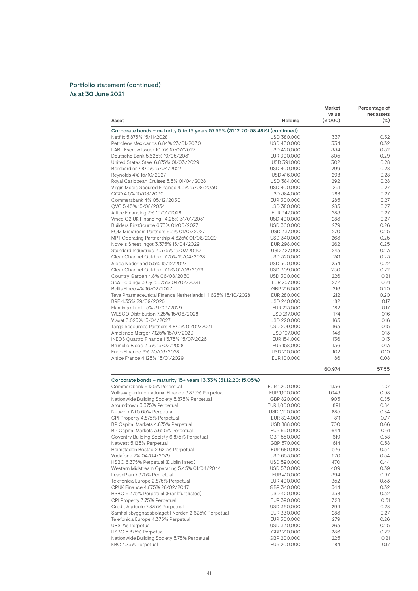| Asset                                                                          | Holding                    | Market<br>value<br>(E'000) | Percentage of<br>net assets<br>$(\%)$ |
|--------------------------------------------------------------------------------|----------------------------|----------------------------|---------------------------------------|
| Corporate bonds - maturity 5 to 15 years 57.55% (31.12.20: 58.48%) (continued) |                            |                            |                                       |
| Netflix 5.875% 15/11/2028                                                      | USD 380,000                | 337                        | 0.32                                  |
| Petroleos Mexicanos 6.84% 23/01/2030                                           | USD 450,000                | 334                        | 0.32                                  |
| LABL Escrow Issuer 10.5% 15/07/2027                                            | USD 420,000                | 334                        | 0.32                                  |
| Deutsche Bank 5.625% 19/05/2031                                                | EUR 300,000                | 305                        | 0.29                                  |
| United States Steel 6.875% 01/03/2029                                          | USD 391,000                | 302                        | 0.28                                  |
| Bombardier 7.875% 15/04/2027                                                   | USD 400,000                | 299                        | 0.28                                  |
| Reynolds 4% 15/10/2027                                                         | USD 416,000                | 298                        | 0.28                                  |
| Royal Caribbean Cruises 5.5% 01/04/2028                                        | USD 384,000                | 292                        | 0.28                                  |
| Virgin Media Secured Finance 4.5% 15/08/2030                                   | USD 400,000                | 291                        | 0.27                                  |
| CCO 4.5% 15/08/2030                                                            | USD 384,000                | 288                        | 0.27                                  |
| Commerzbank 4% 05/12/2030<br>QVC 5.45% 15/08/2034                              | EUR 300,000                | 285<br>285                 | 0.27<br>0.27                          |
| Altice Financing 3% 15/01/2028                                                 | USD 380,000<br>EUR 347,000 | 283                        | 0.27                                  |
| Vmed O2 UK Financing I 4.25% 31/01/2031                                        | USD 400,000                | 283                        | 0.27                                  |
| Builders FirstSource 6.75% 01/06/2027                                          | USD 360,000                | 279                        | 0.26                                  |
| EQM Midstream Partners 6.5% 01/07/2027                                         | USD 337,000                | 270                        | 0.25                                  |
| MPT Operating Partnership 4.625% 01/08/2029                                    | USD 340,000                | 263                        | 0.25                                  |
| Novelis Sheet Ingot 3.375% 15/04/2029                                          | EUR 298,000                | 262                        | 0.25                                  |
| Standard Industries 4.375% 15/07/2030                                          | USD 327,000                | 243                        | 0.23                                  |
| Clear Channel Outdoor 7.75% 15/04/2028                                         | USD 320,000                | 241                        | 0.23                                  |
| Alcoa Nederland 5.5% 15/12/2027                                                | USD 300,000                | 234                        | 0.22                                  |
| Clear Channel Outdoor 7.5% 01/06/2029                                          | USD 309,000                | 230                        | 0.22                                  |
| Country Garden 4.8% 06/08/2030                                                 | USD 300,000                | 226                        | 0.21                                  |
| SpA Holdings 3 Oy 3.625% 04/02/2028                                            | EUR 257,000                | 222                        | 0.21                                  |
| Bellis Finco 4% 16/02/2027                                                     | GBP 216,000                | 216                        | 0.20                                  |
| Teva Pharmaceutical Finance Netherlands II 1.625% 15/10/2028                   | EUR 280,000                | 212                        | 0.20                                  |
| BRF 4.35% 29/09/2026                                                           | USD 240,000                | 182                        | 0.17                                  |
| Flamingo Lux II 5% 31/03/2029                                                  | EUR 213,000                | 182                        | 0.17                                  |
| WESCO Distribution 7.25% 15/06/2028                                            | USD 217,000                | 174                        | 0.16                                  |
| Viasat 5.625% 15/04/2027                                                       | USD 220,000                | 165                        | 0.16                                  |
| Targa Resources Partners 4.875% 01/02/2031                                     | USD 209,000                | 163                        | 0.15                                  |
| Ambience Merger 7.125% 15/07/2029                                              | USD 197,000                | 143                        | 0.13                                  |
| INEOS Quattro Finance 1 3.75% 15/07/2026                                       | EUR 154,000                | 136                        | 0.13                                  |
| Brunello Bidco 3.5% 15/02/2028                                                 | EUR 158,000                | 136                        | 0.13                                  |
| Endo Finance 6% 30/06/2028                                                     | USD 210,000                | 102                        | 0.10                                  |
| Altice France 4.125% 15/01/2029                                                | EUR 100,000                | 86                         | 0.08                                  |
|                                                                                |                            | 60,974                     | 57.55                                 |
| Corporate bonds - maturity 15+ years 13.33% (31.12.20: 15.05%)                 |                            |                            |                                       |
| Commerzbank 6.125% Perpetual                                                   | EUR 1,200,000              | 1,136                      | 1.07                                  |
| Volkswagen International Finance 3.875% Perpetual                              | EUR 1,100,000              | 1,043                      | 0.98                                  |
| Nationwide Building Society 5.875% Perpetual                                   | GBP 820,000                | 903                        | 0.85                                  |
| Aroundtown 3.375% Perpetual                                                    | EUR 1,000,000              | 891                        | 0.84                                  |
| Network i2i 5.65% Perpetual                                                    | USD 1,150,000              | 885                        | 0.84                                  |
| CPI Property 4.875% Perpetual                                                  | EUR 894,000                | 811                        | 0.77                                  |
| BP Capital Markets 4.875% Perpetual                                            | USD 888,000                | 700                        | 0.66                                  |
| BP Capital Markets 3.625% Perpetual                                            | EUR 690,000                | 644                        | 0.61                                  |
| Coventry Building Society 6.875% Perpetual<br>Natwest 5.125% Perpetual         | GBP 550,000                | 619                        | 0.58                                  |
| Heimstaden Bostad 2.625% Perpetual                                             | GBP 570,000                | 614                        | 0.58                                  |
| Vodafone 7% 04/04/2079                                                         | EUR 680,000<br>USD 653,000 | 576<br>570                 | 0.54<br>0.54                          |
| HSBC 6.375% Perpetual (Dublin listed)                                          | USD 590,000                | 470                        | 0.44                                  |
| Western Midstream Operating 5.45% 01/04/2044                                   | USD 530,000                | 409                        | 0.39                                  |
| LeasePlan 7.375% Perpetual                                                     | EUR 410,000                | 394                        | 0.37                                  |
| Telefonica Europe 2.875% Perpetual                                             | EUR 400,000                | 352                        | 0.33                                  |
| CPUK Finance 4.875% 28/02/2047                                                 | GBP 340,000                | 344                        | 0.32                                  |
| HSBC 6.375% Perpetual (Frankfurt listed)                                       | USD 420,000                | 338                        | 0.32                                  |
| CPI Property 3.75% Perpetual                                                   | EUR 390,000                | 328                        | 0.31                                  |
| Credit Agricole 7.875% Perpetual                                               | USD 360,000                | 294                        | 0.28                                  |
| Samhallsbyggnadsbolaget I Norden 2.625% Perpetual                              | EUR 330,000                | 283                        | 0.27                                  |
| Telefonica Europe 4.375% Perpetual                                             | EUR 300,000                | 279                        | 0.26                                  |
| UBS 7% Perpetual                                                               | USD 330,000                | 263                        | 0.25                                  |
| HSBC 5.875% Perpetual                                                          | GBP 210,000                | 236                        | 0.22                                  |
| Nationwide Building Society 5.75% Perpetual                                    | GBP 200,000                | 225                        | 0.21                                  |
| KBC 4.75% Perpetual                                                            | EUR 200,000                | 184                        | 0.17                                  |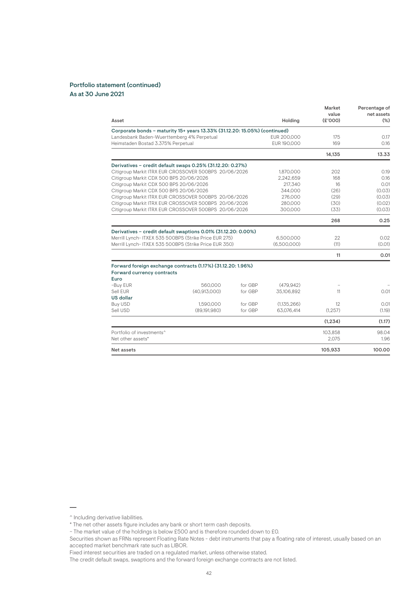|                                                                            |              |         |             | Market<br>value | Percentage of<br>net assets |
|----------------------------------------------------------------------------|--------------|---------|-------------|-----------------|-----------------------------|
| Asset                                                                      |              |         | Holding     | (E'000)         | $(\%)$                      |
| Corporate bonds - maturity 15+ years 13.33% (31.12.20: 15.05%) (continued) |              |         |             |                 |                             |
| Landesbank Baden-Wuerttemberg 4% Perpetual                                 |              |         | EUR 200,000 | 175             | 0.17                        |
| Heimstaden Bostad 3.375% Perpetual                                         |              |         | EUR 190,000 | 169             | 0.16                        |
|                                                                            |              |         |             | 14,135          | 13.33                       |
| Derivatives - credit default swaps 0.25% (31.12.20: 0.27%)                 |              |         |             |                 |                             |
| Citigroup Markit ITRX EUR CROSSOVER 500BPS 20/06/2026                      |              |         | 1,870,000   | 202             | 0.19                        |
| Citigroup Markit CDX 500 BPS 20/06/2026                                    |              |         | 2,242,659   | 168             | 0.16                        |
| Citigroup Markit CDX 500 BPS 20/06/2026                                    |              |         | 217,340     | 16              | 0.01                        |
| Citigroup Markit CDX 500 BPS 20/06/2026                                    |              |         | 344.000     | (26)            | (0.03)                      |
| Citigroup Markit ITRX EUR CROSSOVER 500BPS 20/06/2026                      |              |         | 276,000     | (29)            | (0.03)                      |
| Citigroup Markit ITRX EUR CROSSOVER 500BPS 20/06/2026                      |              |         | 280,000     | (30)            | (0.02)                      |
| Citigroup Markit ITRX EUR CROSSOVER 500BPS 20/06/2026                      |              |         | 300,000     | (33)            | (0.03)                      |
|                                                                            |              |         |             | 268             | 0.25                        |
| Derivatives - credit default swaptions 0.01% (31.12.20: 0.00%)             |              |         |             |                 |                             |
| Merrill Lynch- ITXEX 535 500BPS (Strike Price EUR 275)                     |              |         | 6,500,000   | 22              | 0.02                        |
| Merrill Lynch- ITXEX 535 500BPS (Strike Price EUR 350)                     |              |         | (6.500.000) | (11)            | (0.01)                      |
|                                                                            |              |         |             | 11              | 0.01                        |
| Forward foreign exchange contracts (1.17%) (31.12.20: 1.96%)               |              |         |             |                 |                             |
| Forward currency contracts<br>Euro                                         |              |         |             |                 |                             |
| ~Buy EUR                                                                   | 560.000      | for GBP | (479.942)   |                 |                             |
| Sell EUR                                                                   | (40.913.000) | for GBP | 35,106,892  | 11              | 0.01                        |
| <b>US dollar</b>                                                           |              |         |             |                 |                             |
| <b>Buy USD</b>                                                             | 1,590,000    | for GBP | (1,135,266) | 12              | 0.01                        |
| Sell USD                                                                   | (89,191,980) | for GBP | 63,076,414  | (1,257)         | (1.19)                      |
|                                                                            |              |         |             | (1,234)         | (1.17)                      |
| Portfolio of investments^                                                  |              |         |             | 103.858         | 98.04                       |
| Net other assets*                                                          |              |         |             | 2.075           | 1.96                        |
| Net assets                                                                 |              |         |             | 105,933         | 100.00                      |

<sup>^</sup> Including derivative liabilities.

<sup>\*</sup> The net other assets figure includes any bank or short term cash deposits.

<sup>~</sup> The market value of the holdings is below £500 and is therefore rounded down to £0.

Securities shown as FRNs represent Floating Rate Notes - debt instruments that pay a floating rate of interest, usually based on an accepted market benchmark rate such as LIBOR.

Fixed interest securities are traded on a regulated market, unless otherwise stated.

The credit default swaps, swaptions and the forward foreign exchange contracts are not listed.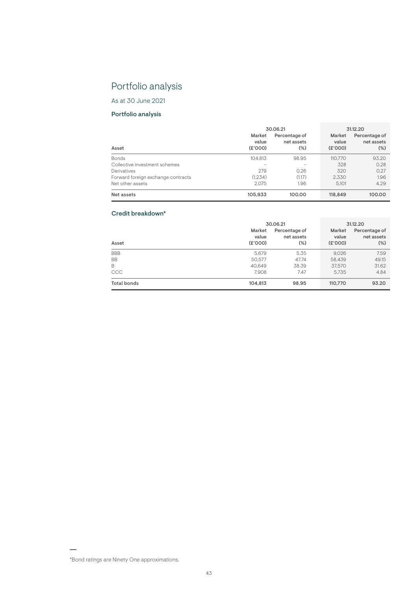# Portfolio analysis

As at 30 June 2021

# Portfolio analysis

|                                    | 30.06.21                   |                                    | 31.12.20                  |                                       |  |
|------------------------------------|----------------------------|------------------------------------|---------------------------|---------------------------------------|--|
| Asset                              | Market<br>value<br>(E'000) | Percentage of<br>net assets<br>(%) | Market<br>value<br>(6000) | Percentage of<br>net assets<br>$(\%)$ |  |
| <b>Bonds</b>                       | 104.813                    | 98.95                              | 110.770                   | 93.20                                 |  |
| Collective investment schemes      | $\overline{\phantom{a}}$   | <b>STAR</b>                        | 328                       | 0.28                                  |  |
| Derivatives                        | 279                        | 0.26                               | 320                       | 0.27                                  |  |
| Forward foreign exchange contracts | (1.234)                    | (1.17)                             | 2.330                     | 1.96                                  |  |
| Net other assets                   | 2.075                      | 1.96                               | 5.101                     | 4.29                                  |  |
| Net assets                         | 105.933                    | 100.00                             | 118,849                   | 100.00                                |  |

# Credit breakdown\*

|             | 30.06.21                   | 31.12.20                              |                            |                                       |
|-------------|----------------------------|---------------------------------------|----------------------------|---------------------------------------|
| Asset       | Market<br>value<br>(E'000) | Percentage of<br>net assets<br>$(\%)$ | Market<br>value<br>(E'000) | Percentage of<br>net assets<br>$(\%)$ |
| <b>BBB</b>  | 5.679                      | 5.35                                  | 9,026                      | 7.59                                  |
| <b>BB</b>   | 50.577                     | 47.74                                 | 58.439                     | 49.15                                 |
| B           | 40.649                     | 38.39                                 | 37.570                     | 31.62                                 |
| CCC         | 7.908                      | 7.47                                  | 5.735                      | 4.84                                  |
| Total bonds | 104,813                    | 98.95                                 | 110,770                    | 93.20                                 |

<sup>\*</sup>Bond ratings are Ninety One approximations.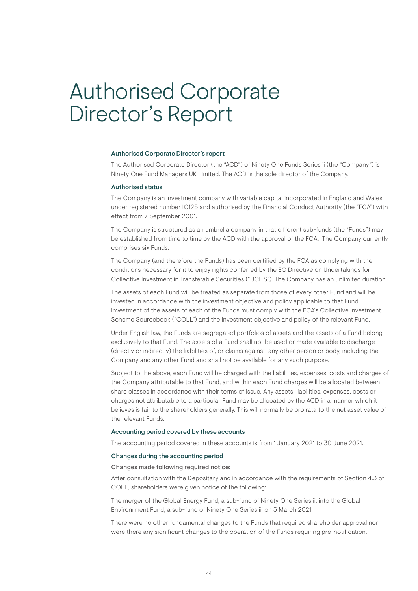# Authorised Corporate Director's Report

## Authorised Corporate Director's report

The Authorised Corporate Director (the "ACD") of Ninety One Funds Series ii (the "Company") is Ninety One Fund Managers UK Limited. The ACD is the sole director of the Company.

## Authorised status

The Company is an investment company with variable capital incorporated in England and Wales under registered number IC125 and authorised by the Financial Conduct Authority (the "FCA") with effect from 7 September 2001.

The Company is structured as an umbrella company in that different sub-funds (the "Funds") may be established from time to time by the ACD with the approval of the FCA. The Company currently comprises six Funds.

The Company (and therefore the Funds) has been certified by the FCA as complying with the conditions necessary for it to enjoy rights conferred by the EC Directive on Undertakings for Collective Investment in Transferable Securities ("UCITS"). The Company has an unlimited duration.

The assets of each Fund will be treated as separate from those of every other Fund and will be invested in accordance with the investment objective and policy applicable to that Fund. Investment of the assets of each of the Funds must comply with the FCA's Collective Investment Scheme Sourcebook ("COLL") and the investment objective and policy of the relevant Fund.

Under English law, the Funds are segregated portfolios of assets and the assets of a Fund belong exclusively to that Fund. The assets of a Fund shall not be used or made available to discharge (directly or indirectly) the liabilities of, or claims against, any other person or body, including the Company and any other Fund and shall not be available for any such purpose.

Subject to the above, each Fund will be charged with the liabilities, expenses, costs and charges of the Company attributable to that Fund, and within each Fund charges will be allocated between share classes in accordance with their terms of issue. Any assets, liabilities, expenses, costs or charges not attributable to a particular Fund may be allocated by the ACD in a manner which it believes is fair to the shareholders generally. This will normally be pro rata to the net asset value of the relevant Funds.

# Accounting period covered by these accounts

The accounting period covered in these accounts is from 1 January 2021 to 30 June 2021.

# Changes during the accounting period

# Changes made following required notice:

After consultation with the Depositary and in accordance with the requirements of Section 4.3 of COLL, shareholders were given notice of the following:

The merger of the Global Energy Fund, a sub-fund of Ninety One Series ii, into the Global Environrment Fund, a sub-fund of Ninety One Series iii on 5 March 2021.

There were no other fundamental changes to the Funds that required shareholder approval nor were there any significant changes to the operation of the Funds requiring pre-notification.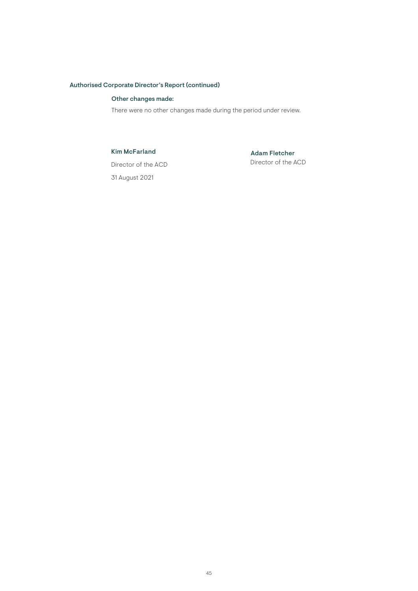# Authorised Corporate Director's Report (continued)

# Other changes made:

There were no other changes made during the period under review.

# Kim McFarland

Adam Fletcher Director of the ACD

Director of the ACD 31 August 2021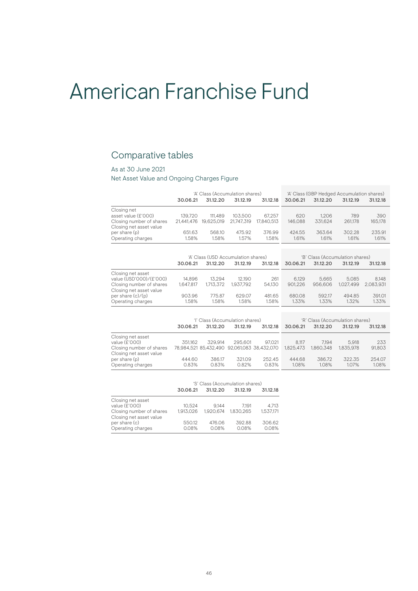# American Franchise Fund

# Comparative tables

# As at 30 June 2021

Net Asset Value and Ongoing Charges Figure

|                                                     |            | 'A' Class (Accumulation shares)     |            |            | 'A' Class (GBP Hedged Accumulation shares) |          |           |           |
|-----------------------------------------------------|------------|-------------------------------------|------------|------------|--------------------------------------------|----------|-----------|-----------|
|                                                     | 30.06.21   | 31.12.20                            | 31.12.19   | 31.12.18   | 30.06.21                                   | 31.12.20 | 31.12.19  | 31.12.18  |
| Closing net                                         |            |                                     |            |            |                                            |          |           |           |
| asset value (£'000)                                 | 139.720    | 111.489                             | 103.500    | 67.257     | 620                                        | 1.206    | 789       | 390       |
| Closing number of shares<br>Closing net asset value | 21.441.476 | 19.625.019                          | 21,747,319 | 17.840.513 | 146,088                                    | 331.624  | 261.178   | 165,178   |
| per share (p)                                       | 651.63     | 568.10                              | 475.92     | 376.99     | 424.55                                     | 363.64   | 302.28    | 235.91    |
| Operating charges                                   | 1.58%      | 1.58%                               | 1.57%      | 1.58%      | 1.61%                                      | 1.61%    | 1.61%     | 1.61%     |
|                                                     |            |                                     |            |            |                                            |          |           |           |
|                                                     |            | 'A' Class (USD Accumulation shares) |            |            | 'B' Class (Accumulation shares)            |          |           |           |
|                                                     | 30.06.21   | 31.12.20                            | 31.12.19   | 31.12.18   | 30.06.21                                   | 31.12.20 | 31.12.19  | 31.12.18  |
| Closing net asset                                   |            |                                     |            |            |                                            |          |           |           |
| value (USD'000)/(£'000)                             | 14.896     | 13.294                              | 12.190     | 261        | 6.129                                      | 5.665    | 5.085     | 8,148     |
| Closing number of shares<br>Closing net asset value | 1.647.817  | 1.713.372                           | 1.937.792  | 54.130     | 901.226                                    | 956,606  | 1.027.499 | 2.083.931 |
| per share $(c)/(p)$                                 | 903.96     | 775.87                              | 629.07     | 481.65     | 680.08                                     | 592.17   | 494.85    | 391.01    |
| Operating charges                                   | 1.58%      | 1.58%                               | 1.58%      | 1.58%      | 1.33%                                      | 1.33%    | 1.32%     | 1.33%     |

|                          | 'l' Class (Accumulation shares) |                                             |          |          | 'R' Class (Accumulation shares) |           |           |          |
|--------------------------|---------------------------------|---------------------------------------------|----------|----------|---------------------------------|-----------|-----------|----------|
|                          | 30.06.21                        | 31.12.20                                    | 31,12,19 | 31.12.18 | 30.06.21                        | 31.12.20  | 31.12.19  | 31.12.18 |
| Closing net asset        |                                 |                                             |          |          |                                 |           |           |          |
| value (£'000)            | 351.162                         | 329.914                                     | 295.601  | 97.021   | 8.117                           | 7.194     | 5.918     | 233      |
| Closing number of shares |                                 | 78.984.521 85.432.490 92.061.083 38.432.070 |          |          | 1.825.473                       | 1.860.348 | 1.835.978 | 91.803   |
| Closing net asset value  |                                 |                                             |          |          |                                 |           |           |          |
| per share (p)            | 444.60                          | 386.17                                      | 321.09   | 252.45   | 444.68                          | 386.72    | 322.35    | 254.07   |
| Operating charges        | 0.83%                           | 0.83%                                       | 0.82%    | 0.83%    | 1.08%                           | 1.08%     | 1.07%     | 1.08%    |

|                          | 'S' Class (Accumulation shares) |           |           |           |  |  |
|--------------------------|---------------------------------|-----------|-----------|-----------|--|--|
|                          | 30.06.21                        | 31.12.20  | 31.12.19  | 31.12.18  |  |  |
| Closing net asset        |                                 |           |           |           |  |  |
| value (£'000)            | 10.524                          | 9.144     | 7.191     | 4.713     |  |  |
| Closing number of shares | 1.913.026                       | 1.920.674 | 1.830.265 | 1.537.171 |  |  |
| Closing net asset value  |                                 |           |           |           |  |  |
| per share (c)            | 550.12                          | 476.06    | 392.88    | 306.62    |  |  |
| Operating charges        | 0.08%                           | 0.08%     | 0.08%     | 0.08%     |  |  |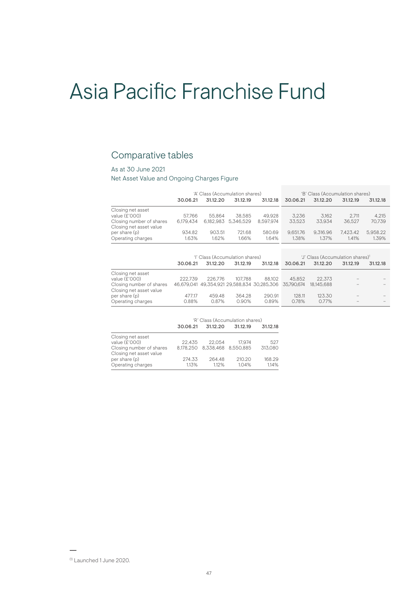# Asia Pacific Franchise Fund

# Comparative tables

# As at 30 June 2021

Net Asset Value and Ongoing Charges Figure

|                          | 'A' Class (Accumulation shares) |          |                     |           | 'B' Class (Accumulation shares) |          |          |          |
|--------------------------|---------------------------------|----------|---------------------|-----------|---------------------------------|----------|----------|----------|
|                          | 30.06.21                        | 31.12.20 | 31.12.19            | 31.12.18  | 30.06.21                        | 31.12.20 | 31.12.19 | 31.12.18 |
| Closing net asset        |                                 |          |                     |           |                                 |          |          |          |
| value (£'000)            | 57.766                          | 55.864   | 38.585              | 49.928    | 3.236                           | 3.162    | 2.711    | 4.215    |
| Closing number of shares | 6.179.434                       |          | 6.182.983 5.346.529 | 8.597.974 | 33.523                          | 33.934   | 36.527   | 70.739   |
| Closing net asset value  |                                 |          |                     |           |                                 |          |          |          |
| per share (p)            | 934.82                          | 903.51   | 721.68              | 580.69    | 9.651.76                        | 9.316.96 | 7.423.42 | 5.958.22 |
| Operating charges        | 1.63%                           | 1.62%    | 1.66%               | 1.64%     | 1.38%                           | 1.37%    | 1.41%    | 1.39%    |
|                          |                                 |          |                     |           |                                 |          |          |          |
|                          |                                 |          |                     |           |                                 |          |          |          |

|                                                     |          |          | 'l' Class (Accumulation shares) |                                                        | 'J' Class (Accumulation shares) <sup>1</sup> |            |                          |          |
|-----------------------------------------------------|----------|----------|---------------------------------|--------------------------------------------------------|----------------------------------------------|------------|--------------------------|----------|
|                                                     | 30.06.21 | 31.12.20 | 31,12,19                        | 31.12.18                                               | 30.06.21                                     | 31.12.20   | 31.12.19                 | 31.12.18 |
| Closing net asset                                   |          |          |                                 |                                                        |                                              |            |                          |          |
| value (£'000)                                       | 222.739  | 226,776  | 107.788                         | 88.102                                                 | 45.852                                       | 22.373     | $\overline{\phantom{a}}$ |          |
| Closing number of shares<br>Closing net asset value |          |          |                                 | 46,679,041 49,354,921 29,588,834 30,285,306 35,790,674 |                                              | 18.145.688 |                          |          |
| per share (p)                                       | 477.17   | 459.48   | 364.28                          | 290.91                                                 | 128.11                                       | 123.30     |                          |          |
| Operating charges                                   | 0.88%    | 0.87%    | 0.90%                           | 0.89%                                                  | 0.78%                                        | 0.77%      | $\sim$                   |          |

|                                                     |          | 'R' Class (Accumulation shares)<br>31.12.20<br>31.12.19<br>22.054<br>17.974<br>22.435<br>8.178.250  8.338.468  8.550.885<br>264.48<br>210.20<br>274.33 |       |          |  |
|-----------------------------------------------------|----------|--------------------------------------------------------------------------------------------------------------------------------------------------------|-------|----------|--|
|                                                     | 30.06.21 |                                                                                                                                                        |       | 31.12.18 |  |
| Closing net asset                                   |          |                                                                                                                                                        |       |          |  |
| value (£'000)                                       |          |                                                                                                                                                        |       | 527      |  |
| Closing number of shares<br>Closing net asset value |          |                                                                                                                                                        |       | 313.080  |  |
| per share (p)                                       |          |                                                                                                                                                        |       | 168.29   |  |
| Operating charges                                   | 1.13%    | 1.12%                                                                                                                                                  | 1.04% | 1.14%    |  |

(1) Launched 1 June 2020.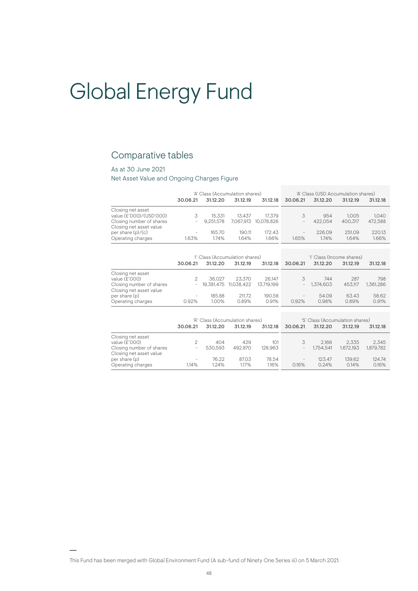# Global Energy Fund

# Comparative tables

# As at 30 June 2021

Net Asset Value and Ongoing Charges Figure

|                                                     |            | 'A' Class (Accumulation shares)             |                 |                 | 'A' Class (USD Accumulation shares) |                                       |                 |                 |
|-----------------------------------------------------|------------|---------------------------------------------|-----------------|-----------------|-------------------------------------|---------------------------------------|-----------------|-----------------|
|                                                     | 30.06.21   | 31.12.20                                    | 31.12.19        | 31.12.18        | 30.06.21                            | 31.12.20                              | 31.12.19        | 31.12.18        |
| Closing net asset<br>value (£'000)/(USD'000)        | 3          | 15.331                                      | 13.437          | 17.379          | 3                                   | 954                                   | 1.005           | 1.040           |
| Closing number of shares<br>Closing net asset value |            | 9.251.578                                   | 7.067.913       | 10.078.826      | $\overline{\phantom{0}}$            | 422.054                               | 400.317         | 472,588         |
| per share $(p)/(c)$<br>Operating charges            | -<br>1.63% | 165.70<br>1.74%                             | 190.11<br>1.64% | 172.43<br>1.66% | $\overline{\phantom{0}}$<br>1.65%   | 226.09<br>1.74%                       | 251.09<br>1.64% | 220.13<br>1.66% |
|                                                     |            |                                             |                 |                 |                                     |                                       |                 |                 |
|                                                     | 30.06.21   | 'l' Class (Accumulation shares)<br>31.12.20 | 31.12.19        | 31.12.18        | 30.06.21                            | 'l' Class (Income shares)<br>31.12.20 | 31.12.19        | 31.12.18        |
|                                                     |            |                                             |                 |                 |                                     |                                       |                 |                 |

|                                                     | <u>UU.UU.LI</u> | <u>UILLLU</u> | <u>.</u>                 |            |                   | <u><u>UILLLU</u></u> |         |           |
|-----------------------------------------------------|-----------------|---------------|--------------------------|------------|-------------------|----------------------|---------|-----------|
| Closing net asset                                   |                 |               |                          |            |                   |                      |         |           |
| value (£'000)                                       |                 | 36.027        | 23.370                   | 26.147     |                   | 744                  | 287     | 798       |
| Closing number of shares<br>Closing net asset value |                 |               | $-19.381.475$ 11.038.422 | 13.719.199 |                   | $-1.374.603$         | 453.117 | 1.361.286 |
| per share (p)                                       | $\sim$          | 185.88        | 211.72                   | 190.58     | $\qquad \qquad =$ | 54.09                | 63.43   | 58.62     |
| Operating charges                                   | 0.92%           | 1.00%         | 0.89%                    | 0.91%      | 0.92%             | 0.98%                | 0.89%   | 0.91%     |

|                          | 'R' Class (Accumulation shares) |          |          |          | 'S' Class (Accumulation shares) |           |           |           |
|--------------------------|---------------------------------|----------|----------|----------|---------------------------------|-----------|-----------|-----------|
|                          | 30.06.21                        | 31.12.20 | 31.12.19 | 31.12.18 | 30.06.21                        | 31.12.20  | 31.12.19  | 31.12.18  |
| Closing net asset        |                                 |          |          |          |                                 |           |           |           |
| value (£'000)            |                                 | 404      | 429      | 101      | 3                               | 2.166     | 2.335     | 2.345     |
| Closing number of shares |                                 | 530.593  | 492.870  | 128.963  | $\overline{\phantom{0}}$        | 1.754.541 | 1.672.193 | 1.879.782 |
| Closing net asset value  |                                 |          |          |          |                                 |           |           |           |
| per share (p)            | $\sim$                          | 76.22    | 87.03    | 78.54    | $\qquad \qquad =\qquad \qquad$  | 123.47    | 139.62    | 124.74    |
| Operating charges        | 114%                            | 1.24%    | 1.17%    | 1.16%    | 0.16%                           | 0.24%     | 0.14%     | 0.16%     |

This Fund has been merged with Global Environment Fund (A sub-fund of Ninety One Series iii) on 5 March 2021.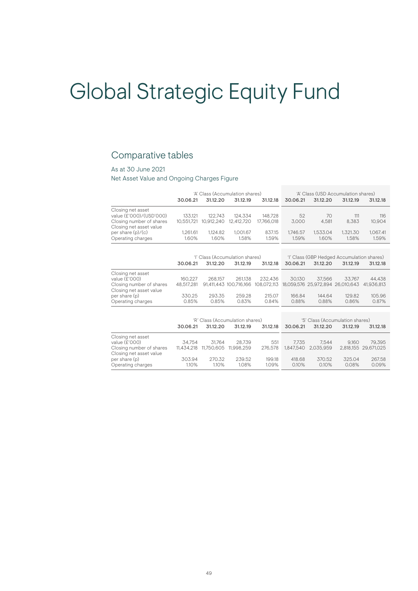# Global Strategic Equity Fund

# Comparative tables

# As at 30 June 2021

Net Asset Value and Ongoing Charges Figure

|                                                                                                                                 | 30.06.21                                 | 31.12.20                       | 'A' Class (Accumulation shares)<br>31.12.19          | 31.12.18                                  | 'A' Class (USD Accumulation shares)<br>30.06.21<br>31.12.20<br>31.12.19<br>31.12.18 |                                                               |                                                        |                                          |
|---------------------------------------------------------------------------------------------------------------------------------|------------------------------------------|--------------------------------|------------------------------------------------------|-------------------------------------------|-------------------------------------------------------------------------------------|---------------------------------------------------------------|--------------------------------------------------------|------------------------------------------|
| Closing net asset<br>value (£'000)/(USD'000)<br>Closing number of shares<br>Closing net asset value                             | 133.121<br>10,551,721                    | 122.743<br>10,912,240          | 124.334<br>12,412,720                                | 148.728<br>17,766,018                     | 52<br>3,000                                                                         | 70<br>4,581                                                   | 111<br>8,383                                           | 116<br>10,904                            |
| per share $(p)/(c)$<br>Operating charges                                                                                        | 1.261.61<br>1.60%                        | 1.124.82<br>1.60%              | 1.001.67<br>1.58%                                    | 837.15<br>1.59%                           | 1.746.57<br>1.59%                                                                   | 1.533.04<br>1.60%                                             | 1.321.30<br>1.58%                                      | 1.067.41<br>1.59%                        |
|                                                                                                                                 | 30.06.21                                 | 31.12.20                       | 'l' Class (Accumulation shares)<br>31.12.19          | 31.12.18                                  | 30.06.21                                                                            | 31.12.20                                                      | 'l' Class (GBP Hedged Accumulation shares)<br>31.12.19 | 31.12.18                                 |
| Closing net asset<br>value (£'000)<br>Closing number of shares<br>Closing net asset value<br>per share (p)<br>Operating charges | 160.227<br>48.517.281<br>330.25<br>0.85% | 268.157<br>293.35<br>0.85%     | 261.138<br>91.411.443 100.716.166<br>259.28<br>0.83% | 232.436<br>108.072.113<br>215.07<br>0.84% | 30.130<br>166.84<br>0.88%                                                           | 37.566<br>18.059.576 25.972.894 26.010.643<br>144.64<br>0.88% | 33.767<br>129.82<br>0.86%                              | 44.438<br>41.936.813<br>105.96<br>0.87%  |
|                                                                                                                                 | 30.06.21                                 | 31.12.20                       | 'R' Class (Accumulation shares)<br>31.12.19          | 31.12.18                                  | 30.06.21                                                                            | 31.12.20                                                      | 'S' Class (Accumulation shares)<br>31.12.19            | 31.12.18                                 |
| Closing net asset<br>value (£'000)<br>Closing number of shares<br>Closing net asset value<br>per share (p)                      | 34.754<br>11.434.218<br>303.94           | 31.764<br>11.750.605<br>270.32 | 28.739<br>11.998.259<br>239.52                       | 551<br>276.578<br>199.18                  | 7.735<br>1.847.540<br>418.68                                                        | 7.544<br>2.035.959<br>370.52                                  | 9.160<br>325.04                                        | 79.395<br>2,818,155 29,671,025<br>267.58 |
| Operating charges                                                                                                               | 1.10%                                    | 1.10%                          | 1.08%                                                | 1.09%                                     | 0.10%                                                                               | 0.10%                                                         | 0.08%                                                  | 0.09%                                    |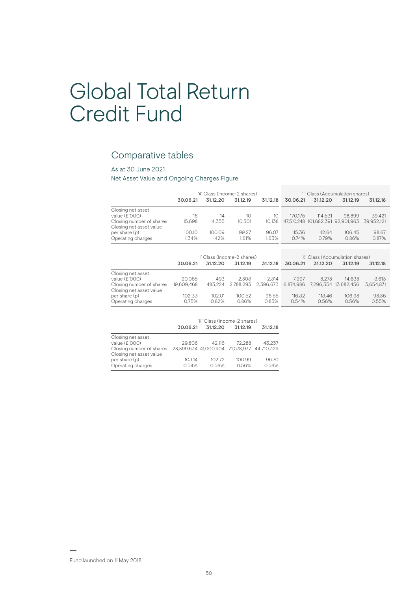# Global Total Return Credit Fund

# Comparative tables

# As at 30 June 2021

Net Asset Value and Ongoing Charges Figure

|                                                     |            |          | 'A' Class (Income-2 shares) |           | 'l' Class (Accumulation shares) |          |                                    |            |
|-----------------------------------------------------|------------|----------|-----------------------------|-----------|---------------------------------|----------|------------------------------------|------------|
|                                                     | 30.06.21   | 31.12.20 | 31.12.19                    | 31.12.18  | 30.06.21                        | 31.12.20 | 31.12.19                           | 31.12.18   |
| Closing net asset                                   |            |          |                             |           |                                 |          |                                    |            |
| value (£'000)                                       | 16         | 14       | 10                          | 10        | 170.175                         | 114.531  | 98.899                             | 39.421     |
| Closing number of shares                            | 15,698     | 14.355   | 10,501                      | 10.138    |                                 |          | 147,510,248 101,682,391 92,901,963 | 39,952,121 |
| Closing net asset value                             |            |          |                             |           |                                 |          |                                    |            |
| per share (p)                                       | 100.10     | 100.09   | 99.27                       | 96.07     | 115.36                          | 112.64   | 106.45                             | 98.67      |
| Operating charges                                   | 1.34%      | 1.42%    | 1.61%                       | 1.63%     | 0.74%                           | 0.79%    | 0.86%                              | 0.87%      |
|                                                     |            |          |                             |           |                                 |          |                                    |            |
|                                                     |            |          | 'l' Class (Income-2 shares) |           | 'K' Class (Accumulation shares) |          |                                    |            |
|                                                     |            |          |                             |           |                                 |          |                                    |            |
|                                                     | 30.06.21   | 31.12.20 | 31.12.19                    | 31.12.18  | 30.06.21                        | 31.12.20 | 31.12.19                           | 31.12.18   |
| Closing net asset                                   |            |          |                             |           |                                 |          |                                    |            |
| value (£'000)                                       | 20.065     | 493      | 2.803                       | 2.314     | 7.997                           | 8.278    | 14.638                             | 3,613      |
| Closing number of shares<br>Closing net asset value | 19,609,468 | 483.224  | 2.788.293                   | 2.396.673 | 6.874.986                       |          | 7.296.354 13.682.456               | 3.654.871  |
| per share (p)                                       | 102.33     | 102.01   | 100.52                      | 96.55     | 116.32                          | 113.46   | 106.98                             | 98.86      |
| Operating charges                                   | 0.75%      | 0.82%    | 0.86%                       | 0.85%     | 0.54%                           | 0.56%    | 0.56%                              | 0.55%      |

|                                                     |                 | 'K' Class (Income-2 shares)                 |                 |                |
|-----------------------------------------------------|-----------------|---------------------------------------------|-----------------|----------------|
|                                                     | 30.06.21        | 31.12.20                                    | 31.12.19        | 31.12.18       |
| Closing net asset<br>value (£'000)                  | 29,806          | 42.116                                      | 72.288          | 43.237         |
| Closing number of shares<br>Closing net asset value |                 | 28,899,634 41,000,904 71,578,977 44,710,329 |                 |                |
| per share (p)<br>Operating charges                  | 103.14<br>0.54% | 102.72<br>0.56%                             | 100.99<br>0.56% | 96.70<br>0.56% |

Fund launched on 11 May 2018.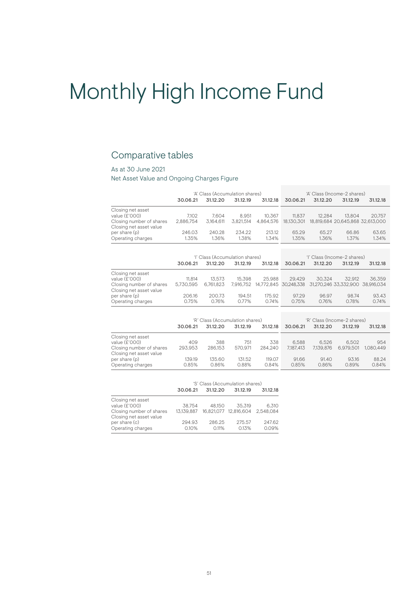# Monthly High Income Fund

# Comparative tables

# As at 30 June 2021

Net Asset Value and Ongoing Charges Figure

|                                                     | 'A' Class (Accumulation shares) |                                 |           |           | 'A' Class (Income-2 shares) |          |                                  |          |
|-----------------------------------------------------|---------------------------------|---------------------------------|-----------|-----------|-----------------------------|----------|----------------------------------|----------|
|                                                     | 30.06.21                        | 31.12.20                        | 31.12.19  | 31.12.18  | 30.06.21                    | 31.12.20 | 31.12.19                         | 31.12.18 |
| Closing net asset                                   |                                 |                                 |           |           |                             |          |                                  |          |
| value (£'000)                                       | 7.102                           | 7.604                           | 8.951     | 10.367    | 11.837                      | 12.284   | 13.804                           | 20.757   |
| Closing number of shares<br>Closing net asset value | 2.886.754                       | 3.164.611                       | 3.821.514 | 4.864.576 | 18.130.301                  |          | 18.819.684 20.645.868 32.613.000 |          |
| per share (p)                                       | 246.03                          | 240.28                          | 234.22    | 213.12    | 65.29                       | 65.27    | 66.86                            | 63.65    |
| Operating charges                                   | 1.35%                           | 1.36%                           | 1.38%     | 1.34%     | 1.35%                       | 1.36%    | 1.37%                            | 1.34%    |
|                                                     |                                 |                                 |           |           |                             |          |                                  |          |
|                                                     |                                 | 'l' Class (Accumulation shares) |           |           | 'l' Class (Income-2 shares) |          |                                  |          |
|                                                     | 30.06.21                        | 31.12.20                        | 31.12.19  | 31.12.18  | 30.06.21                    | 31.12.20 | 31.12.19                         | 31.12.18 |

|                          | uu.uu.ci  | <u>UILLE</u> | <u>UNLAU</u> | 0.14.14 | <b>UU.UU.</b> ZI | ULLAU  | <u>UNLAU</u>                                                     | <u>UILLICIU</u> |
|--------------------------|-----------|--------------|--------------|---------|------------------|--------|------------------------------------------------------------------|-----------------|
| Closing net asset        |           |              |              |         |                  |        |                                                                  |                 |
| value (£'000)            | 11.814    | 13.573       | 15.398       | 25.988  | 29.429           | 30.324 | 32.912                                                           | 36.359          |
| Closing number of shares | 5.730.595 | 6.761.823    |              |         |                  |        | 7,916,752 14,772,845 30,248,338 31,270,246 33,332,900 38,916,034 |                 |
| Closing net asset value  |           |              |              |         |                  |        |                                                                  |                 |
| per share (p)            | 206.16    | 200.73       | 194.51       | 175.92  | 97.29            | 96.97  | 98.74                                                            | 93.43           |
| Operating charges        | 0.75%     | 0.76%        | $0.77\%$     | 0.74%   | 0.75%            | 0.76%  | 0.78%                                                            | 0.74%           |

|                                                     | 'R' Class (Accumulation shares) |                 |                 |                 | 'R' Class (Income-2 shares) |                |                |                |
|-----------------------------------------------------|---------------------------------|-----------------|-----------------|-----------------|-----------------------------|----------------|----------------|----------------|
|                                                     | 30.06.21                        | 31.12.20        | 31.12.19        | 31.12.18        | 30.06.21                    | 31.12.20       | 31.12.19       | 31.12.18       |
| Closing net asset                                   |                                 |                 |                 |                 |                             |                |                |                |
| value (£'000)                                       | 409                             | 388             | 751             | 338             | 6.588                       | 6.526          | 6.502          | 954            |
| Closing number of shares<br>Closing net asset value | 293.953                         | 286.153         | 570.971         | 284.240         | 7.187.413                   | 7.139.876      | 6.979.501      | 1.080.449      |
| per share (p)<br>Operating charges                  | 139.19<br>0.85%                 | 135.60<br>0.86% | 131.52<br>0.88% | 119.07<br>0.84% | 91.66<br>0.85%              | 91.40<br>0.86% | 93.16<br>0.89% | 88.24<br>0.84% |

|                          | 'S' Class (Accumulation shares) |          |                                 |          |
|--------------------------|---------------------------------|----------|---------------------------------|----------|
|                          | 30.06.21                        | 31.12.20 | 31.12.19                        | 31.12.18 |
| Closing net asset        |                                 |          |                                 |          |
| value (£'000)            | 38.754                          | 48.150   | 35.319                          | 6.310    |
| Closing number of shares | 13.139.887                      |          | 16.821.077 12.816.604 2.548.084 |          |
| Closing net asset value  |                                 |          |                                 |          |
| per share (c)            | 294.93                          | 286.25   | 275.57                          | 247.62   |
| Operating charges        | 0.10%                           | 0.11%    | 0.13%                           | 0.09%    |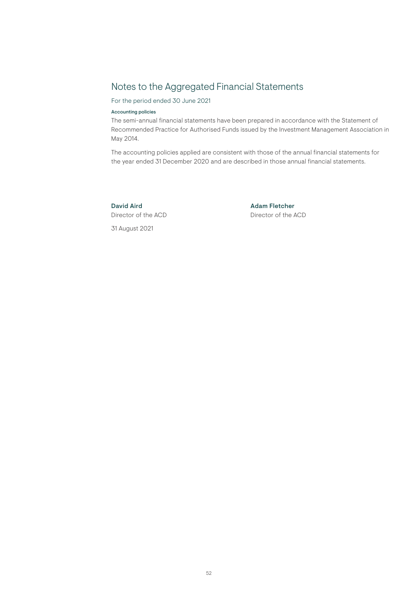# Notes to the Aggregated Financial Statements

For the period ended 30 June 2021

# Accounting policies

The semi-annual financial statements have been prepared in accordance with the Statement of Recommended Practice for Authorised Funds issued by the Investment Management Association in May 2014.

The accounting policies applied are consistent with those of the annual financial statements for the year ended 31 December 2020 and are described in those annual financial statements.

Director of the ACD Director of the ACD 31 August 2021

# David Aird **Adam Fletcher** Adam Fletcher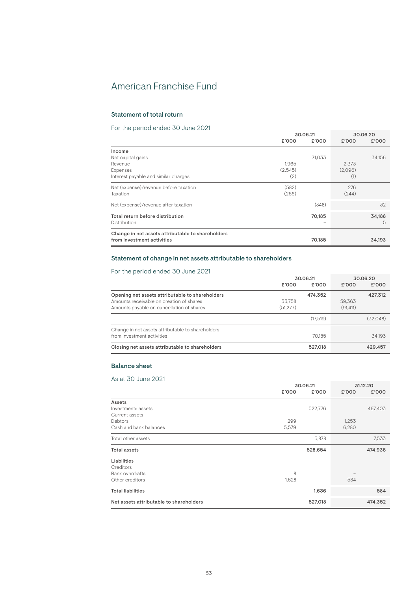# American Franchise Fund

# Statement of total return

# For the period ended 30 June 2021

|                                                   |         | 30.06.21 |         | 30.06.20 |  |
|---------------------------------------------------|---------|----------|---------|----------|--|
|                                                   | £'000   | £'000    | £'000   | £'000    |  |
| Income                                            |         |          |         |          |  |
| Net capital gains                                 |         | 71.033   |         | 34.156   |  |
| Revenue                                           | 1.965   |          | 2.373   |          |  |
| Expenses                                          | (2.545) |          | (2.096) |          |  |
| Interest payable and similar charges              | (2)     |          | (1)     |          |  |
| Net (expense)/revenue before taxation             | (582)   |          | 276     |          |  |
| Taxation                                          | (266)   |          | (244)   |          |  |
| Net (expense)/revenue after taxation              |         | (848)    |         | 32       |  |
| Total return before distribution                  |         | 70,185   |         | 34,188   |  |
| Distribution                                      |         |          |         | 5        |  |
| Change in net assets attributable to shareholders |         |          |         |          |  |
| from investment activities                        |         | 70.185   |         | 34,193   |  |

# Statement of change in net assets attributable to shareholders

# For the period ended 30 June 2021

| FOIT LITE DEFILOG EFFIGED JOURNAL 2021            |          |          |           |          |
|---------------------------------------------------|----------|----------|-----------|----------|
|                                                   | 30.06.21 |          |           | 30.06.20 |
|                                                   | £'000    | £'000    | £'000     | £'000    |
| Opening net assets attributable to shareholders   |          | 474.352  |           | 427,312  |
| Amounts receivable on creation of shares          | 33.758   |          | 59.363    |          |
| Amounts payable on cancellation of shares         | (51.277) |          | (91, 411) |          |
|                                                   |          | (17.519) |           | (32.048) |
| Change in net assets attributable to shareholders |          |          |           |          |
| from investment activities                        |          | 70.185   |           | 34.193   |
| Closing net assets attributable to shareholders   |          | 527,018  |           | 429,457  |

# Balance sheet

|                                         | 30.06.21 |         |       | 31.12.20 |
|-----------------------------------------|----------|---------|-------|----------|
|                                         | £'000    | £'000   | £'000 | £'000    |
| Assets                                  |          |         |       |          |
| Investments assets                      |          | 522,776 |       | 467,403  |
| Current assets                          |          |         |       |          |
| Debtors                                 | 299      |         | 1,253 |          |
| Cash and bank balances                  | 5,579    |         | 6,280 |          |
| Total other assets                      |          | 5,878   |       | 7,533    |
| <b>Total assets</b>                     |          | 528,654 |       | 474,936  |
| Liabilities                             |          |         |       |          |
| Creditors                               |          |         |       |          |
| Bank overdrafts                         | 8        |         |       |          |
| Other creditors                         | 1,628    |         | 584   |          |
| <b>Total liabilities</b>                |          | 1,636   |       | 584      |
| Net assets attributable to shareholders |          | 527,018 |       | 474,352  |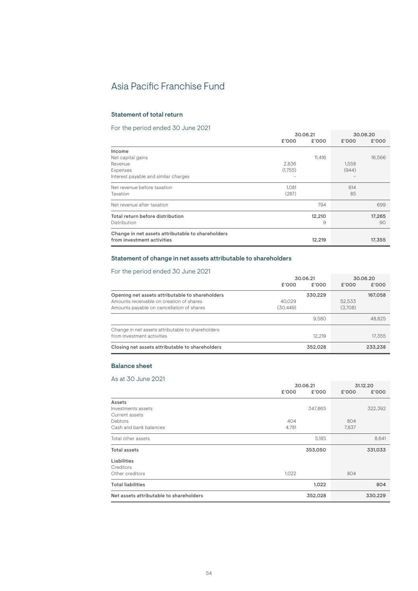# Asia Pacific Franchise Fund

# Statement of total return

# For the period ended 30 June 2021

|                                                   | 30.06.21 |        | 30.06.20 |        |
|---------------------------------------------------|----------|--------|----------|--------|
|                                                   | £'000    | £'000  | £'000    | £'000  |
| Income                                            |          |        |          |        |
| Net capital gains                                 |          | 11,416 |          | 16,566 |
| Revenue                                           | 2.836    |        | 1.558    |        |
| Expenses                                          | (1,755)  |        | (944)    |        |
| Interest payable and similar charges              |          |        |          |        |
| Net revenue before taxation                       | 1,081    |        | 614      |        |
| Taxation                                          | (287)    |        | 85       |        |
| Net revenue after taxation                        |          | 794    |          | 699    |
| Total return before distribution                  |          | 12,210 |          | 17,265 |
| Distribution                                      |          | 9      |          | 90     |
| Change in net assets attributable to shareholders |          |        |          |        |
| from investment activities                        |          | 12,219 |          | 17,355 |

# Statement of change in net assets attributable to shareholders

# For the period ended 30 June 2021

| FOIT LITE DEFILOG EFFIGED JOURNAL 2021            |          |          |         |          |
|---------------------------------------------------|----------|----------|---------|----------|
|                                                   |          | 30.06.21 |         | 30.06.20 |
|                                                   | £'000    | £'000    | £'000   | £'000    |
| Opening net assets attributable to shareholders   |          | 330.229  |         | 167,058  |
| Amounts receivable on creation of shares          | 40.029   |          | 52.533  |          |
| Amounts payable on cancellation of shares         | (30.449) |          | (3.708) |          |
|                                                   |          | 9.580    |         | 48.825   |
| Change in net assets attributable to shareholders |          |          |         |          |
| from investment activities                        |          | 12.219   |         | 17.355   |
| Closing net assets attributable to shareholders   |          | 352.028  |         | 233,238  |

# Balance sheet

|                                         | 30.06.21 |         |       | 31.12.20 |
|-----------------------------------------|----------|---------|-------|----------|
|                                         | £'000    | £'000   | £'000 | £'000    |
| Assets                                  |          |         |       |          |
| Investments assets                      |          | 347,865 |       | 322,392  |
| Current assets                          |          |         |       |          |
| Debtors                                 | 404      |         | 804   |          |
| Cash and bank balances                  | 4,781    |         | 7,837 |          |
| Total other assets                      |          | 5,185   |       | 8,641    |
| <b>Total assets</b>                     |          | 353,050 |       | 331,033  |
| Liabilities                             |          |         |       |          |
| Creditors                               |          |         |       |          |
| Other creditors                         | 1,022    |         | 804   |          |
| <b>Total liabilities</b>                |          | 1,022   |       | 804      |
| Net assets attributable to shareholders |          | 352,028 |       | 330,229  |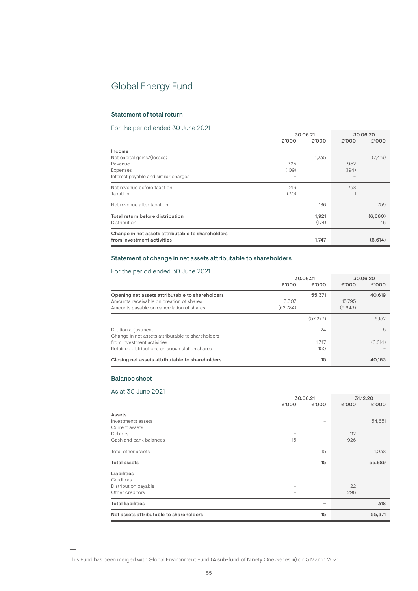# Global Energy Fund

# Statement of total return

# For the period ended 30 June 2021

|                                                   |       | 30.06.21 | 30.06.20 |          |
|---------------------------------------------------|-------|----------|----------|----------|
|                                                   | £'000 | £'000    | £'000    | £'000    |
| Income                                            |       |          |          |          |
| Net capital gains/(losses)                        |       | 1.735    |          | (7, 419) |
| Revenue                                           | 325   |          | 952      |          |
| Expenses                                          | (109) |          | (194)    |          |
| Interest payable and similar charges              |       |          |          |          |
| Net revenue before taxation                       | 216   |          | 758      |          |
| Taxation                                          | (30)  |          |          |          |
| Net revenue after taxation                        |       | 186      |          | 759      |
| Total return before distribution                  |       | 1.921    |          | (6,660)  |
| Distribution                                      |       | (174)    |          | 46       |
| Change in net assets attributable to shareholders |       |          |          |          |
| from investment activities                        |       | 1,747    |          | (6,614)  |

# Statement of change in net assets attributable to shareholders

# For the period ended 30 June 2021

| TUI THU DUITUU UNUUU UU JUNIU ZUZT                |          |          |         |          |
|---------------------------------------------------|----------|----------|---------|----------|
|                                                   |          | 30.06.21 |         | 30.06.20 |
|                                                   | £'000    | £'000    | £'000   | £'000    |
| Opening net assets attributable to shareholders   |          | 55,371   |         | 40,619   |
| Amounts receivable on creation of shares          | 5.507    |          | 15.795  |          |
| Amounts payable on cancellation of shares         | (62.784) |          | (9.643) |          |
|                                                   |          | (57.277) |         | 6.152    |
| Dilution adjustment                               |          | 24       |         | 6        |
| Change in net assets attributable to shareholders |          |          |         |          |
| from investment activities                        |          | 1.747    |         | (6,614)  |
| Retained distributions on accumulation shares     |          | 150      |         |          |
| Closing net assets attributable to shareholders   |          | 15       |         | 40.163   |

# Balance sheet

|                                         | 30.06.21                 |       | 31.12.20 |        |
|-----------------------------------------|--------------------------|-------|----------|--------|
|                                         | £'000                    | £'000 | £'000    | £'000  |
| Assets                                  |                          |       |          |        |
| Investments assets                      |                          |       |          | 54,651 |
| Current assets                          |                          |       |          |        |
| Debtors                                 | $\overline{\phantom{a}}$ |       | 112      |        |
| Cash and bank balances                  | 15                       |       | 926      |        |
| Total other assets                      |                          | 15    |          | 1,038  |
| <b>Total assets</b>                     |                          | 15    |          | 55,689 |
| Liabilities                             |                          |       |          |        |
| Creditors                               |                          |       |          |        |
| Distribution payable                    |                          |       | 22       |        |
| Other creditors                         | -                        |       | 296      |        |
| <b>Total liabilities</b>                |                          | -     |          | 318    |
| Net assets attributable to shareholders |                          | 15    |          | 55,371 |

This Fund has been merged with Global Environment Fund (A sub-fund of Ninety One Series iii) on 5 March 2021.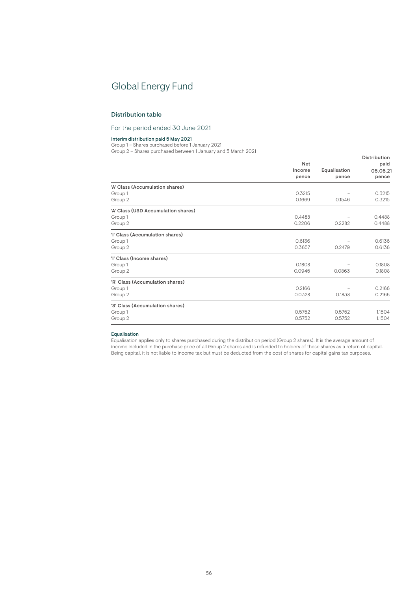# Global Energy Fund

# Distribution table

For the period ended 30 June 2021

#### Interim distribution paid 5 May 2021

Group 1 – Shares purchased before 1 January 2021

Group 2 – Shares purchased between 1 January and 5 March 2021

|                                     | <b>Net</b><br>Income<br>pence | Equalisation<br>pence | Distribution<br>paid<br>05.05.21<br>pence |
|-------------------------------------|-------------------------------|-----------------------|-------------------------------------------|
| 'A' Class (Accumulation shares)     |                               |                       |                                           |
| Group 1                             | 0.3215                        |                       | 0.3215                                    |
| Group 2                             | 0.1669                        | 0.1546                | 0.3215                                    |
| 'A' Class (USD Accumulation shares) |                               |                       |                                           |
| Group 1                             | 0.4488                        |                       | 0.4488                                    |
| Group 2                             | 0.2206                        | 0.2282                | 0.4488                                    |
| 'I' Class (Accumulation shares)     |                               |                       |                                           |
| Group 1                             | 0.6136                        |                       | 0.6136                                    |
| Group 2                             | 0.3657                        | 0.2479                | 0.6136                                    |
| 'l' Class (Income shares)           |                               |                       |                                           |
| Group 1                             | 0.1808                        |                       | 0.1808                                    |
| Group 2                             | 0.0945                        | 0.0863                | 0.1808                                    |
| 'R' Class (Accumulation shares)     |                               |                       |                                           |
| Group 1                             | 0.2166                        |                       | 0.2166                                    |
| Group 2                             | 0.0328                        | 0.1838                | 0.2166                                    |
| 'S' Class (Accumulation shares)     |                               |                       |                                           |
| Group 1                             | 0.5752                        | 0.5752                | 1.1504                                    |
| Group 2                             | 0.5752                        | 0.5752                | 1.1504                                    |
|                                     |                               |                       |                                           |

# Equalisation

Equalisation applies only to shares purchased during the distribution period (Group 2 shares). It is the average amount of income included in the purchase price of all Group 2 shares and is refunded to holders of these shares as a return of capital. Being capital, it is not liable to income tax but must be deducted from the cost of shares for capital gains tax purposes.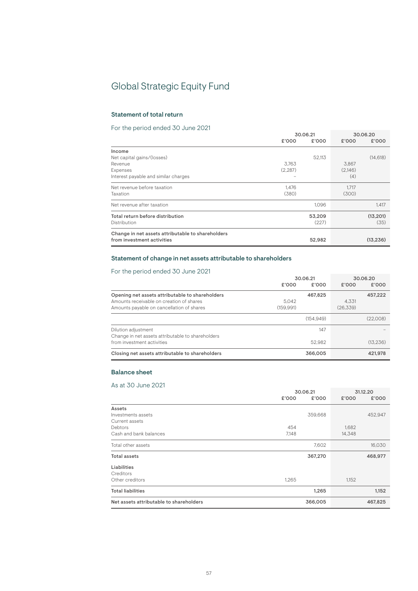# Global Strategic Equity Fund

# Statement of total return

# For the period ended 30 June 2021

|                                                   |         | 30.06.21 |         | 30.06.20  |  |
|---------------------------------------------------|---------|----------|---------|-----------|--|
|                                                   | £'000   | £'000    | £'000   | £'000     |  |
| Income                                            |         |          |         |           |  |
| Net capital gains/(losses)                        |         | 52,113   |         | (14, 618) |  |
| Revenue                                           | 3.763   |          | 3.867   |           |  |
| Expenses                                          | (2.287) |          | (2.146) |           |  |
| Interest payable and similar charges              |         |          | (4)     |           |  |
| Net revenue before taxation                       | 1,476   |          | 1.717   |           |  |
| Taxation                                          | (380)   |          | (300)   |           |  |
| Net revenue after taxation                        |         | 1.096    |         | 1.417     |  |
| Total return before distribution                  |         | 53,209   |         | (13, 201) |  |
| Distribution                                      |         | (227)    |         | (35)      |  |
| Change in net assets attributable to shareholders |         |          |         |           |  |
| from investment activities                        |         | 52,982   |         | (13, 236) |  |

# Statement of change in net assets attributable to shareholders

# For the period ended 30 June 2021

| TOT the period chucu ou build 2021                                                                                                       | £'000              | 30.06.21<br>£'000 | £'000             | 30.06.20<br>£'000 |
|------------------------------------------------------------------------------------------------------------------------------------------|--------------------|-------------------|-------------------|-------------------|
| Opening net assets attributable to shareholders<br>Amounts receivable on creation of shares<br>Amounts payable on cancellation of shares | 5.042<br>(159.991) | 467.825           | 4.331<br>(26.339) | 457,222           |
|                                                                                                                                          |                    | (154.949)         |                   | (22.008)          |
| Dilution adjustment<br>Change in net assets attributable to shareholders<br>from investment activities                                   |                    | 147<br>52.982     |                   | (13.236)          |
| Closing net assets attributable to shareholders                                                                                          |                    | 366,005           |                   | 421.978           |

# Balance sheet

|                                         | 30.06.21 |         | 31.12.20 |         |
|-----------------------------------------|----------|---------|----------|---------|
|                                         | £'000    | £'000   | £'000    | £'000   |
| Assets                                  |          |         |          |         |
| Investments assets                      |          | 359,668 |          | 452,947 |
| Current assets                          |          |         |          |         |
| Debtors                                 | 454      |         | 1,682    |         |
| Cash and bank balances                  | 7,148    |         | 14,348   |         |
| Total other assets                      |          | 7,602   |          | 16,030  |
| <b>Total assets</b>                     |          | 367,270 |          | 468,977 |
| Liabilities                             |          |         |          |         |
| Creditors                               |          |         |          |         |
| Other creditors                         | 1,265    |         | 1,152    |         |
| <b>Total liabilities</b>                |          | 1,265   |          | 1,152   |
| Net assets attributable to shareholders |          | 366,005 |          | 467,825 |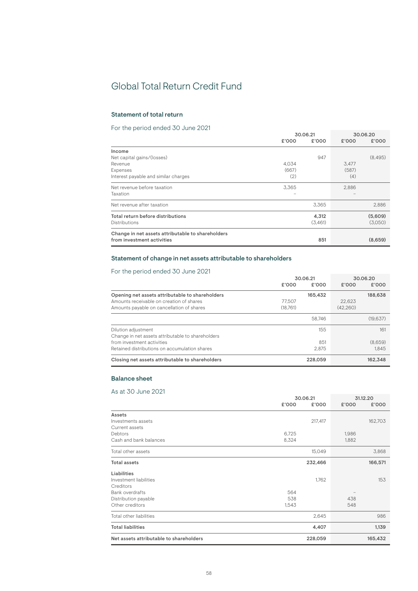# Global Total Return Credit Fund

# Statement of total return

# For the period ended 30 June 2021

|                                                   |       | 30.06.21 |       | 30.06.20 |  |
|---------------------------------------------------|-------|----------|-------|----------|--|
|                                                   | £'000 | £'000    | £'000 | £'000    |  |
| Income                                            |       |          |       |          |  |
| Net capital gains/(losses)                        |       | 947      |       | (8,495)  |  |
| Revenue                                           | 4.034 |          | 3.477 |          |  |
| Expenses                                          | (667) |          | (587) |          |  |
| Interest payable and similar charges              | (2)   |          | (4)   |          |  |
| Net revenue before taxation                       | 3,365 |          | 2,886 |          |  |
| Taxation                                          |       |          |       |          |  |
| Net revenue after taxation                        |       | 3,365    |       | 2,886    |  |
| Total return before distributions                 |       | 4,312    |       | (5,609)  |  |
| Distributions                                     |       | (3,461)  |       | (3,050)  |  |
| Change in net assets attributable to shareholders |       |          |       |          |  |
| from investment activities                        |       | 851      |       | (8,659)  |  |

# Statement of change in net assets attributable to shareholders

# For the period ended 30 June 2021

| TOT the period chucu ou bund 2021                                                                                                        | £'000              | 30.06.21<br>£'000 | £'000              | 30.06.20<br>£'000 |
|------------------------------------------------------------------------------------------------------------------------------------------|--------------------|-------------------|--------------------|-------------------|
| Opening net assets attributable to shareholders<br>Amounts receivable on creation of shares<br>Amounts payable on cancellation of shares | 77.507<br>(18.761) | 165.432           | 22.623<br>(42.260) | 188,638           |
|                                                                                                                                          |                    | 58.746            |                    | (19, 637)         |
| Dilution adjustment<br>Change in net assets attributable to shareholders                                                                 |                    | 155               |                    | 161               |
| from investment activities                                                                                                               |                    | 851               |                    | (8,659)           |
| Retained distributions on accumulation shares                                                                                            |                    | 2.875             |                    | 1.845             |
| Closing net assets attributable to shareholders                                                                                          |                    | 228,059           |                    | 162.348           |

# Balance sheet

| AS UI OU SUITU ZUZT                     | 30.06.21 |         | 31.12.20 |         |
|-----------------------------------------|----------|---------|----------|---------|
|                                         | £'000    | £'000   | £'000    | £'000   |
| Assets                                  |          |         |          |         |
| Investments assets                      |          | 217,417 |          | 162,703 |
| Current assets                          |          |         |          |         |
| Debtors                                 | 6,725    |         | 1,986    |         |
| Cash and bank balances                  | 8,324    |         | 1,882    |         |
| Total other assets                      |          | 15,049  |          | 3,868   |
| Total assets                            |          | 232,466 |          | 166,571 |
| Liabilities                             |          |         |          |         |
| Investment liabilities                  |          | 1,762   |          | 153     |
| Creditors                               |          |         |          |         |
| <b>Bank overdrafts</b>                  | 564      |         |          |         |
| Distribution payable                    | 538      |         | 438      |         |
| Other creditors                         | 1,543    |         | 548      |         |
| Total other liabilities                 |          | 2,645   |          | 986     |
| <b>Total liabilities</b>                |          | 4,407   |          | 1,139   |
| Net assets attributable to shareholders |          | 228,059 |          | 165,432 |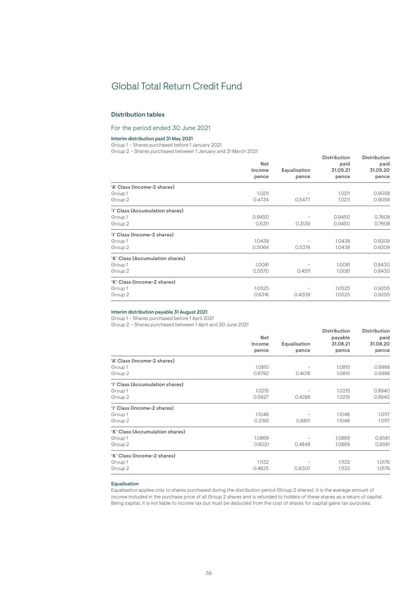# Global Total Return Credit Fund

# Distribution tables

# For the period ended 30 June 2021

# Interim distribution paid 31 May 2021

Group 1 – Shares purchased before 1 January 2021

Group 2 – Shares purchased between 1 January and 31 March 2021

| 'A' Class (Income-2 shares)     | Net<br>Income<br>pence | Equalisation<br>pence | <b>Distribution</b><br>paid<br>31.05.21<br>pence | <b>Distribution</b><br>paid<br>31.05.20<br>pence |
|---------------------------------|------------------------|-----------------------|--------------------------------------------------|--------------------------------------------------|
| Group 1<br>Group 2              | 1.0211<br>0.4734       | 0.5477                | 1.0211<br>1.0211                                 | 0.9058<br>0.9058                                 |
| 'l' Class (Accumulation shares) |                        |                       |                                                  |                                                  |
| Group 1                         | 0.9450                 |                       | 0.9450                                           | 0.7608                                           |
| Group 2                         | 0.6311                 | 0.3139                | 0.9450                                           | 0.7608                                           |
| 'l' Class (Income-2 shares)     |                        |                       |                                                  |                                                  |
| Group 1                         | 1.0438                 |                       | 1.0438                                           | 0.9209                                           |
| Group 2                         | 0.5064                 | 0.5374                | 1.0438                                           | 0.9209                                           |
| 'K' Class (Accumulation shares) |                        |                       |                                                  |                                                  |
| Group 1                         | 1.0081                 |                       | 1.0081                                           | 0.8430                                           |
| Group 2                         | 0.5570                 | 0.4511                | 1.0081                                           | 0.8430                                           |
| 'K' Class (Income-2 shares)     |                        |                       |                                                  |                                                  |
| Group 1                         | 1.0525                 |                       | 1.0525                                           | 0.9255                                           |
| Group 2                         | 0.6316                 | 0.4209                | 1.0525                                           | 0.9255                                           |
|                                 |                        |                       |                                                  |                                                  |

# Interim distribution payable 31 August 2021

Group 1 – Shares purchased before 1 April 2021

Group 2 – Shares purchased between 1 April and 30 June 2021

|                                 |        |              | Distribution | Distribution |
|---------------------------------|--------|--------------|--------------|--------------|
|                                 | Net    |              | payable      | paid         |
|                                 | Income | Equalisation | 31.08.21     | 31.08.20     |
|                                 | pence  | pence        | pence        | pence        |
| 'A' Class (Income-2 shares)     |        |              |              |              |
| Group 1                         | 1.0810 |              | 1.0810       | 0.9988       |
| Group 2                         | 0.6792 | 0.4018       | 1.0810       | 0.9988       |
| 'l' Class (Accumulation shares) |        |              |              |              |
| Group 1                         | 1.0215 |              | 1.0215       | 0.8940       |
| Group 2                         | 0.5927 | 0.4288       | 1.0215       | 0.8940       |
| 'l' Class (Income-2 shares)     |        |              |              |              |
| Group 1                         | 1.1046 |              | 1.1046       | 1.0117       |
| Group 2                         | 0.2195 | 0.8851       | 1.1046       | 1.0117       |
| 'K' Class (Accumulation shares) |        |              |              |              |
| Group 1                         | 1.0869 |              | 1.0869       | 0.9561       |
| Group 2                         | 0.6021 | 0.4848       | 1.0869       | 0.9561       |
| 'K' Class (Income-2 shares)     |        |              |              |              |
| Group 1                         | 1.1132 |              | 1.1132       | 1.0176       |
| Group 2                         | 0.4825 | 0.6307       | 1.1132       | 1.0176       |

### Equalisation

Equalisation applies only to shares purchased during the distribution period (Group 2 shares). It is the average amount of income included in the purchase price of all Group 2 shares and is refunded to holders of these shares as a return of capital. Being capital, it is not liable to income tax but must be deducted from the cost of shares for capital gains tax purposes.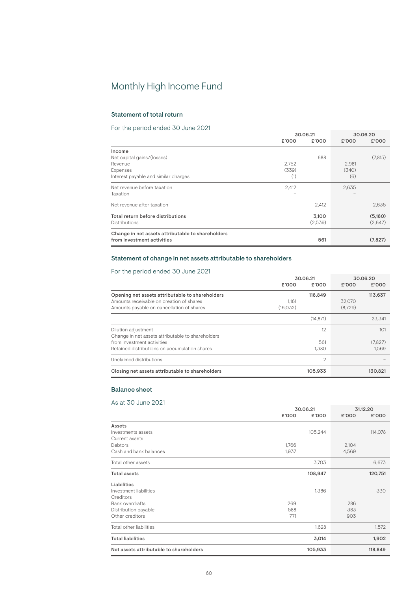# Monthly High Income Fund

# Statement of total return

# For the period ended 30 June 2021

|                                                   |       | 30.06.21 |       | 30.06.20 |  |
|---------------------------------------------------|-------|----------|-------|----------|--|
|                                                   | £'000 | £'000    | £'000 | £'000    |  |
| Income                                            |       |          |       |          |  |
| Net capital gains/(losses)                        |       | 688      |       | (7, 815) |  |
| Revenue                                           | 2,752 |          | 2,981 |          |  |
| Expenses                                          | (339) |          | (340) |          |  |
| Interest payable and similar charges              | (1)   |          | (6)   |          |  |
| Net revenue before taxation                       | 2,412 |          | 2,635 |          |  |
| Taxation                                          |       |          |       |          |  |
| Net revenue after taxation                        |       | 2,412    |       | 2,635    |  |
| Total return before distributions                 |       | 3,100    |       | (5,180)  |  |
| Distributions                                     |       | (2,539)  |       | (2,647)  |  |
| Change in net assets attributable to shareholders |       |          |       |          |  |
| from investment activities                        |       | 561      |       | (7,827)  |  |

# Statement of change in net assets attributable to shareholders

# For the period ended 30 June 2021

| TOL the period ended by June 2021                                                                                                                       |                   |                    |                   |                         |
|---------------------------------------------------------------------------------------------------------------------------------------------------------|-------------------|--------------------|-------------------|-------------------------|
|                                                                                                                                                         | £'000             | 30.06.21<br>£'000  | £'000             | 30.06.20<br>£'000       |
| Opening net assets attributable to shareholders<br>Amounts receivable on creation of shares<br>Amounts payable on cancellation of shares                | 1.161<br>(16.032) | 118,849            | 32.070<br>(8.729) | 113,637                 |
|                                                                                                                                                         |                   | (14.871)           |                   | 23.341                  |
| Dilution adjustment<br>Change in net assets attributable to shareholders<br>from investment activities<br>Retained distributions on accumulation shares |                   | 12<br>561<br>1.380 |                   | 101<br>(7.827)<br>1.569 |
| Unclaimed distributions                                                                                                                                 |                   | 2                  |                   |                         |
| Closing net assets attributable to shareholders                                                                                                         |                   | 105.933            |                   | 130.821                 |

# Balance sheet

|                                         |       | 30.06.21 | 31.12.20 |         |
|-----------------------------------------|-------|----------|----------|---------|
|                                         | £'000 | £'000    | £'000    | £'000   |
| Assets                                  |       |          |          |         |
| Investments assets                      |       | 105,244  |          | 114,078 |
| Current assets                          |       |          |          |         |
| Debtors                                 | 1.766 |          | 2,104    |         |
| Cash and bank balances                  | 1,937 |          | 4,569    |         |
| Total other assets                      |       | 3,703    |          | 6,673   |
| <b>Total assets</b>                     |       | 108,947  |          | 120,751 |
| Liabilities                             |       |          |          |         |
| Investment liabilities                  |       | 1,386    |          | 330     |
| Creditors                               |       |          |          |         |
| <b>Bank overdrafts</b>                  | 269   |          | 286      |         |
| Distribution payable                    | 588   |          | 383      |         |
| Other creditors                         | 771   |          | 903      |         |
| Total other liabilities                 |       | 1,628    |          | 1,572   |
| <b>Total liabilities</b>                |       | 3,014    |          | 1,902   |
| Net assets attributable to shareholders |       | 105,933  |          | 118,849 |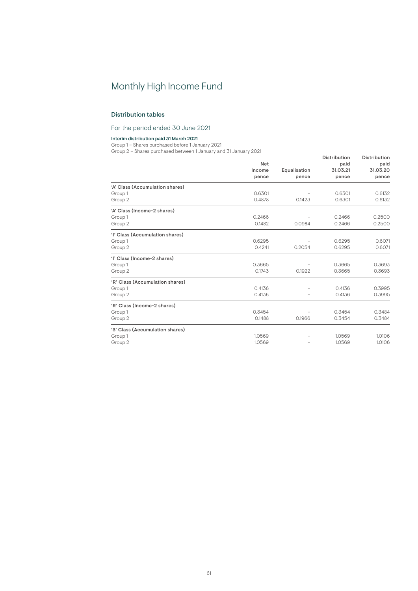# Monthly High Income Fund

# Distribution tables

For the period ended 30 June 2021

#### Interim distribution paid 31 March 2021

Group 1 – Shares purchased before 1 January 2021

Group 2 – Shares purchased between 1 January and 31 January 2021

|                                 |               |                       | <b>Distribution</b> | Distribution     |  |
|---------------------------------|---------------|-----------------------|---------------------|------------------|--|
|                                 | Net<br>Income |                       | paid<br>31.03.21    | paid<br>31.03.20 |  |
|                                 | pence         | Equalisation<br>pence | pence               | pence            |  |
|                                 |               |                       |                     |                  |  |
| 'A' Class (Accumulation shares) |               |                       |                     |                  |  |
| Group 1                         | 0.6301        |                       | 0.6301              | 0.6132           |  |
| Group 2                         | 0.4878        | 0.1423                | 0.6301              | 0.6132           |  |
| 'A' Class (Income-2 shares)     |               |                       |                     |                  |  |
| Group 1                         | 0.2466        |                       | 0.2466              | 0.2500           |  |
| Group 2                         | 0.1482        | 0.0984                | 0.2466              | 0.2500           |  |
| 'l' Class (Accumulation shares) |               |                       |                     |                  |  |
| Group 1                         | 0.6295        |                       | 0.6295              | 0.6071           |  |
| Group 2                         | 0.4241        | 0.2054                | 0.6295              | 0.6071           |  |
| 'l' Class (Income-2 shares)     |               |                       |                     |                  |  |
| Group 1                         | 0.3665        |                       | 0.3665              | 0.3693           |  |
| Group 2                         | 0.1743        | 0.1922                | 0.3665              | 0.3693           |  |
| 'R' Class (Accumulation shares) |               |                       |                     |                  |  |
| Group 1                         | 0.4136        |                       | 0.4136              | 0.3995           |  |
| Group 2                         | 0.4136        |                       | 0.4136              | 0.3995           |  |
| 'R' Class (Income-2 shares)     |               |                       |                     |                  |  |
| Group 1                         | 0.3454        |                       | 0.3454              | 0.3484           |  |
| Group 2                         | 0.1488        | 0.1966                | 0.3454              | 0.3484           |  |
| 'S' Class (Accumulation shares) |               |                       |                     |                  |  |
| Group 1                         | 1.0569        |                       | 1.0569              | 1.0106           |  |
| Group 2                         | 1.0569        |                       | 1.0569              | 1.0106           |  |
|                                 |               |                       |                     |                  |  |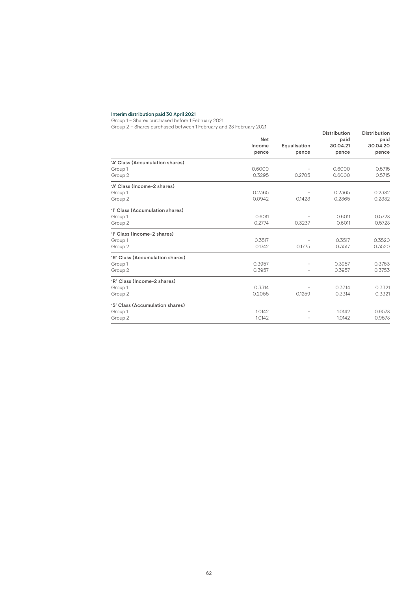#### Interim distribution paid 30 April 2021

Group 1 – Shares purchased before 1 February 2021

Group 2 – Shares purchased between 1 February and 28 February 2021

|                                 |        |              | <b>Distribution</b> | Distribution |
|---------------------------------|--------|--------------|---------------------|--------------|
|                                 | Net    |              | paid                | paid         |
|                                 | Income | Equalisation | 30.04.21            | 30.04.20     |
|                                 | pence  | pence        | pence               | pence        |
| 'A' Class (Accumulation shares) |        |              |                     |              |
| Group 1                         | 0.6000 |              | 0.6000              | 0.5715       |
| Group 2                         | 0.3295 | 0.2705       | 0.6000              | 0.5715       |
| 'A' Class (Income-2 shares)     |        |              |                     |              |
| Group 1                         | 0.2365 |              | 0.2365              | 0.2382       |
| Group 2                         | 0.0942 | 0.1423       | 0.2365              | 0.2382       |
| 'l' Class (Accumulation shares) |        |              |                     |              |
| Group 1                         | 0.6011 |              | 0.6011              | 0.5728       |
| Group 2                         | 0.2774 | 0.3237       | 0.6011              | 0.5728       |
| 'l' Class (Income-2 shares)     |        |              |                     |              |
| Group 1                         | 0.3517 |              | 0.3517              | 0.3520       |
| Group 2                         | 0.1742 | 0.1775       | 0.3517              | 0.3520       |
| 'R' Class (Accumulation shares) |        |              |                     |              |
| Group 1                         | 0.3957 |              | 0.3957              | 0.3753       |
| Group 2                         | 0.3957 |              | 0.3957              | 0.3753       |
| 'R' Class (Income-2 shares)     |        |              |                     |              |
| Group 1                         | 0.3314 |              | 0.3314              | 0.3321       |
| Group 2                         | 0.2055 | 0.1259       | 0.3314              | 0.3321       |
| 'S' Class (Accumulation shares) |        |              |                     |              |
| Group 1                         | 1.0142 |              | 1.0142              | 0.9578       |
| Group 2                         | 1.0142 |              | 1.0142              | 0.9578       |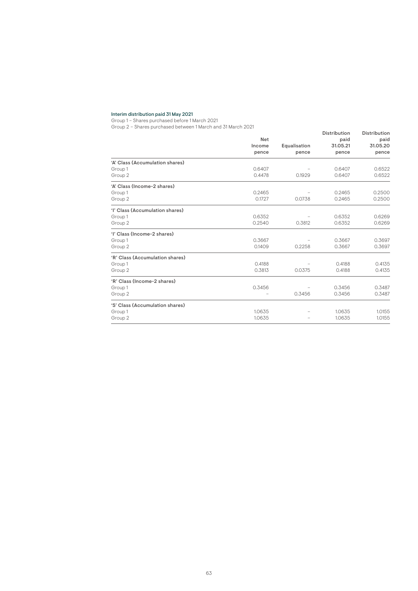#### Interim distribution paid 31 May 2021

Group 1 – Shares purchased before 1 March 2021

Group 2 – Shares purchased between 1 March and 31 March 2021

|                                 | Net    | Equalisation<br>pence | <b>Distribution</b><br>paid<br>31.05.21<br>pence | Distribution<br>paid<br>31.05.20<br>pence |
|---------------------------------|--------|-----------------------|--------------------------------------------------|-------------------------------------------|
|                                 |        |                       |                                                  |                                           |
|                                 | Income |                       |                                                  |                                           |
|                                 | pence  |                       |                                                  |                                           |
| 'A' Class (Accumulation shares) |        |                       |                                                  |                                           |
| Group 1                         | 0.6407 |                       | 0.6407                                           | 0.6522                                    |
| Group 2                         | 0.4478 | 0.1929                | 0.6407                                           | 0.6522                                    |
| 'A' Class (Income-2 shares)     |        |                       |                                                  |                                           |
| Group 1                         | 0.2465 |                       | 0.2465                                           | 0.2500                                    |
| Group 2                         | 0.1727 | 0.0738                | 0.2465                                           | 0.2500                                    |
| 'l' Class (Accumulation shares) |        |                       |                                                  |                                           |
| Group 1                         | 0.6352 |                       | 0.6352                                           | 0.6269                                    |
| Group 2                         | 0.2540 | 0.3812                | 0.6352                                           | 0.6269                                    |
| 'l' Class (Income-2 shares)     |        |                       |                                                  |                                           |
| Group 1                         | 0.3667 |                       | 0.3667                                           | 0.3697                                    |
| Group 2                         | 0.1409 | 0.2258                | 0.3667                                           | 0.3697                                    |
| 'R' Class (Accumulation shares) |        |                       |                                                  |                                           |
| Group 1                         | 0.4188 |                       | 0.4188                                           | 0.4135                                    |
| Group 2                         | 0.3813 | 0.0375                | 0.4188                                           | 0.4135                                    |
| 'R' Class (Income-2 shares)     |        |                       |                                                  |                                           |
| Group 1                         | 0.3456 |                       | 0.3456                                           | 0.3487                                    |
| Group 2                         |        | 0.3456                | 0.3456                                           | 0.3487                                    |
| 'S' Class (Accumulation shares) |        |                       |                                                  |                                           |
| Group 1                         | 1.0635 |                       | 1.0635                                           | 1.0155                                    |
| Group 2                         | 1.0635 |                       | 1.0635                                           | 1.0155                                    |
|                                 |        |                       |                                                  |                                           |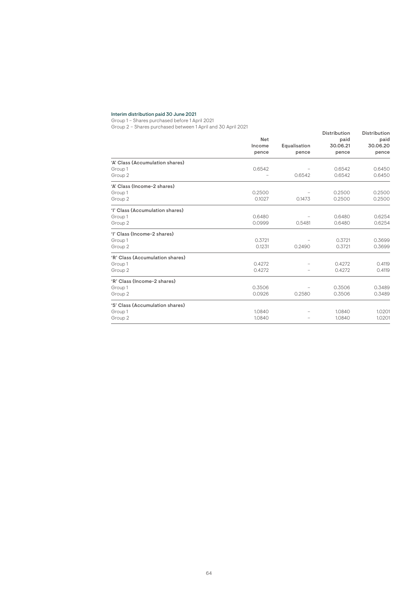#### Interim distribution paid 30 June 2021

Group 1 – Shares purchased before 1 April 2021

Group 2 – Shares purchased between 1 April and 30 April 2021

| $U1U1U2$<br>011000 DUI 0110000 DUCHOOIT FADITI 0010 OU ADITI 2021 | Net<br>Income<br>pence | Equalisation<br>pence | <b>Distribution</b><br>paid<br>30.06.21<br>pence | Distribution<br>paid<br>30.06.20<br>pence |
|-------------------------------------------------------------------|------------------------|-----------------------|--------------------------------------------------|-------------------------------------------|
| 'A' Class (Accumulation shares)                                   |                        |                       |                                                  |                                           |
| Group 1                                                           | 0.6542                 |                       | 0.6542                                           | 0.6450                                    |
| Group 2                                                           |                        | 0.6542                | 0.6542                                           | 0.6450                                    |
| 'A' Class (Income-2 shares)                                       |                        |                       |                                                  |                                           |
| Group 1                                                           | 0.2500                 |                       | 0.2500                                           | 0.2500                                    |
| Group 2                                                           | 0.1027                 | 0.1473                | 0.2500                                           | 0.2500                                    |
| 'l' Class (Accumulation shares)                                   |                        |                       |                                                  |                                           |
| Group 1                                                           | 0.6480                 |                       | 0.6480                                           | 0.6254                                    |
| Group 2                                                           | 0.0999                 | 0.5481                | 0.6480                                           | 0.6254                                    |
| 'l' Class (Income-2 shares)                                       |                        |                       |                                                  |                                           |
| Group 1                                                           | 0.3721                 |                       | 0.3721                                           | 0.3699                                    |
| Group 2                                                           | 0.1231                 | 0.2490                | 0.3721                                           | 0.3699                                    |
| 'R' Class (Accumulation shares)                                   |                        |                       |                                                  |                                           |
| Group 1                                                           | 0.4272                 |                       | 0.4272                                           | 0.4119                                    |
| Group 2                                                           | 0.4272                 |                       | 0.4272                                           | 0.4119                                    |
| 'R' Class (Income-2 shares)                                       |                        |                       |                                                  |                                           |
| Group 1                                                           | 0.3506                 |                       | 0.3506                                           | 0.3489                                    |
| Group 2                                                           | 0.0926                 | 0.2580                | 0.3506                                           | 0.3489                                    |
| 'S' Class (Accumulation shares)                                   |                        |                       |                                                  |                                           |
| Group 1                                                           | 1.0840                 |                       | 1.0840                                           | 1.0201                                    |
| Group 2                                                           | 1.0840                 |                       | 1.0840                                           | 1.0201                                    |
|                                                                   |                        |                       |                                                  |                                           |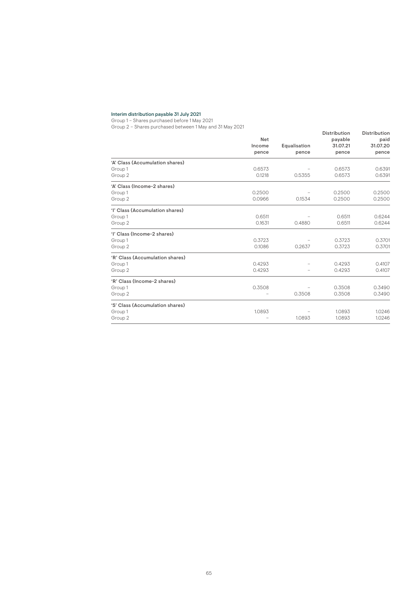#### Interim distribution payable 31 July 2021

Group 1 – Shares purchased before 1 May 2021

Group 2 – Shares purchased between 1 May and 31 May 2021

| $U1U1U2$<br><u>01100 putoraboth outrigois integration of the solu</u> | <b>Net</b><br>Income<br>pence | Equalisation<br>pence | <b>Distribution</b><br>payable<br>31.07.21<br>pence | Distribution<br>paid<br>31.07.20<br>pence |
|-----------------------------------------------------------------------|-------------------------------|-----------------------|-----------------------------------------------------|-------------------------------------------|
| 'A' Class (Accumulation shares)                                       |                               |                       |                                                     |                                           |
| Group 1                                                               | 0.6573                        |                       | 0.6573                                              | 0.6391                                    |
| Group 2                                                               | 0.1218                        | 0.5355                | 0.6573                                              | 0.6391                                    |
| 'A' Class (Income-2 shares)                                           |                               |                       |                                                     |                                           |
| Group 1                                                               | 0.2500                        |                       | 0.2500                                              | 0.2500                                    |
| Group 2                                                               | 0.0966                        | 0.1534                | 0.2500                                              | 0.2500                                    |
| 'l' Class (Accumulation shares)                                       |                               |                       |                                                     |                                           |
| Group 1                                                               | 0.6511                        |                       | 0.6511                                              | 0.6244                                    |
| Group 2                                                               | 0.1631                        | 0.4880                | 0.6511                                              | 0.6244                                    |
| 'l' Class (Income-2 shares)                                           |                               |                       |                                                     |                                           |
| Group 1                                                               | 0.3723                        |                       | 0.3723                                              | 0.3701                                    |
| Group 2                                                               | 0.1086                        | 0.2637                | 0.3723                                              | 0.3701                                    |
| 'R' Class (Accumulation shares)                                       |                               |                       |                                                     |                                           |
| Group 1                                                               | 0.4293                        |                       | 0.4293                                              | 0.4107                                    |
| Group 2                                                               | 0.4293                        |                       | 0.4293                                              | 0.4107                                    |
| 'R' Class (Income-2 shares)                                           |                               |                       |                                                     |                                           |
| Group 1                                                               | 0.3508                        |                       | 0.3508                                              | 0.3490                                    |
| Group 2                                                               |                               | 0.3508                | 0.3508                                              | 0.3490                                    |
| 'S' Class (Accumulation shares)                                       |                               |                       |                                                     |                                           |
| Group 1                                                               | 1.0893                        |                       | 1.0893                                              | 1.0246                                    |
| Group 2                                                               |                               | 1.0893                | 1.0893                                              | 1.0246                                    |
|                                                                       |                               |                       |                                                     |                                           |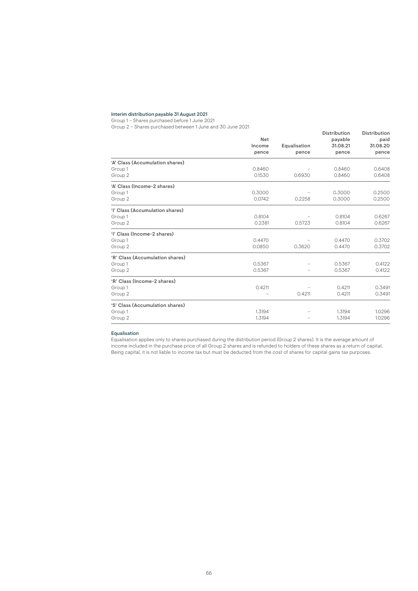### Interim distribution payable 31 August 2021

Group 1 – Shares purchased before 1 June 2021

Group 2 – Shares purchased between 1 June and 30 June 2021

|                                 | Net    | Equalisation<br>pence | <b>Distribution</b><br>payable<br>31.08.21<br>pence | <b>Distribution</b><br>paid<br>31.08.20<br>pence |
|---------------------------------|--------|-----------------------|-----------------------------------------------------|--------------------------------------------------|
|                                 | Income |                       |                                                     |                                                  |
|                                 | pence  |                       |                                                     |                                                  |
| 'A' Class (Accumulation shares) |        |                       |                                                     |                                                  |
| Group 1                         | 0.8460 |                       | 0.8460                                              | 0.6408                                           |
| Group 2                         | 0.1530 | 0.6930                | 0.8460                                              | 0.6408                                           |
| 'A' Class (Income-2 shares)     |        |                       |                                                     |                                                  |
| Group 1                         | 0.3000 |                       | 0.3000                                              | 0.2500                                           |
| Group 2                         | 0.0742 | 0.2258                | 0.3000                                              | 0.2500                                           |
| 'l' Class (Accumulation shares) |        |                       |                                                     |                                                  |
| Group 1                         | 0.8104 |                       | 0.8104                                              | 0.6267                                           |
| Group 2                         | 0.2381 | 0.5723                | 0.8104                                              | 0.6267                                           |
| 'l' Class (Income-2 shares)     |        |                       |                                                     |                                                  |
| Group 1                         | 0.4470 |                       | 0.4470                                              | 0.3702                                           |
| Group 2                         | 0.0850 | 0.3620                | 0.4470                                              | 0.3702                                           |
| 'R' Class (Accumulation shares) |        |                       |                                                     |                                                  |
| Group 1                         | 0.5367 |                       | 0.5367                                              | 0.4122                                           |
| Group 2                         | 0.5367 |                       | 0.5367                                              | 0.4122                                           |
| 'R' Class (Income-2 shares)     |        |                       |                                                     |                                                  |
| Group 1                         | 0.4211 |                       | 0.4211                                              | 0.3491                                           |
| Group 2                         |        | 0.4211                | 0.4211                                              | 0.3491                                           |
| 'S' Class (Accumulation shares) |        |                       |                                                     |                                                  |
| Group 1                         | 1.3194 |                       | 1.3194                                              | 1.0296                                           |
| Group 2                         | 1.3194 |                       | 1.3194                                              | 1.0296                                           |
|                                 |        |                       |                                                     |                                                  |

#### Equalisation

Equalisation applies only to shares purchased during the distribution period (Group 2 shares). It is the average amount of income included in the purchase price of all Group 2 shares and is refunded to holders of these shares as a return of capital. Being capital, it is not liable to income tax but must be deducted from the cost of shares for capital gains tax purposes.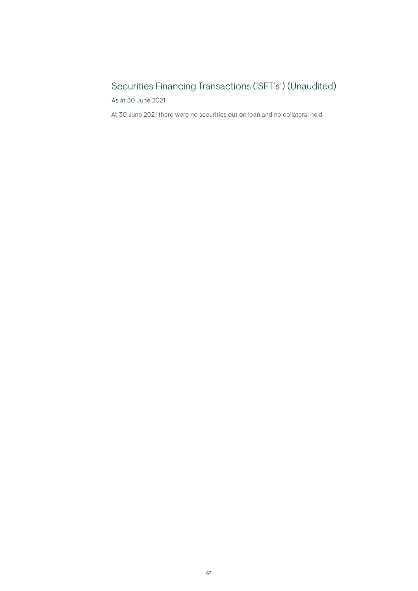# Securities Financing Transactions ('SFT's') (Unaudited)

As at 30 June 2021

At 30 June 2021 there were no securities out on loan and no collateral held.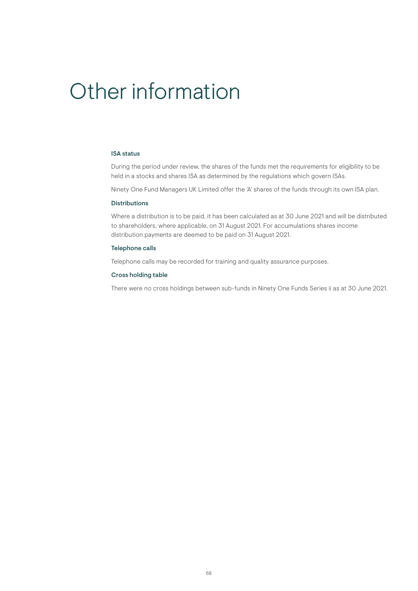# Other information

# ISA status

During the period under review, the shares of the funds met the requirements for eligibility to be held in a stocks and shares ISA as determined by the regulations which govern ISAs.

Ninety One Fund Managers UK Limited offer the 'A' shares of the funds through its own ISA plan.

# Distributions

Where a distribution is to be paid, it has been calculated as at 30 June 2021 and will be distributed to shareholders, where applicable, on 31 August 2021. For accumulations shares income distribution payments are deemed to be paid on 31 August 2021.

### Telephone calls

Telephone calls may be recorded for training and quality assurance purposes.

# Cross holding table

There were no cross holdings between sub-funds in Ninety One Funds Series ii as at 30 June 2021.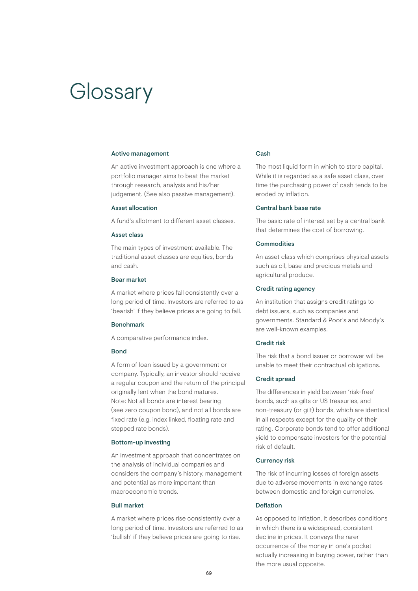# **Glossary**

### Active management

An active investment approach is one where a portfolio manager aims to beat the market through research, analysis and his/her judgement. (See also passive management).

# Asset allocation

A fund's allotment to different asset classes.

# Asset class

The main types of investment available. The traditional asset classes are equities, bonds and cash.

# Bear market

A market where prices fall consistently over a long period of time. Investors are referred to as 'bearish' if they believe prices are going to fall.

#### Benchmark

A comparative performance index.

# Bond

A form of loan issued by a government or company. Typically, an investor should receive a regular coupon and the return of the principal originally lent when the bond matures. Note: Not all bonds are interest bearing (see zero coupon bond), and not all bonds are fixed rate (e.g. index linked, floating rate and stepped rate bonds).

## Bottom-up investing

An investment approach that concentrates on the analysis of individual companies and considers the company's history, management and potential as more important than macroeconomic trends.

# Bull market

A market where prices rise consistently over a long period of time. Investors are referred to as 'bullish' if they believe prices are going to rise.

## Cash

The most liquid form in which to store capital. While it is regarded as a safe asset class, over time the purchasing power of cash tends to be eroded by inflation.

# Central bank base rate

The basic rate of interest set by a central bank that determines the cost of borrowing.

# **Commodities**

An asset class which comprises physical assets such as oil, base and precious metals and agricultural produce.

# Credit rating agency

An institution that assigns credit ratings to debt issuers, such as companies and governments. Standard & Poor's and Moody's are well-known examples.

# Credit risk

The risk that a bond issuer or borrower will be unable to meet their contractual obligations.

## Credit spread

The differences in yield between 'risk-free' bonds, such as gilts or US treasuries, and non-treasury (or gilt) bonds, which are identical in all respects except for the quality of their rating. Corporate bonds tend to offer additional yield to compensate investors for the potential risk of default.

#### Currency risk

The risk of incurring losses of foreign assets due to adverse movements in exchange rates between domestic and foreign currencies.

# Deflation

As opposed to inflation, it describes conditions in which there is a widespread, consistent decline in prices. It conveys the rarer occurrence of the money in one's pocket actually increasing in buying power, rather than the more usual opposite.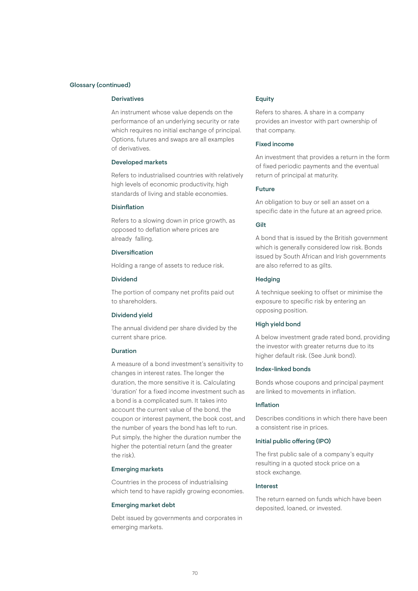# Glossary (continued)

# **Derivatives**

An instrument whose value depends on the performance of an underlying security or rate which requires no initial exchange of principal. Options, futures and swaps are all examples of derivatives.

## Developed markets

Refers to industrialised countries with relatively high levels of economic productivity, high standards of living and stable economies.

# **Disinflation**

Refers to a slowing down in price growth, as opposed to deflation where prices are already falling.

# Diversification

Holding a range of assets to reduce risk.

# Dividend

The portion of company net profits paid out to shareholders.

### Dividend yield

The annual dividend per share divided by the current share price.

# Duration

A measure of a bond investment's sensitivity to changes in interest rates. The longer the duration, the more sensitive it is. Calculating 'duration' for a fixed income investment such as a bond is a complicated sum. It takes into account the current value of the bond, the coupon or interest payment, the book cost, and the number of years the bond has left to run. Put simply, the higher the duration number the higher the potential return (and the greater the risk).

# Emerging markets

Countries in the process of industrialising which tend to have rapidly growing economies.

# Emerging market debt

Debt issued by governments and corporates in emerging markets.

# Equity

Refers to shares. A share in a company provides an investor with part ownership of that company.

# Fixed income

An investment that provides a return in the form of fixed periodic payments and the eventual return of principal at maturity.

# Future

An obligation to buy or sell an asset on a specific date in the future at an agreed price.

## **Gilt**

A bond that is issued by the British government which is generally considered low risk. Bonds issued by South African and Irish governments are also referred to as gilts.

### **Hedging**

A technique seeking to offset or minimise the exposure to specific risk by entering an opposing position.

# High yield bond

A below investment grade rated bond, providing the investor with greater returns due to its higher default risk. (See Junk bond).

# Index-linked bonds

Bonds whose coupons and principal payment are linked to movements in inflation.

# Inflation

Describes conditions in which there have been a consistent rise in prices.

## Initial public offering (IPO)

The first public sale of a company's equity resulting in a quoted stock price on a stock exchange.

# Interest

The return earned on funds which have been deposited, loaned, or invested.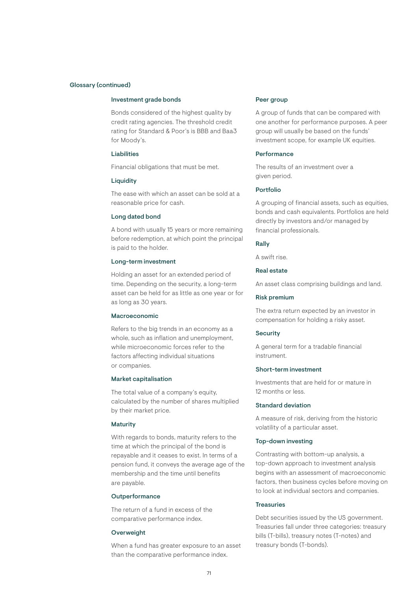## Glossary (continued)

# Investment grade bonds

Bonds considered of the highest quality by credit rating agencies. The threshold credit rating for Standard & Poor's is BBB and Baa3 for Moody's.

# Liabilities

Financial obligations that must be met.

# **Liquidity**

The ease with which an asset can be sold at a reasonable price for cash.

### Long dated bond

A bond with usually 15 years or more remaining before redemption, at which point the principal is paid to the holder.

# Long-term investment

Holding an asset for an extended period of time. Depending on the security, a long-term asset can be held for as little as one year or for as long as 30 years.

## Macroeconomic

Refers to the big trends in an economy as a whole, such as inflation and unemployment, while microeconomic forces refer to the factors affecting individual situations or companies.

# Market capitalisation

The total value of a company's equity. calculated by the number of shares multiplied by their market price.

# **Maturity**

With regards to bonds, maturity refers to the time at which the principal of the bond is repayable and it ceases to exist. In terms of a pension fund, it conveys the average age of the membership and the time until benefits are payable.

# **Outperformance**

The return of a fund in excess of the comparative performance index.

## **Overweight**

When a fund has greater exposure to an asset than the comparative performance index.

## Peer group

A group of funds that can be compared with one another for performance purposes. A peer group will usually be based on the funds' investment scope, for example UK equities.

### **Performance**

The results of an investment over a given period.

# Portfolio

A grouping of financial assets, such as equities, bonds and cash equivalents. Portfolios are held directly by investors and/or managed by financial professionals.

## Rally

A swift rise.

# Real estate

An asset class comprising buildings and land.

# Risk premium

The extra return expected by an investor in compensation for holding a risky asset.

# **Security**

A general term for a tradable financial instrument.

# Short-term investment

Investments that are held for or mature in 12 months or less.

# Standard deviation

A measure of risk, deriving from the historic volatility of a particular asset.

# Top-down investing

Contrasting with bottom-up analysis, a top-down approach to investment analysis begins with an assessment of macroeconomic factors, then business cycles before moving on to look at individual sectors and companies.

# Treasuries

Debt securities issued by the US government. Treasuries fall under three categories: treasury bills (T-bills), treasury notes (T-notes) and treasury bonds (T-bonds).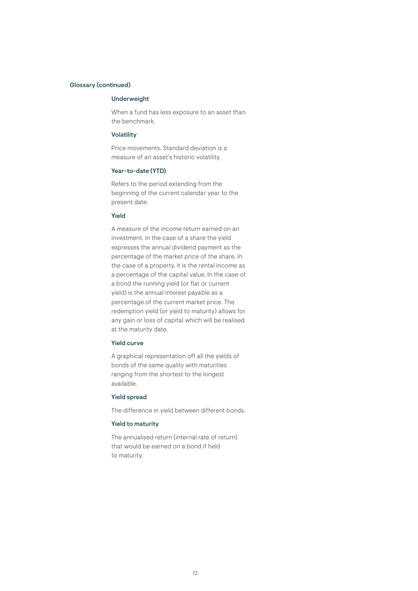# Glossary (continued)

# Underweight

When a fund has less exposure to an asset than the benchmark.

# Volatility

Price movements. Standard deviation is a measure of an asset's historic volatility.

## Year-to-date (YTD)

Refers to the period extending from the beginning of the current calendar year to the present date.

# Yield

A measure of the income return earned on an investment. In the case of a share the yield expresses the annual dividend payment as the percentage of the market price of the share. In the case of a property, it is the rental income as a percentage of the capital value. In the case of a bond the running yield (or flat or current yield) is the annual interest payable as a percentage of the current market price. The redemption yield (or yield to maturity) allows for any gain or loss of capital which will be realised at the maturity date.

# Yield curve

A graphical representation off all the yields of bonds of the same quality with maturities ranging from the shortest to the longest available.

# Yield spread

The difference in yield between different bonds.

# Yield to maturity

The annualised return (internal rate of return) that would be earned on a bond if held to maturity.